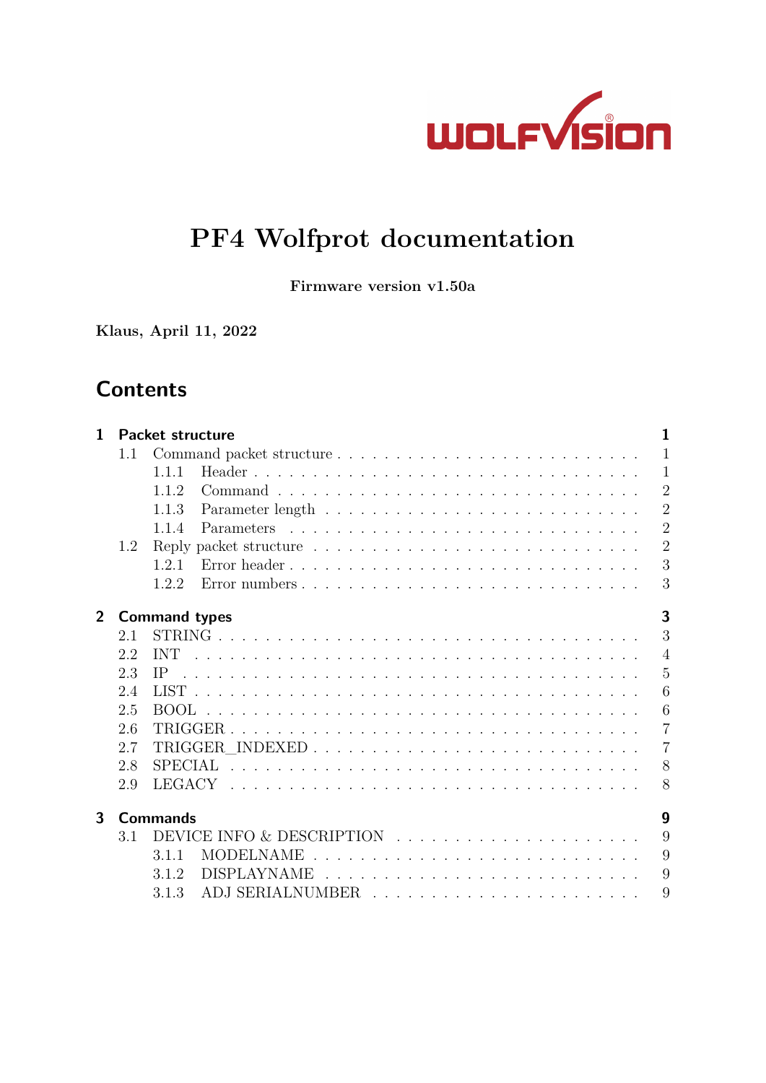

# **PF4 Wolfprot documentation**

**Firmware version v1.50a**

**Klaus, April 11, 2022**

# **Contents**

| $\mathbf{1}$   |     | Packet structure       | 1              |
|----------------|-----|------------------------|----------------|
|                | 1.1 |                        | $\mathbf{1}$   |
|                |     | 1.1.1                  | $\mathbf{1}$   |
|                |     | 1.1.2                  | $\overline{2}$ |
|                |     | 1.1.3                  | $\overline{2}$ |
|                |     | 1.1.4                  | $\overline{2}$ |
|                | 1.2 |                        | $\overline{2}$ |
|                |     | Error header<br>1.2.1  | 3              |
|                |     | Error numbers<br>1.2.2 | 3              |
| $\overline{2}$ |     | <b>Command types</b>   | 3              |
|                | 2.1 |                        | 3              |
|                | 2.2 | <b>INT</b>             | $\overline{4}$ |
|                | 2.3 | IP.                    | $\overline{5}$ |
|                | 2.4 |                        | 6              |
|                | 2.5 |                        | 6              |
|                | 2.6 |                        | $\overline{7}$ |
|                | 2.7 |                        | $\overline{7}$ |
|                | 2.8 |                        | 8              |
|                | 2.9 |                        | 8              |
| $\mathbf{3}$   |     | <b>Commands</b>        | 9              |
|                | 3.1 |                        | 9              |
|                |     | 3.1.1                  | 9              |
|                |     | 3.1.2                  | 9              |
|                |     | 3.1.3                  | 9              |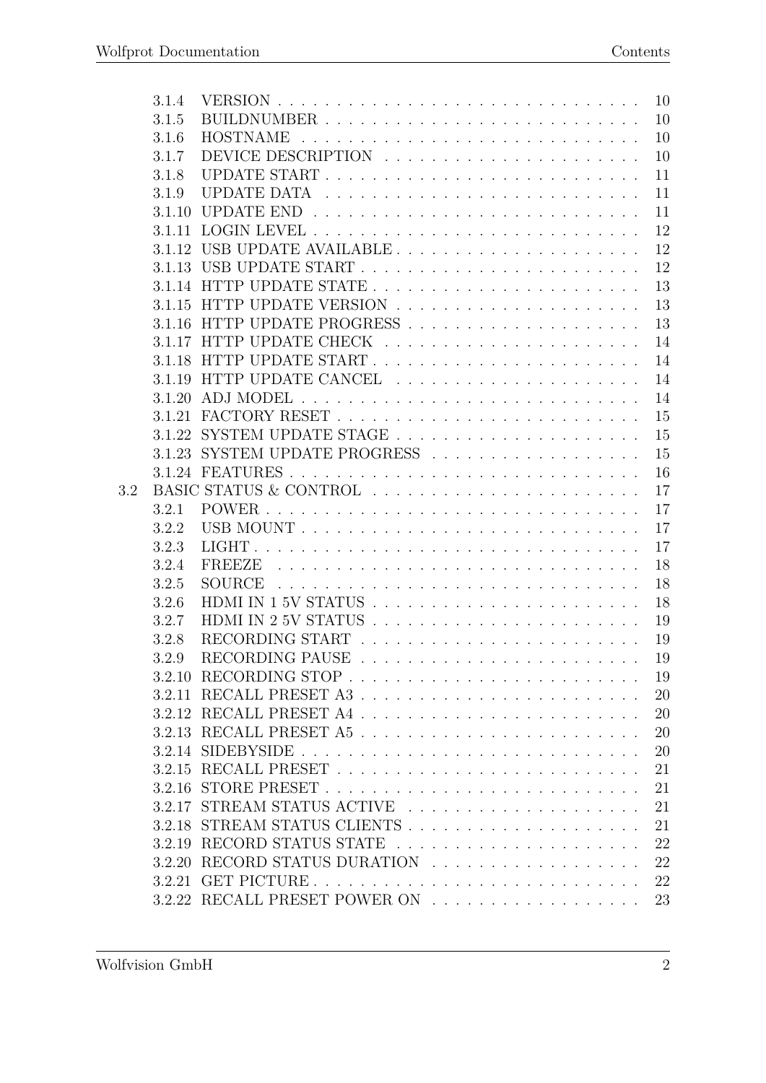|     | 3.1.4  |                                                                                              | 10 |
|-----|--------|----------------------------------------------------------------------------------------------|----|
|     | 3.1.5  |                                                                                              | 10 |
|     | 3.1.6  | <b>HOSTNAME</b><br><u>. A series and a series and a series and a series and a series and</u> | 10 |
|     | 3.1.7  |                                                                                              | 10 |
|     | 3.1.8  |                                                                                              | 11 |
|     | 3.1.9  |                                                                                              | 11 |
|     | 3.1.10 |                                                                                              | 11 |
|     |        |                                                                                              | 12 |
|     | 3.1.12 |                                                                                              | 12 |
|     |        |                                                                                              | 12 |
|     |        |                                                                                              | 13 |
|     | 3.1.15 |                                                                                              | 13 |
|     |        |                                                                                              | 13 |
|     | 3.1.17 |                                                                                              | 14 |
|     |        |                                                                                              | 14 |
|     |        |                                                                                              | 14 |
|     | 3.1.20 |                                                                                              | 14 |
|     |        |                                                                                              | 15 |
|     | 3.1.22 |                                                                                              | 15 |
|     |        |                                                                                              | 15 |
|     |        |                                                                                              | 16 |
| 3.2 |        | BASIC STATUS & CONTROL                                                                       | 17 |
|     | 3.2.1  |                                                                                              | 17 |
|     | 3.2.2  |                                                                                              | 17 |
|     | 3.2.3  |                                                                                              | 17 |
|     | 3.2.4  | FREEZE                                                                                       | 18 |
|     | 3.2.5  | <b>SOURCE</b>                                                                                | 18 |
|     | 3.2.6  |                                                                                              | 18 |
|     | 3.2.7  |                                                                                              | 19 |
|     | 3.2.8  |                                                                                              | 19 |
|     | 3.2.9  |                                                                                              | 19 |
|     |        |                                                                                              | 19 |
|     |        |                                                                                              | 20 |
|     |        |                                                                                              | 20 |
|     |        |                                                                                              | 20 |
|     |        |                                                                                              | 20 |
|     |        |                                                                                              | 21 |
|     | 3.2.16 |                                                                                              | 21 |
|     |        | 3.2.17 STREAM STATUS ACTIVE                                                                  | 21 |
|     |        |                                                                                              | 21 |
|     | 3.2.19 |                                                                                              | 22 |
|     |        | 3.2.20 RECORD STATUS DURATION                                                                | 22 |
|     |        |                                                                                              | 22 |
|     | 3.2.21 |                                                                                              | 23 |
|     |        |                                                                                              |    |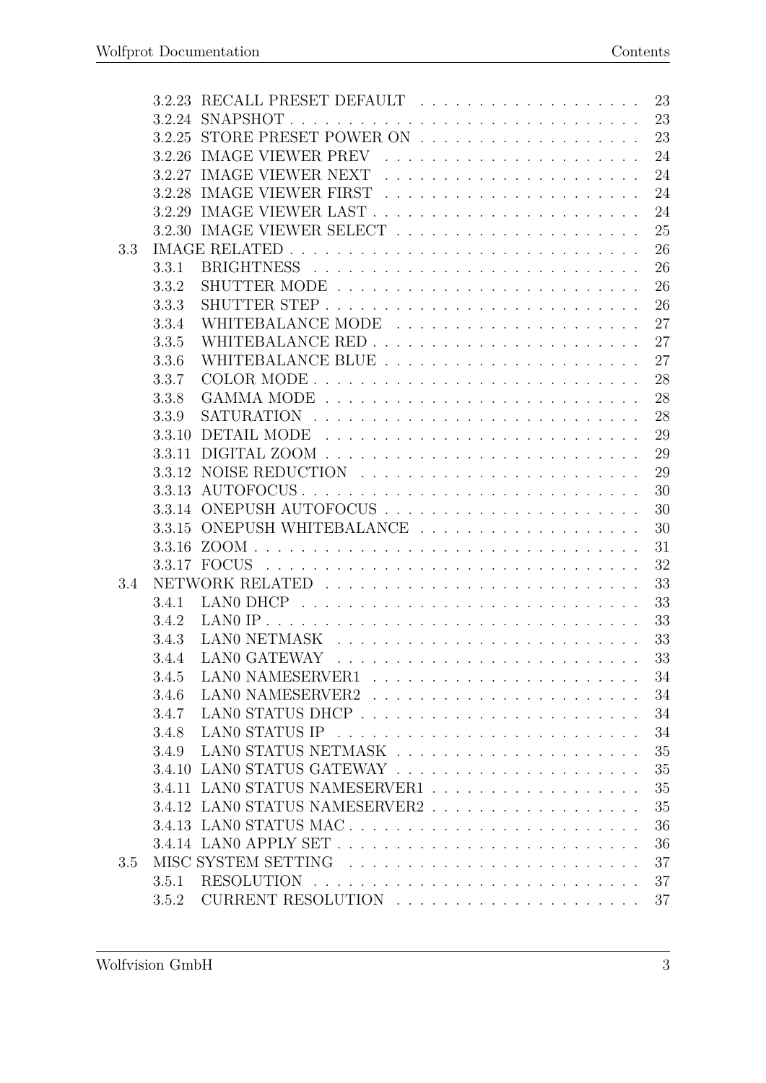|     | 3.2.23 |                                | 23 |
|-----|--------|--------------------------------|----|
|     |        |                                | 23 |
|     | 3.2.25 |                                | 23 |
|     | 3.2.26 |                                | 24 |
|     | 3.2.27 |                                | 24 |
|     | 3.2.28 |                                | 24 |
|     | 3.2.29 |                                | 24 |
|     | 3.2.30 |                                | 25 |
| 3.3 |        |                                | 26 |
|     | 3.3.1  |                                | 26 |
|     | 3.3.2  |                                | 26 |
|     | 3.3.3  |                                | 26 |
|     | 3.3.4  |                                | 27 |
|     | 3.3.5  |                                | 27 |
|     | 3.3.6  |                                | 27 |
|     | 3.3.7  |                                | 28 |
|     | 3.3.8  |                                | 28 |
|     | 3.3.9  |                                | 28 |
|     | 3.3.10 |                                | 29 |
|     | 3.3.11 |                                | 29 |
|     | 3.3.12 |                                | 29 |
|     | 3.3.13 |                                | 30 |
|     | 3.3.14 |                                | 30 |
|     | 3.3.15 | ONEPUSH WHITEBALANCE           | 30 |
|     | 3.3.16 | ZOOM.                          | 31 |
|     |        | 3.3.17 FOCUS                   | 32 |
| 3.4 |        |                                | 33 |
|     | 3.4.1  |                                | 33 |
|     | 3.4.2  |                                | 33 |
|     | 3.4.3  |                                | 33 |
|     | 3.4.4  | LAN0 GATEWAY                   | 33 |
|     | 3.4.5  |                                | 34 |
|     | 3.4.6  |                                | 34 |
|     | 3.4.7  |                                | 34 |
|     | 3.4.8  |                                | 34 |
|     | 3.4.9  |                                | 35 |
|     | 3.4.10 |                                | 35 |
|     | 3.4.11 | LANO STATUS NAMESERVER1        | 35 |
|     |        | 3.4.12 LANO STATUS NAMESERVER2 | 35 |
|     | 3.4.13 | LANO STATUS MAC                | 36 |
|     |        |                                | 36 |
| 3.5 |        |                                | 37 |
|     | 3.5.1  |                                | 37 |
|     | 3.5.2  |                                | 37 |
|     |        |                                |    |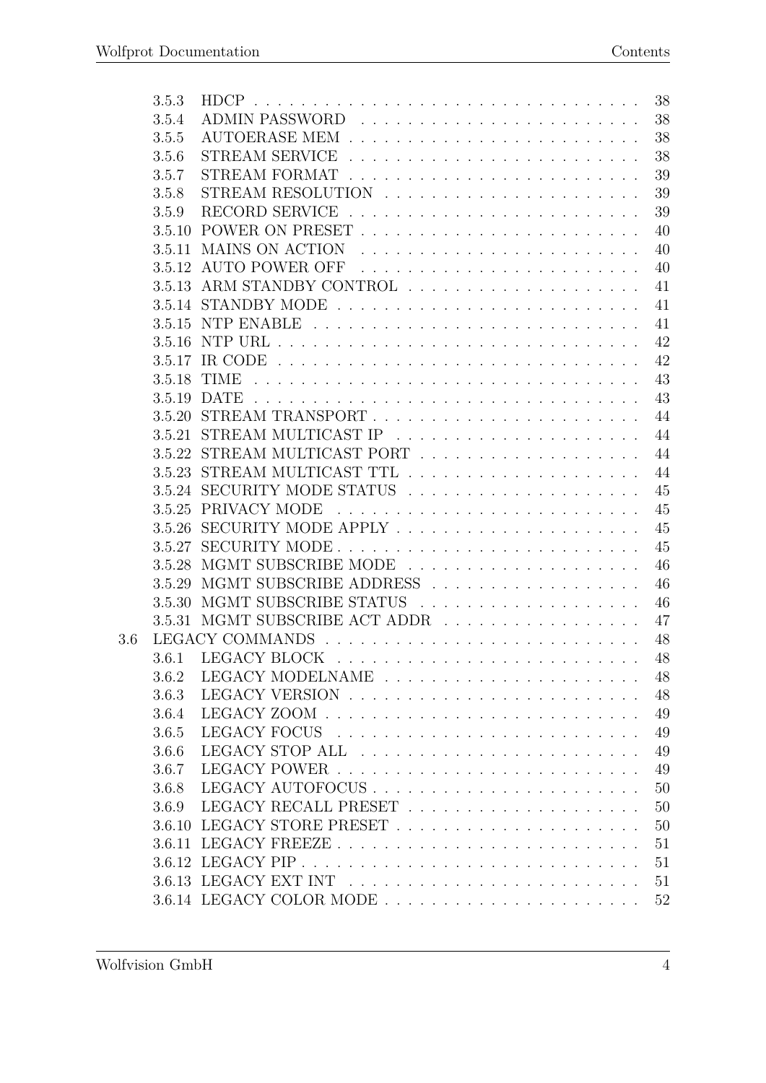|     | 3.5.3  | <b>HDCP</b><br>38                                                                            |  |
|-----|--------|----------------------------------------------------------------------------------------------|--|
|     | 3.5.4  | 38                                                                                           |  |
|     | 3.5.5  | 38                                                                                           |  |
|     | 3.5.6  | 38<br><b>STREAM SERVICE</b>                                                                  |  |
|     | 3.5.7  | 39                                                                                           |  |
|     | 3.5.8  | STREAM RESOLUTION $\ldots$ , , , , , ,<br>39                                                 |  |
|     | 3.5.9  | 39                                                                                           |  |
|     | 3.5.10 | POWER ON PRESET<br>40                                                                        |  |
|     | 3.5.11 | <b>MAINS ON ACTION</b><br>40                                                                 |  |
|     | 3.5.12 | AUTO POWER OFF<br>40                                                                         |  |
|     | 3.5.13 | 41                                                                                           |  |
|     |        | 41                                                                                           |  |
|     | 3.5.15 | 41<br>NTP ENABLE                                                                             |  |
|     | 3.5.16 | 42                                                                                           |  |
|     | 3.5.17 | 42<br>IR CODE $\ldots \ldots \ldots \ldots \ldots \ldots \ldots \ldots \ldots \ldots \ldots$ |  |
|     | 3.5.18 | 43<br>TIME                                                                                   |  |
|     | 3.5.19 | 43<br><b>DATE</b>                                                                            |  |
|     | 3.5.20 | 44                                                                                           |  |
|     | 3.5.21 | 44                                                                                           |  |
|     | 3.5.22 | 44                                                                                           |  |
|     | 3.5.23 | STREAM MULTICAST TTL<br>44                                                                   |  |
|     |        | 3.5.24 SECURITY MODE STATUS<br>45                                                            |  |
|     | 3.5.25 | PRIVACY MODE<br>45                                                                           |  |
|     | 3.5.26 | 45                                                                                           |  |
|     | 3.5.27 | 45                                                                                           |  |
|     | 3.5.28 | 46                                                                                           |  |
|     | 3.5.29 | MGMT SUBSCRIBE ADDRESS<br>46                                                                 |  |
|     | 3.5.30 | MGMT SUBSCRIBE STATUS<br>46<br>.                                                             |  |
|     |        | 3.5.31 MGMT SUBSCRIBE ACT ADDR<br>47                                                         |  |
| 3.6 |        | 48<br>LEGACY COMMANDS                                                                        |  |
|     | 3.6.1  | 48                                                                                           |  |
|     | 3.6.2  | 48                                                                                           |  |
|     | 3.6.3  | 48                                                                                           |  |
|     | 3.6.4  | 49                                                                                           |  |
|     | 3.6.5  | 49                                                                                           |  |
|     | 3.6.6  | 49                                                                                           |  |
|     | 3.6.7  | 49                                                                                           |  |
|     | 3.6.8  | 50                                                                                           |  |
|     | 3.6.9  | 50                                                                                           |  |
|     | 3.6.10 | 50                                                                                           |  |
|     | 3.6.11 | 51                                                                                           |  |
|     |        | 51                                                                                           |  |
|     |        | 51                                                                                           |  |
|     |        | 52                                                                                           |  |
|     |        |                                                                                              |  |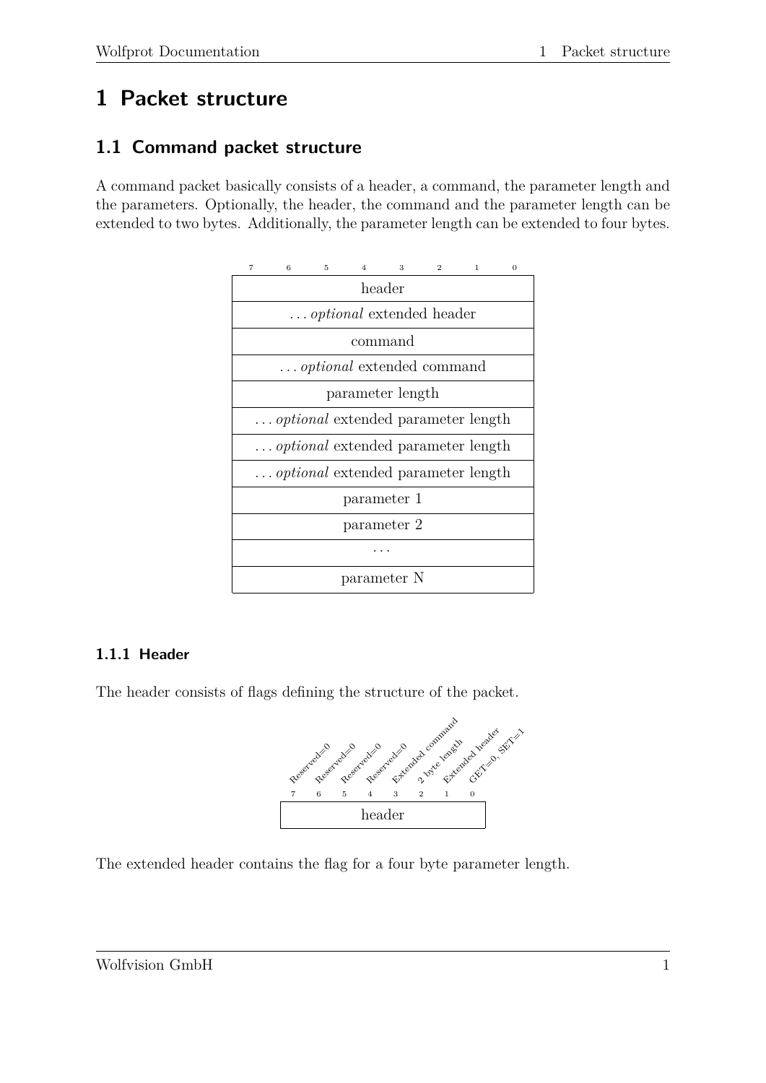# <span id="page-5-0"></span>**1 Packet structure**

# <span id="page-5-1"></span>**1.1 Command packet structure**

A command packet basically consists of a header, a command, the parameter length and the parameters. Optionally, the header, the command and the parameter length can be extended to two bytes. Additionally, the parameter length can be extended to four bytes.



# <span id="page-5-2"></span>**1.1.1 Header**

The header consists of flags defining the structure of the packet.



The extended header contains the flag for a four byte parameter length.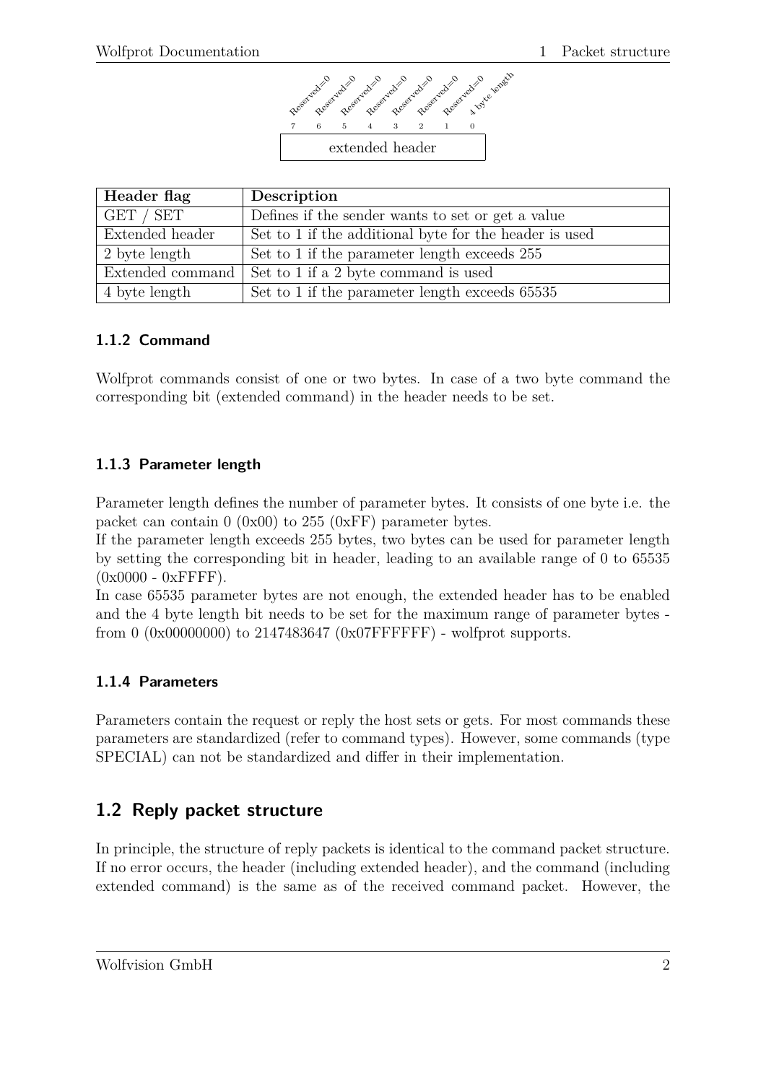

| Header flag     | Description                                             |
|-----------------|---------------------------------------------------------|
| GET / SET       | Defines if the sender wants to set or get a value       |
| Extended header | Set to 1 if the additional byte for the header is used  |
| 2 byte length   | Set to 1 if the parameter length exceeds 255            |
|                 | Extended command   Set to 1 if a 2 byte command is used |
| 4 byte length   | Set to 1 if the parameter length exceeds 65535          |

#### <span id="page-6-0"></span>**1.1.2 Command**

Wolfprot commands consist of one or two bytes. In case of a two byte command the corresponding bit (extended command) in the header needs to be set.

#### <span id="page-6-1"></span>**1.1.3 Parameter length**

Parameter length defines the number of parameter bytes. It consists of one byte i.e. the packet can contain 0 (0x00) to 255 (0xFF) parameter bytes.

If the parameter length exceeds 255 bytes, two bytes can be used for parameter length by setting the corresponding bit in header, leading to an available range of 0 to 65535  $(0x0000 - 0xFFFF)$ .

In case 65535 parameter bytes are not enough, the extended header has to be enabled and the 4 byte length bit needs to be set for the maximum range of parameter bytes from 0  $(0x00000000)$  to 2147483647  $(0x07$  FFFFFFF $)$  - wolfprot supports.

#### <span id="page-6-2"></span>**1.1.4 Parameters**

Parameters contain the request or reply the host sets or gets. For most commands these parameters are standardized (refer to command types). However, some commands (type SPECIAL) can not be standardized and differ in their implementation.

# <span id="page-6-3"></span>**1.2 Reply packet structure**

In principle, the structure of reply packets is identical to the command packet structure. If no error occurs, the header (including extended header), and the command (including extended command) is the same as of the received command packet. However, the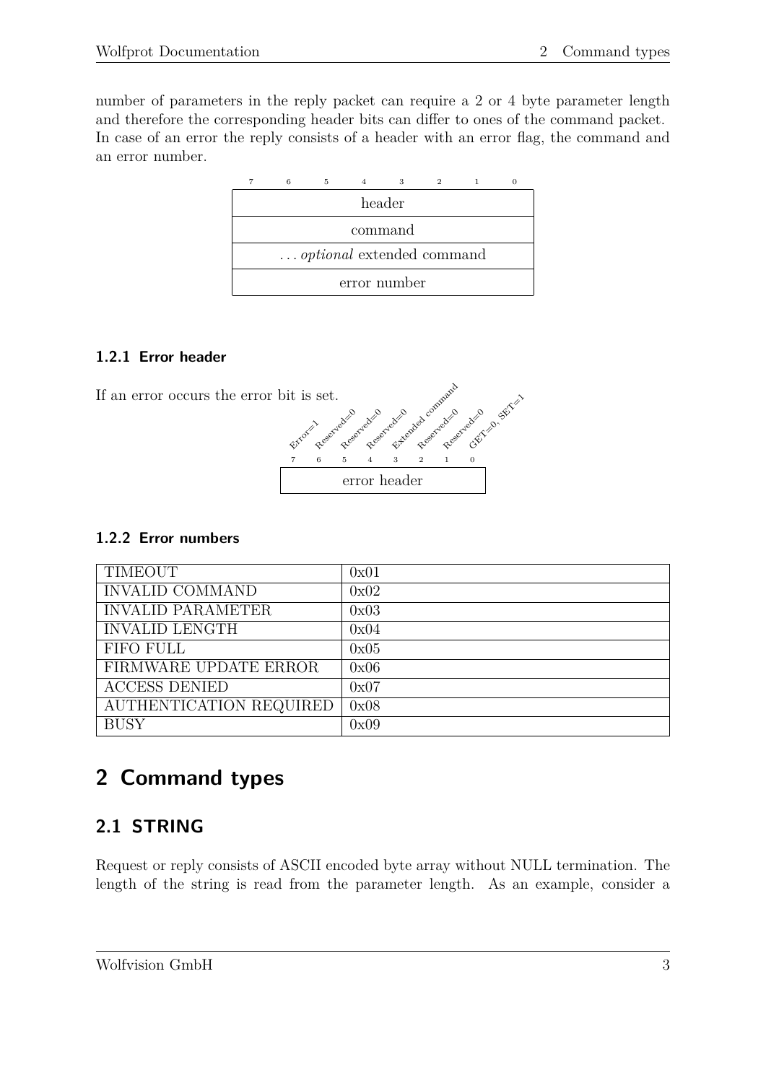number of parameters in the reply packet can require a 2 or 4 byte parameter length and therefore the corresponding header bits can differ to ones of the command packet. In case of an error the reply consists of a header with an error flag, the command and an error number.

|                                  | 5 |  |  |  |  |  |  |  |  |  |  |  |
|----------------------------------|---|--|--|--|--|--|--|--|--|--|--|--|
| header                           |   |  |  |  |  |  |  |  |  |  |  |  |
| command                          |   |  |  |  |  |  |  |  |  |  |  |  |
| <i>optional</i> extended command |   |  |  |  |  |  |  |  |  |  |  |  |
| error number                     |   |  |  |  |  |  |  |  |  |  |  |  |

#### <span id="page-7-0"></span>**1.2.1 Error header**



#### <span id="page-7-1"></span>**1.2.2 Error numbers**

| <b>TIMEOUT</b>           | 0x01 |
|--------------------------|------|
| <b>INVALID COMMAND</b>   | 0x02 |
| <b>INVALID PARAMETER</b> | 0x03 |
| <b>INVALID LENGTH</b>    | 0x04 |
| <b>FIFO FULL</b>         | 0x05 |
| FIRMWARE UPDATE ERROR    | 0x06 |
| <b>ACCESS DENIED</b>     | 0x07 |
| AUTHENTICATION REQUIRED  | 0x08 |
| <b>BUSY</b>              | 0x09 |

# <span id="page-7-2"></span>**2 Command types**

# <span id="page-7-3"></span>**2.1 STRING**

Request or reply consists of ASCII encoded byte array without NULL termination. The length of the string is read from the parameter length. As an example, consider a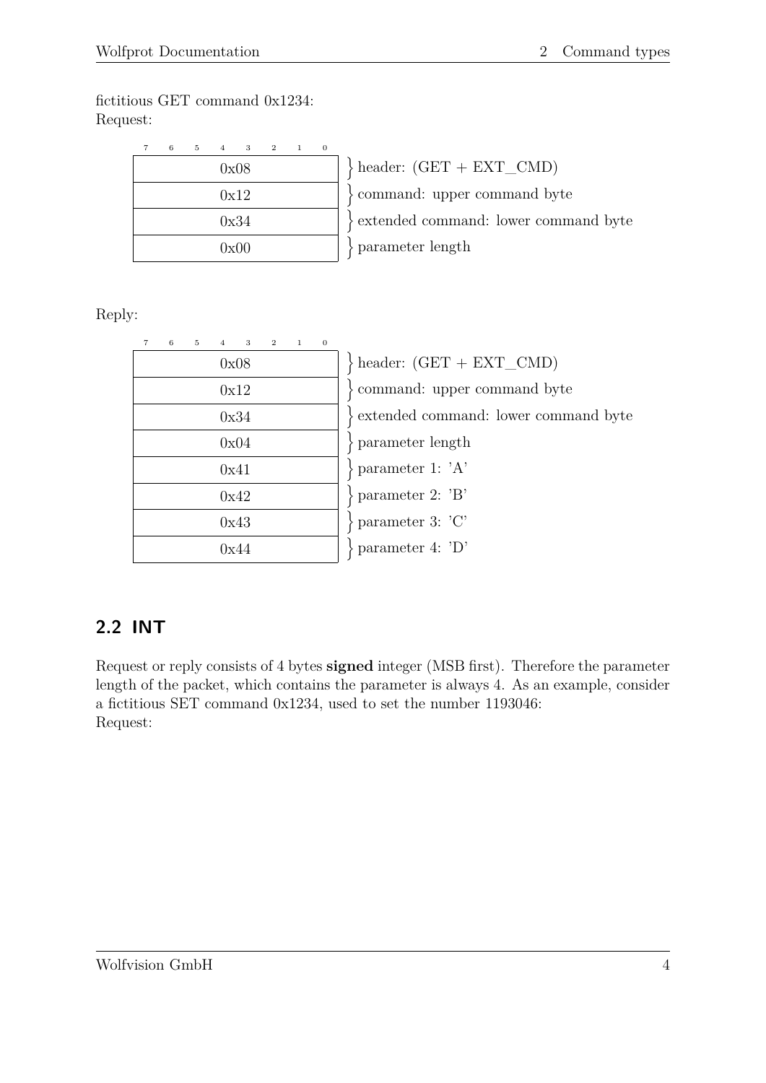fictitious GET command 0x1234: Request:

| 7 | 6 | 5 | $\overline{A}$ | 3    | $\mathbf{2}$ | $\mathbf{1}$ | $\Omega$ |              |
|---|---|---|----------------|------|--------------|--------------|----------|--------------|
|   |   |   |                | 0x08 |              |              |          | $\}$ header: |
|   |   |   |                | 0x12 |              |              |          | comma        |
|   |   |   |                | 0x34 |              |              |          | extende      |
|   |   |   |                | 0x00 |              |              |          | parame       |

 $(GET + EXT$  CMD) nd: upper command byte ed command: lower command byte eter length

Reply:

| $\overline{7}$ | 6 | $5\,$ | 4 3 |      | $\mathbf{2}$ | $\mathbf{1}$ | $\overline{0}$ |  |
|----------------|---|-------|-----|------|--------------|--------------|----------------|--|
|                |   |       |     | 0x08 |              |              |                |  |
|                |   |       |     | 0x12 |              |              |                |  |
|                |   |       |     | 0x34 |              |              |                |  |
|                |   |       |     | 0x04 |              |              |                |  |
|                |   |       |     | 0x41 |              |              |                |  |
|                |   |       |     | 0x42 |              |              |                |  |
|                |   |       |     | 0x43 |              |              |                |  |
|                |   |       |     | 0x44 |              |              |                |  |

 $\}$  header:  $(GET + EXT$  CMD) command: upper command byte extended command: lower command byte parameter length parameter 1: 'A' parameter 2: 'B' parameter 3: 'C' parameter 4: 'D'

# <span id="page-8-0"></span>**2.2 INT**

Request or reply consists of 4 bytes **signed** integer (MSB first). Therefore the parameter length of the packet, which contains the parameter is always 4. As an example, consider a fictitious SET command 0x1234, used to set the number 1193046: Request: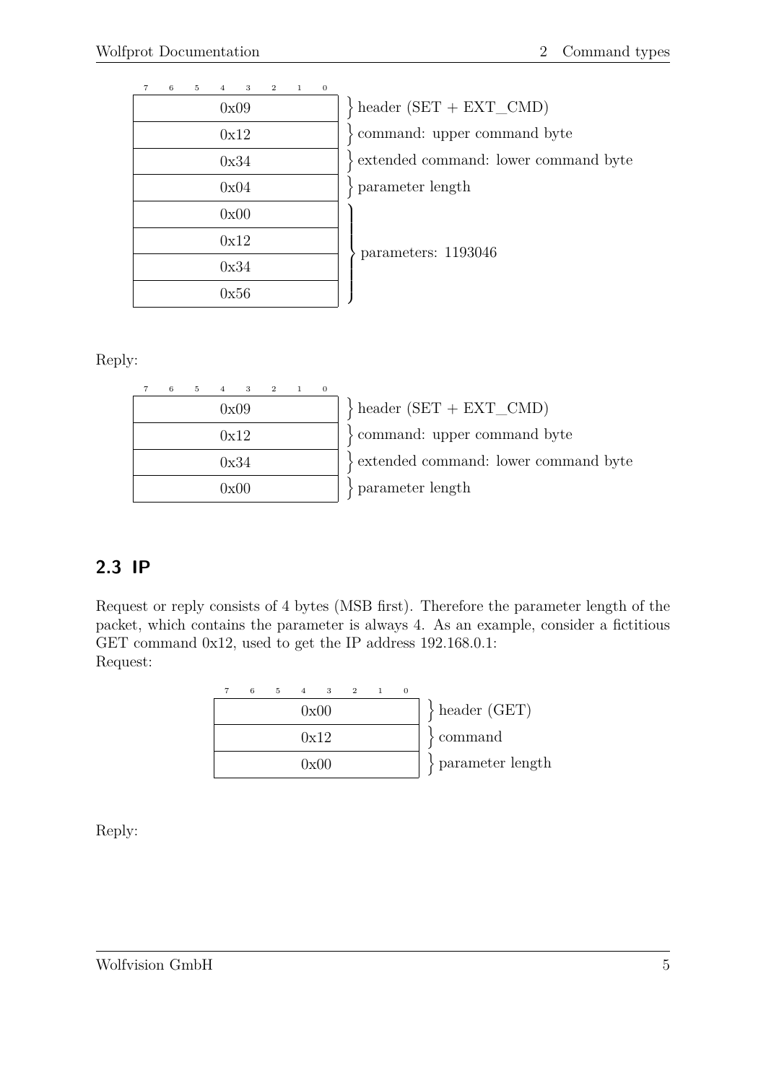| $\overline{7}$ | $6\overline{6}$ | 5 4 | $3 -$ | $\overline{\phantom{a}2}$ | $\mathbf{1}$ | $\mathbf{0}$ |  |
|----------------|-----------------|-----|-------|---------------------------|--------------|--------------|--|
|                |                 |     | 0x09  |                           |              |              |  |
|                |                 |     | 0x12  |                           |              |              |  |
|                |                 |     | 0x34  |                           |              |              |  |
|                |                 |     | 0x04  |                           |              |              |  |
|                |                 |     | 0x00  |                           |              |              |  |
|                |                 |     | 0x12  |                           |              |              |  |
|                |                 |     | 0x34  |                           |              |              |  |
|                |                 |     | 0x56  |                           |              |              |  |

 $\text{header (SET + EXT CMD)}$ command: upper command byte extended command: lower command byte parameter length

parameters: 1193046

Reply:

| 6 | 5 | $\overline{4}$ | 3    | $\overline{2}$ | 1 |  |
|---|---|----------------|------|----------------|---|--|
|   |   |                | 0x09 |                |   |  |
|   |   |                | 0x12 |                |   |  |
|   |   |                | 0x34 |                |   |  |
|   |   |                | 0x00 |                |   |  |
|   |   |                |      |                |   |  |

 $\text{header (SET + EXT\_CMD)}$ command: upper command byte extended command: lower command byte parameter length

# <span id="page-9-0"></span>**2.3 IP**

Request or reply consists of 4 bytes (MSB first). Therefore the parameter length of the packet, which contains the parameter is always 4. As an example, consider a fictitious GET command 0x12, used to get the IP address 192.168.0.1: Request:

| $^{(1)}$              |  |      | 5 4 3 2 1 | 6 |  |
|-----------------------|--|------|-----------|---|--|
| $\}$ header (GET)     |  | 0x00 |           |   |  |
| $\mathcal{S}$ command |  | 0x12 |           |   |  |
| parameter length      |  | 0x00 |           |   |  |

Reply: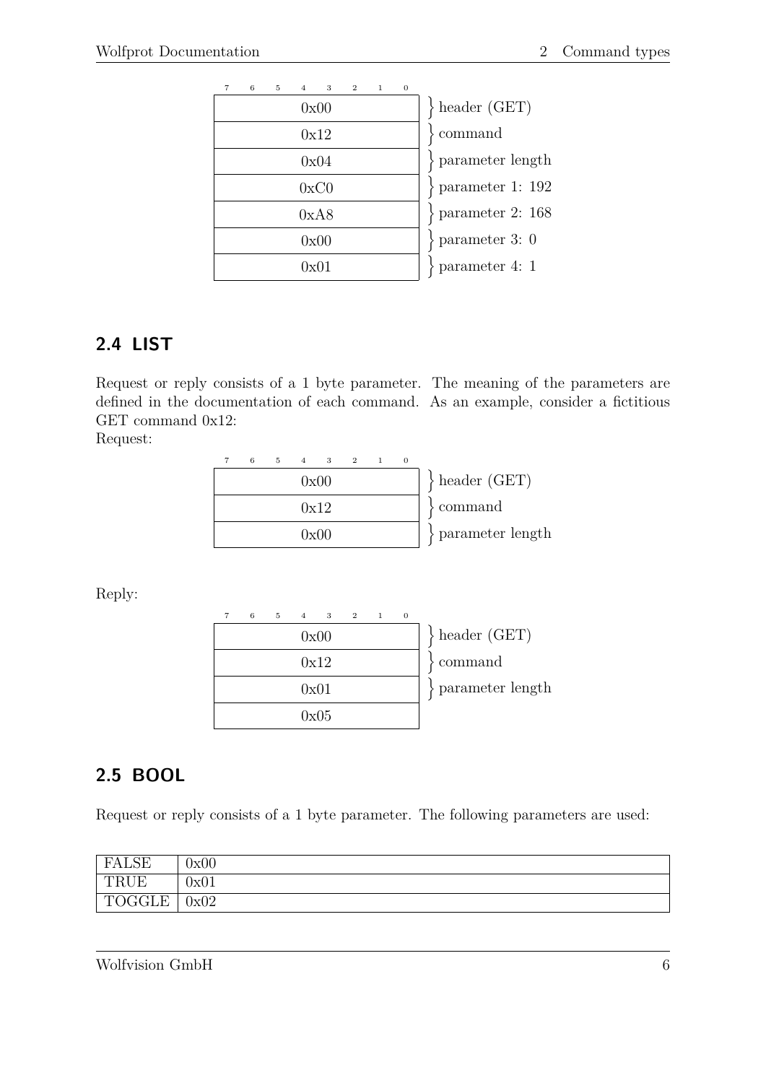| $\overline{7}$ | 6 | 5 | $\overline{4}$ | 3                     | $\overline{2}$ | $\mathbf{1}$ | $\Omega$ |                       |
|----------------|---|---|----------------|-----------------------|----------------|--------------|----------|-----------------------|
|                |   |   | 0x00           | $\}$ header (GET)     |                |              |          |                       |
|                |   |   | 0x12           | $\mathcal{S}$ command |                |              |          |                       |
|                |   |   |                | 0x04                  |                |              |          | $\{$ parameter length |
|                |   |   |                | 0xC0                  |                |              |          | $\}$ parameter 1: 192 |
|                |   |   |                | 0xA8                  |                |              |          | $\}$ parameter 2: 168 |
|                |   |   |                | 0x00                  |                |              |          | $\}$ parameter 3: 0   |
|                |   |   |                | 0x01                  |                |              |          | $\}$ parameter 4: 1   |

# <span id="page-10-0"></span>**2.4 LIST**

Request or reply consists of a 1 byte parameter. The meaning of the parameters are defined in the documentation of each command. As an example, consider a fictitious GET command 0x12:

Request:

| 6 | 5. | 4 3 2 1 |      |  | $\theta$ |                   |
|---|----|---------|------|--|----------|-------------------|
|   |    |         | 0x00 |  |          | $\}$ header (GET) |
|   |    |         | 0x12 |  |          | $\gamma$ command  |
|   |    |         | 0x00 |  |          | parameter length  |

Reply:

| 6 | $5 \quad 4$ | $\mathbf{3}$ | 2 1 | $\theta$ |                    |
|---|-------------|--------------|-----|----------|--------------------|
|   |             | 0x00         |     |          | $\}$ header (GET)  |
|   |             | 0x12         |     |          | $\sqrt{2}$ command |
|   | 0x01        |              |     |          | parameter length   |
|   |             | 0x05         |     |          |                    |

# <span id="page-10-1"></span>**2.5 BOOL**

Request or reply consists of a 1 byte parameter. The following parameters are used:

| FALSE                                    | 0x00 |
|------------------------------------------|------|
| TRUE                                     | 0x01 |
| <b>TOGGLE</b><br>$\mathsf{Tr}\mathsf{C}$ | 0x02 |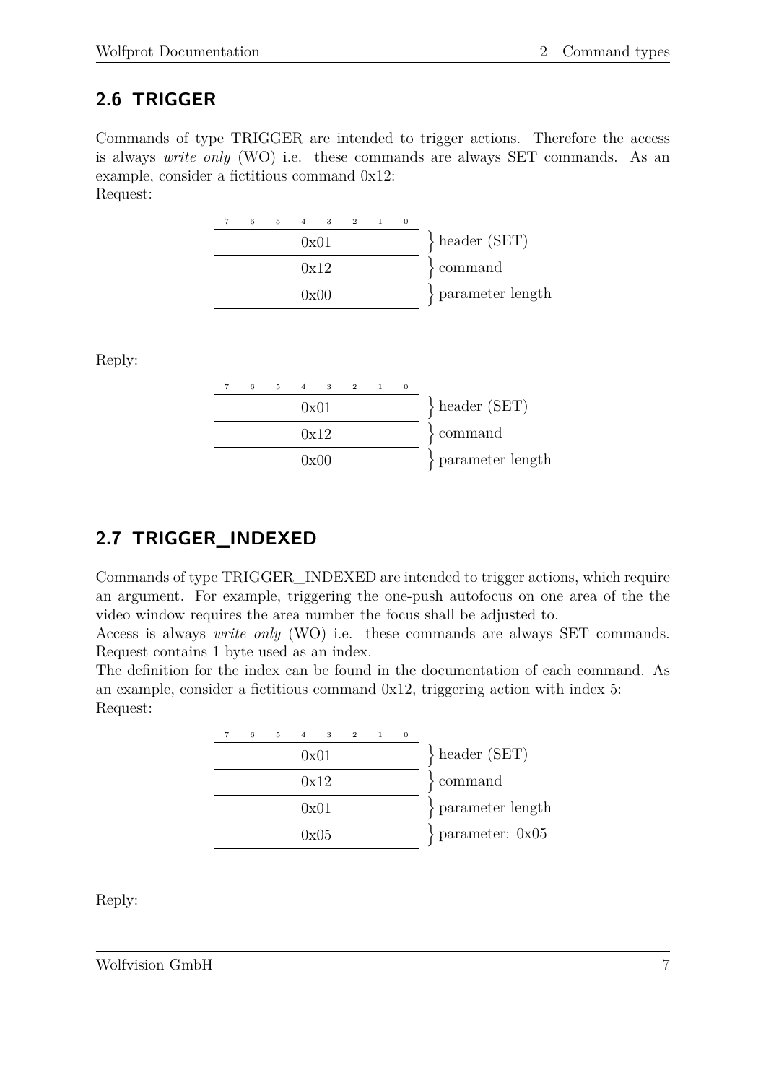# <span id="page-11-0"></span>**2.6 TRIGGER**

Commands of type TRIGGER are intended to trigger actions. Therefore the access is always *write only* (WO) i.e. these commands are always SET commands. As an example, consider a fictitious command 0x12: Request:

| 6 | 5 4 3 2 1 |                       |  |  |                       |
|---|-----------|-----------------------|--|--|-----------------------|
|   | 0x01      |                       |  |  | $\}$ header (SET)     |
|   | 0x12      | $\mathcal{S}$ command |  |  |                       |
|   |           | 0x00                  |  |  | $\}$ parameter length |

Reply:

| 6 |      | $5 \t 4 \t 3 \t 2 \t 1$ |  |                       |
|---|------|-------------------------|--|-----------------------|
|   | 0x01 |                         |  | $\}$ header (SET)     |
|   |      | 0x12                    |  | command               |
|   |      | 0x00                    |  | $\}$ parameter length |

# <span id="page-11-1"></span>**2.7 TRIGGER\_INDEXED**

Commands of type TRIGGER\_INDEXED are intended to trigger actions, which require an argument. For example, triggering the one-push autofocus on one area of the the video window requires the area number the focus shall be adjusted to.

Access is always *write only* (WO) i.e. these commands are always SET commands. Request contains 1 byte used as an index.

The definition for the index can be found in the documentation of each command. As an example, consider a fictitious command 0x12, triggering action with index 5: Request:

|  | 6 | 5 | $\overline{A}$ | $\overline{\mathbf{3}}$ | $\overline{2}$ | $\Omega$ |                           |
|--|---|---|----------------|-------------------------|----------------|----------|---------------------------|
|  |   |   |                | 0x01                    |                |          | $\}$ header (SET)         |
|  |   |   |                | 0x12                    |                |          | $\mathcal{S}$ command     |
|  |   |   |                | 0x01                    |                |          | $\}$ parameter length     |
|  |   |   |                | 0x05                    |                |          | $\text{parameter: } 0x05$ |

Reply: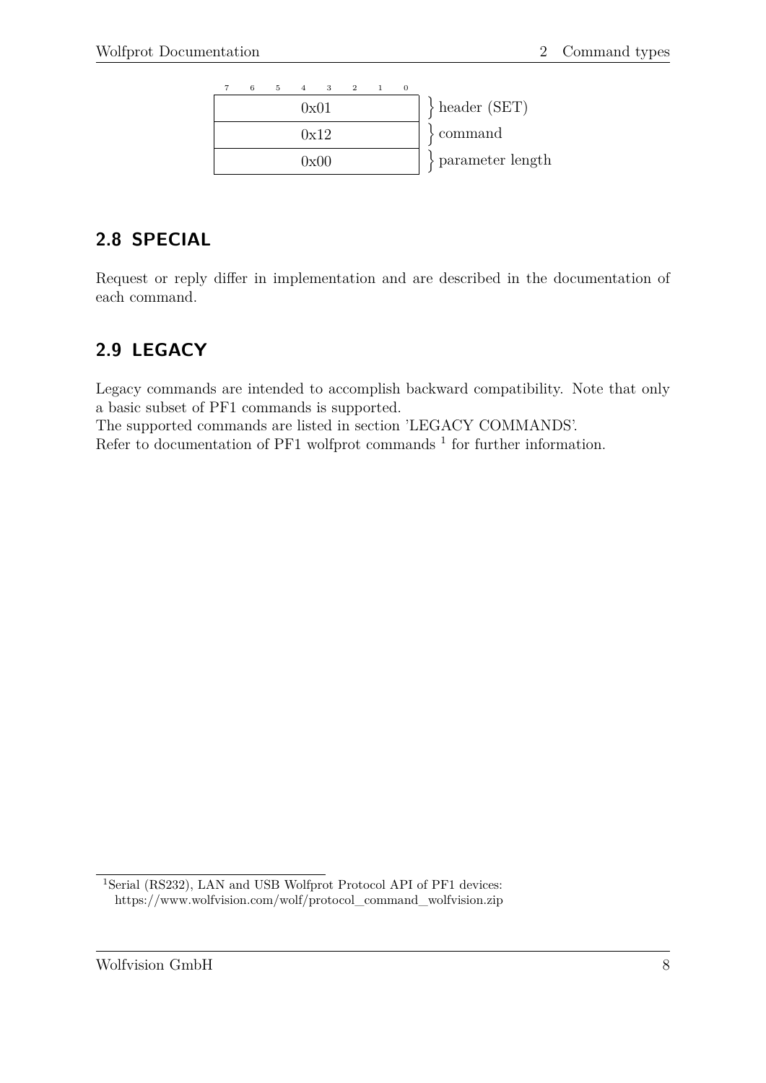

# <span id="page-12-0"></span>**2.8 SPECIAL**

Request or reply differ in implementation and are described in the documentation of each command.

# <span id="page-12-1"></span>**2.9 LEGACY**

Legacy commands are intended to accomplish backward compatibility. Note that only a basic subset of PF1 commands is supported.

The supported commands are listed in section 'LEGACY COMMANDS'. Refer to documentation of PF[1](#page-12-2) wolfprot commands  $<sup>1</sup>$  for further information.</sup>

<span id="page-12-2"></span><sup>&</sup>lt;sup>1</sup>[Serial \(RS232\), LAN and USB Wolfprot Protocol API of PF1 devices:](https://www.wolfvision.com/wolf/protocol_command_wolfvision.zip) [https://www.wolfvision.com/wolf/protocol\\_command\\_wolfvision.zip](https://www.wolfvision.com/wolf/protocol_command_wolfvision.zip)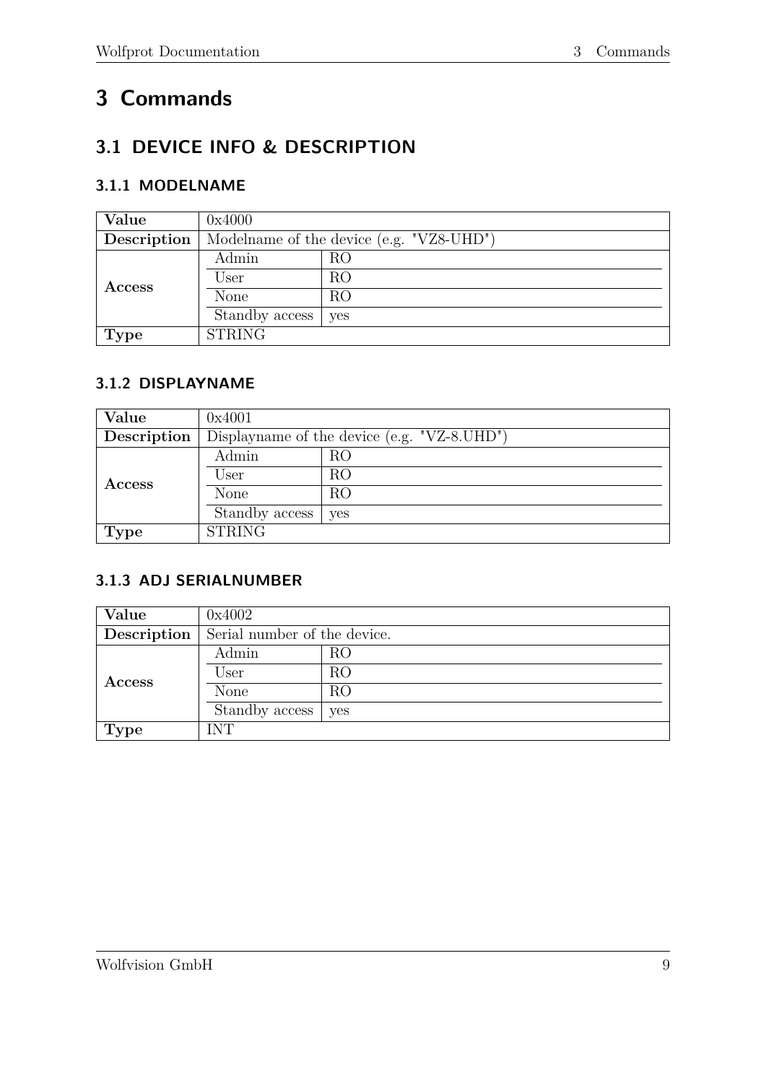# <span id="page-13-0"></span>**3 Commands**

# <span id="page-13-1"></span>**3.1 DEVICE INFO & DESCRIPTION**

### <span id="page-13-2"></span>**3.1.1 MODELNAME**

| Value       | 0x4000                                   |                |  |  |  |  |  |
|-------------|------------------------------------------|----------------|--|--|--|--|--|
| Description | Modelname of the device (e.g. "VZ8-UHD") |                |  |  |  |  |  |
|             | Admin                                    | RO             |  |  |  |  |  |
| Access      | User                                     | RO             |  |  |  |  |  |
|             | None                                     | R <sub>O</sub> |  |  |  |  |  |
|             | Standby access                           | yes            |  |  |  |  |  |
| <b>Type</b> | <b>STRING</b>                            |                |  |  |  |  |  |

#### <span id="page-13-3"></span>**3.1.2 DISPLAYNAME**

| Value         | 0x4001                                         |     |  |  |  |  |  |
|---------------|------------------------------------------------|-----|--|--|--|--|--|
| Description   | Displaymame of the device (e.g. $"VZ-8.UHD"$ ) |     |  |  |  |  |  |
|               | Admin                                          | RO  |  |  |  |  |  |
| <b>Access</b> | User                                           | RO  |  |  |  |  |  |
|               | None                                           | RO  |  |  |  |  |  |
|               | Standby access                                 | yes |  |  |  |  |  |
| Type          | <b>STRING</b>                                  |     |  |  |  |  |  |

# <span id="page-13-4"></span>**3.1.3 ADJ SERIALNUMBER**

| Value       | 0x4002                                          |     |  |  |  |  |  |
|-------------|-------------------------------------------------|-----|--|--|--|--|--|
|             | <b>Description</b> Serial number of the device. |     |  |  |  |  |  |
|             | Admin                                           | RO  |  |  |  |  |  |
| Access      | User                                            | RO  |  |  |  |  |  |
|             | None                                            | RO  |  |  |  |  |  |
|             | Standby access                                  | yes |  |  |  |  |  |
| <b>Type</b> | <b>INT</b>                                      |     |  |  |  |  |  |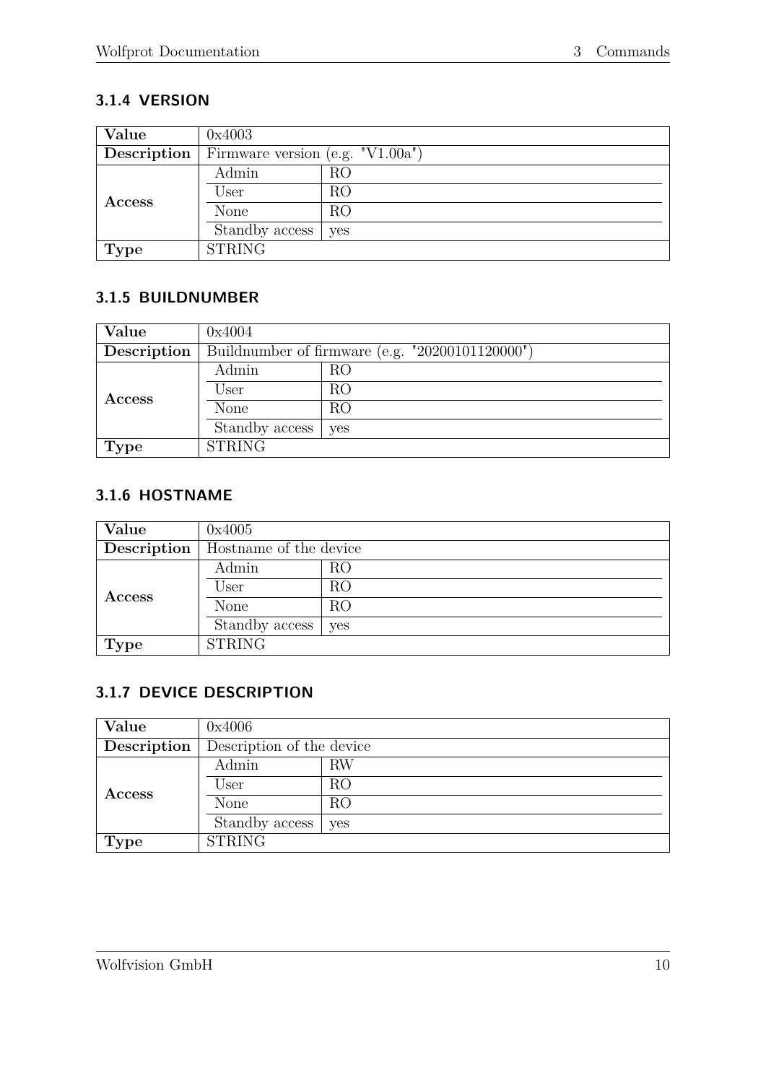# <span id="page-14-0"></span>**3.1.4 VERSION**

| Value         | 0x4003                              |     |  |  |  |  |  |
|---------------|-------------------------------------|-----|--|--|--|--|--|
| Description   | Firmware version (e.g. $"V1.00a"$ ) |     |  |  |  |  |  |
|               | Admin                               | RO  |  |  |  |  |  |
| <b>Access</b> | User                                | RO  |  |  |  |  |  |
|               | <b>None</b>                         | RO  |  |  |  |  |  |
|               | Standby access                      | yes |  |  |  |  |  |
| <b>Type</b>   | <b>STRING</b>                       |     |  |  |  |  |  |

#### <span id="page-14-1"></span>**3.1.5 BUILDNUMBER**

| Value         | 0x4004                                          |     |  |
|---------------|-------------------------------------------------|-----|--|
| Description   | Buildnumber of firmware (e.g. "20200101120000") |     |  |
| <b>Access</b> | Admin                                           | RO  |  |
|               | User                                            | RO  |  |
|               | None                                            | RO  |  |
|               | Standby access                                  | yes |  |
| <b>Type</b>   | <b>STRING</b>                                   |     |  |

### <span id="page-14-2"></span>**3.1.6 HOSTNAME**

| Value       | 0x4005                 |     |  |
|-------------|------------------------|-----|--|
| Description | Hostname of the device |     |  |
| Access      | Admin                  | RO  |  |
|             | User                   | RO  |  |
|             | None                   | RO  |  |
|             | Standby access         | yes |  |
| <b>Type</b> | <b>STRING</b>          |     |  |

# <span id="page-14-3"></span>**3.1.7 DEVICE DESCRIPTION**

| Value         | 0x4006                    |     |  |
|---------------|---------------------------|-----|--|
| Description   | Description of the device |     |  |
| <b>Access</b> | Admin                     | RW  |  |
|               | User                      | RO  |  |
|               | None                      | RO  |  |
|               | Standby access            | yes |  |
| Type          | <b>STRING</b>             |     |  |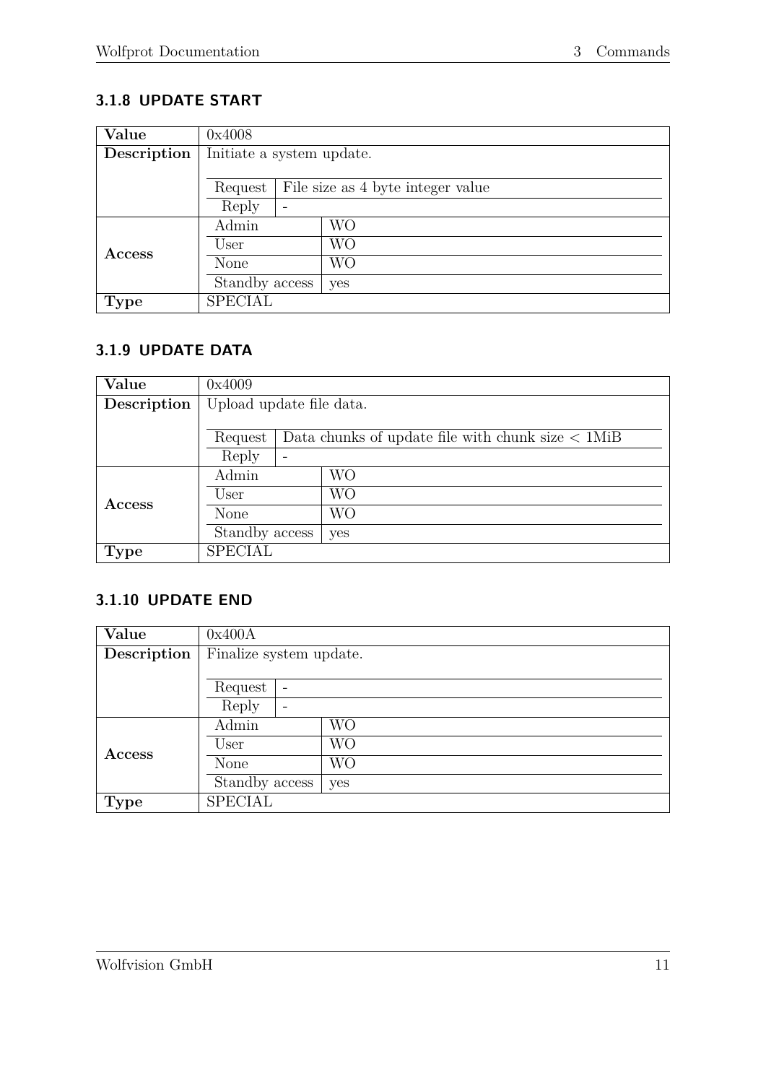# <span id="page-15-0"></span>**3.1.8 UPDATE START**

| Value         | 0x4008                                       |   |     |
|---------------|----------------------------------------------|---|-----|
| Description   | Initiate a system update.                    |   |     |
|               |                                              |   |     |
|               | File size as 4 byte integer value<br>Request |   |     |
|               | Reply                                        | - |     |
|               | Admin<br>WO                                  |   |     |
| <b>Access</b> | User                                         |   | WО  |
|               | None                                         |   | WО  |
|               | Standby access                               |   | yes |
| <b>Type</b>   | <b>SPECIAL</b>                               |   |     |

### <span id="page-15-1"></span>**3.1.9 UPDATE DATA**

| Value         | 0x4009                   |                                                           |     |  |
|---------------|--------------------------|-----------------------------------------------------------|-----|--|
| Description   | Upload update file data. |                                                           |     |  |
|               |                          |                                                           |     |  |
|               | Request                  | Data chunks of update file with chunk size $\langle$ 1MiB |     |  |
|               | Reply                    | $\overline{\phantom{0}}$                                  |     |  |
|               | Admin                    |                                                           | WО  |  |
| <b>Access</b> | User                     |                                                           | WO  |  |
|               | None                     |                                                           | WO  |  |
|               | Standby access           |                                                           | yes |  |
| <b>Type</b>   | <b>SPECIAL</b>           |                                                           |     |  |

#### <span id="page-15-2"></span>**3.1.10 UPDATE END**

| Value         | 0x400A                                |           |  |
|---------------|---------------------------------------|-----------|--|
| Description   | Finalize system update.               |           |  |
|               |                                       |           |  |
|               | Request<br>$\overline{\phantom{a}}$   |           |  |
|               | Reply<br>$\qquad \qquad \blacksquare$ |           |  |
|               | Admin                                 | <b>WO</b> |  |
| <b>Access</b> | User                                  | WО        |  |
|               | None                                  | <b>WO</b> |  |
|               | Standby access                        | yes       |  |
| Type          | <b>SPECIAL</b>                        |           |  |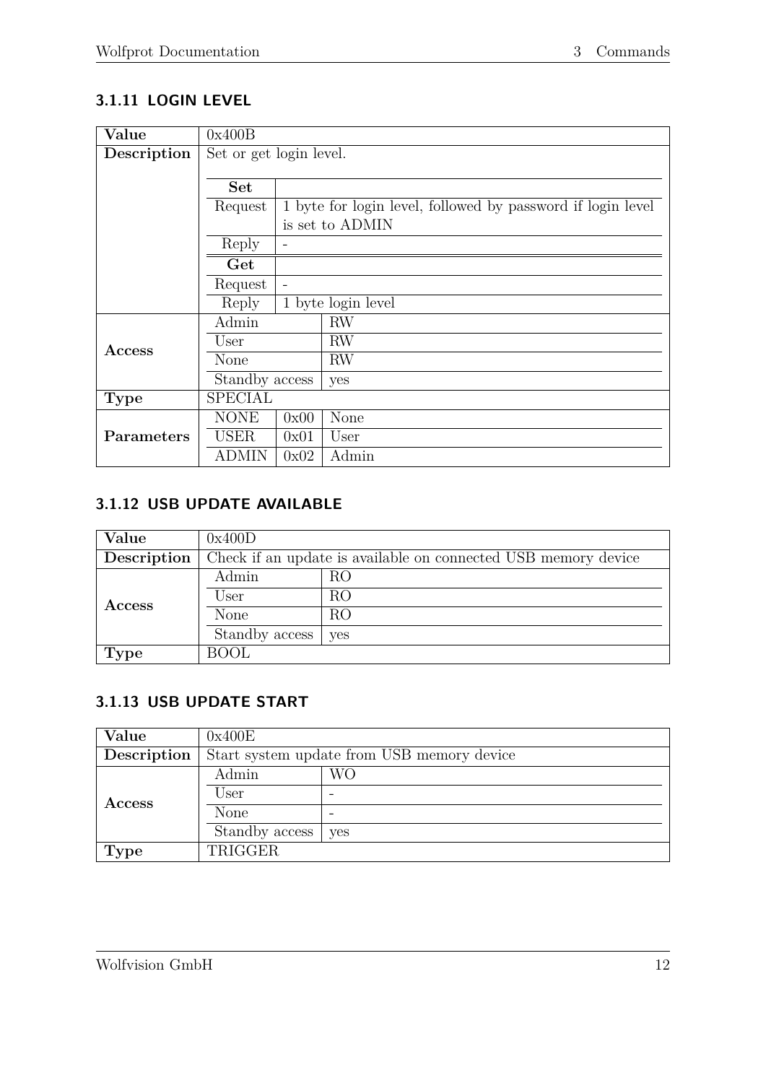# <span id="page-16-0"></span>**3.1.11 LOGIN LEVEL**

| Value       | 0x400B                                                                 |                |                    |  |
|-------------|------------------------------------------------------------------------|----------------|--------------------|--|
| Description | Set or get login level.                                                |                |                    |  |
|             |                                                                        |                |                    |  |
|             | <b>Set</b>                                                             |                |                    |  |
|             | 1 byte for login level, followed by password if login level<br>Request |                |                    |  |
|             |                                                                        |                | is set to ADMIN    |  |
|             | Reply                                                                  | $\overline{a}$ |                    |  |
|             | Get                                                                    |                |                    |  |
|             | Request                                                                |                |                    |  |
|             | Reply                                                                  |                | 1 byte login level |  |
|             | Admin                                                                  |                | RW                 |  |
| Access      | User                                                                   |                | RW                 |  |
|             | None                                                                   |                | RW                 |  |
|             | Standby access                                                         |                | yes                |  |
| <b>Type</b> | <b>SPECIAL</b>                                                         |                |                    |  |
|             | <b>NONE</b>                                                            | 0x00           | None               |  |
| Parameters  | <b>USER</b>                                                            | 0x01           | User               |  |
|             | ADMIN                                                                  | 0x02           | Admin              |  |

# <span id="page-16-1"></span>**3.1.12 USB UPDATE AVAILABLE**

| Value       | 0x400D                                                         |     |  |
|-------------|----------------------------------------------------------------|-----|--|
| Description | Check if an update is available on connected USB memory device |     |  |
| Access      | Admin                                                          | RO  |  |
|             | User                                                           | RO  |  |
|             | None                                                           | RO  |  |
|             | Standby access                                                 | yes |  |
| <b>Type</b> | <b>BOOL</b>                                                    |     |  |

# <span id="page-16-2"></span>**3.1.13 USB UPDATE START**

| Value         | 0x400E                                     |     |  |
|---------------|--------------------------------------------|-----|--|
| Description   | Start system update from USB memory device |     |  |
| <b>Access</b> | Admin                                      | WО  |  |
|               | User                                       |     |  |
|               | None                                       |     |  |
|               | Standby access                             | yes |  |
| <b>Type</b>   | TRIGGER                                    |     |  |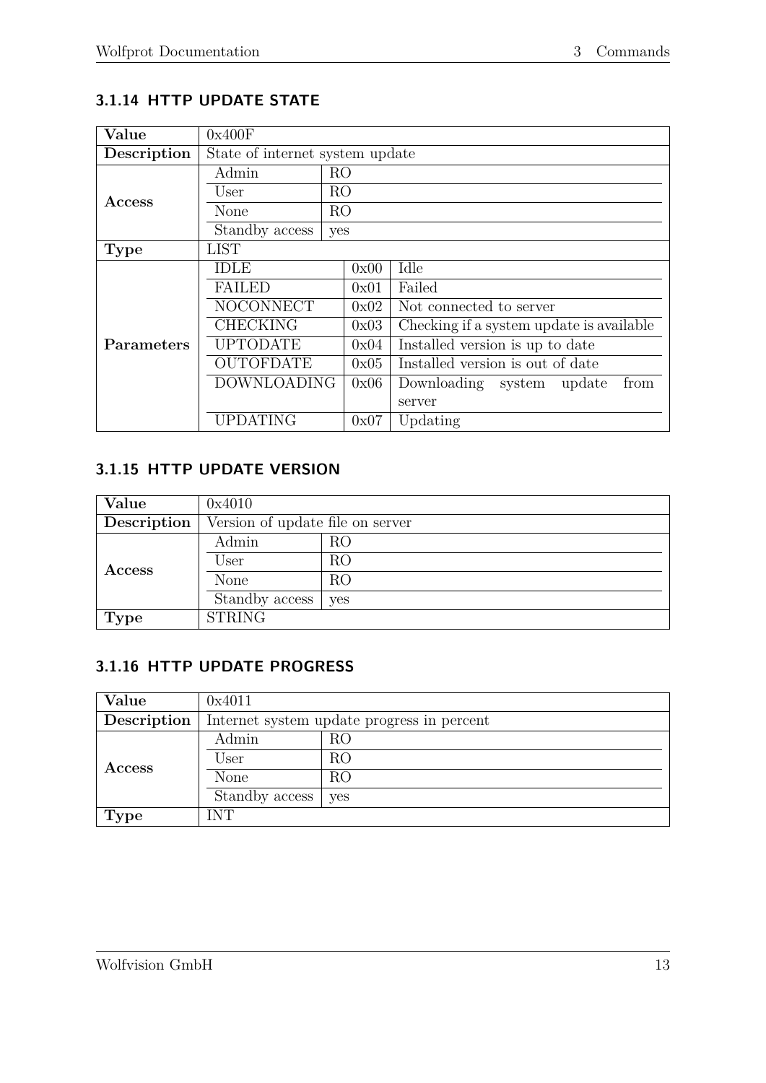# <span id="page-17-0"></span>**3.1.14 HTTP UPDATE STATE**

| Value             | 0x400F                          |                |                                          |  |
|-------------------|---------------------------------|----------------|------------------------------------------|--|
| Description       | State of internet system update |                |                                          |  |
|                   | Admin                           | RO             |                                          |  |
| Access            | User                            | <b>RO</b>      |                                          |  |
|                   | None                            | R <sub>O</sub> |                                          |  |
|                   | Standby access                  | yes            |                                          |  |
| <b>Type</b>       | <b>LIST</b>                     |                |                                          |  |
|                   | <b>IDLE</b>                     | 0x00           | Idle                                     |  |
|                   | <b>FAILED</b>                   | 0x01           | Failed                                   |  |
|                   | <b>NOCONNECT</b>                | 0x02           | Not connected to server                  |  |
|                   | <b>CHECKING</b>                 | 0x03           | Checking if a system update is available |  |
| <b>Parameters</b> | <b>UPTODATE</b>                 | 0x04           | Installed version is up to date          |  |
|                   | <b>OUTOFDATE</b>                | 0x05           | Installed version is out of date         |  |
|                   | <b>DOWNLOADING</b>              | 0x06           | from<br>Downloading system update        |  |
|                   |                                 |                | server                                   |  |
|                   | <b>UPDATING</b>                 | 0x07           | Updating                                 |  |

# <span id="page-17-1"></span>**3.1.15 HTTP UPDATE VERSION**

| Value         | 0x4010                           |     |  |
|---------------|----------------------------------|-----|--|
| Description   | Version of update file on server |     |  |
| <b>Access</b> | Admin                            | RO  |  |
|               | User                             | RO  |  |
|               | None                             | RO  |  |
|               | Standby access                   | yes |  |
| <b>Type</b>   | <b>STRING</b>                    |     |  |

# <span id="page-17-2"></span>**3.1.16 HTTP UPDATE PROGRESS**

| Value         | 0x4011                                     |     |  |
|---------------|--------------------------------------------|-----|--|
| Description   | Internet system update progress in percent |     |  |
| <b>Access</b> | Admin                                      | RO  |  |
|               | User                                       | RO  |  |
|               | None                                       | RO  |  |
|               | Standby access                             | yes |  |
| <b>Type</b>   | INT                                        |     |  |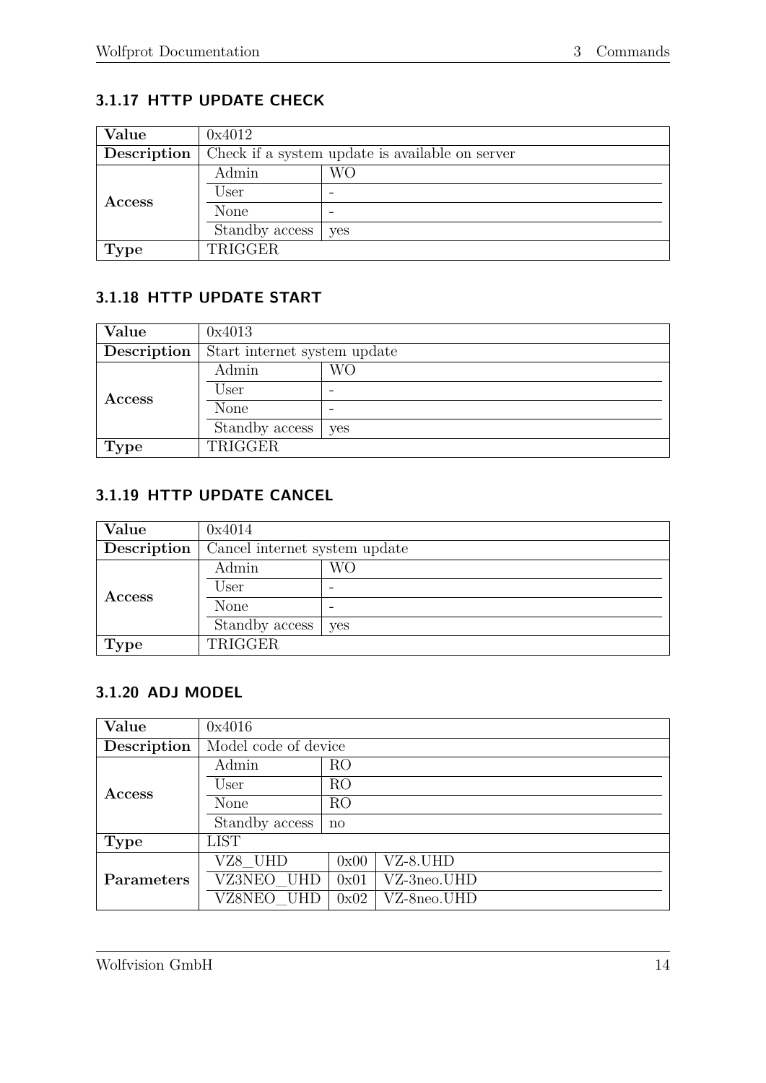# <span id="page-18-0"></span>**3.1.17 HTTP UPDATE CHECK**

| Value         | 0x4012                                          |     |  |
|---------------|-------------------------------------------------|-----|--|
| Description   | Check if a system update is available on server |     |  |
| <b>Access</b> | Admin                                           | WО  |  |
|               | User                                            |     |  |
|               | None                                            |     |  |
|               | Standby access                                  | yes |  |
| <b>Type</b>   | TRIGGER                                         |     |  |

# <span id="page-18-1"></span>**3.1.18 HTTP UPDATE START**

| Value       | 0x4013                       |     |  |  |
|-------------|------------------------------|-----|--|--|
| Description | Start internet system update |     |  |  |
| Access      | Admin                        | WО  |  |  |
|             | User                         |     |  |  |
|             | None                         |     |  |  |
|             | Standby access               | yes |  |  |
| <b>Type</b> | TRIGGER                      |     |  |  |

#### <span id="page-18-2"></span>**3.1.19 HTTP UPDATE CANCEL**

| Value         | 0x4014                        |     |  |
|---------------|-------------------------------|-----|--|
| Description   | Cancel internet system update |     |  |
| <b>Access</b> | Admin                         | WО  |  |
|               | User                          |     |  |
|               | None                          | -   |  |
|               | Standby access                | yes |  |
| <b>Type</b>   | TRIGGER                       |     |  |

# <span id="page-18-3"></span>**3.1.20 ADJ MODEL**

| Value       | 0x4016               |                |             |  |
|-------------|----------------------|----------------|-------------|--|
| Description | Model code of device |                |             |  |
|             | Admin                | RO             |             |  |
| Access      | User                 | R <sub>O</sub> |             |  |
|             | None                 | RO             |             |  |
|             | Standby access       | no             |             |  |
| <b>Type</b> | <b>LIST</b>          |                |             |  |
|             | VZ8 UHD              | 0x00           | VZ-8.UHD    |  |
| Parameters  | VZ3NEO_UHD           | 0x01           | VZ-3neo.UHD |  |
|             | VZ8NEO UHD           | 0x02           | VZ-8neo.UHD |  |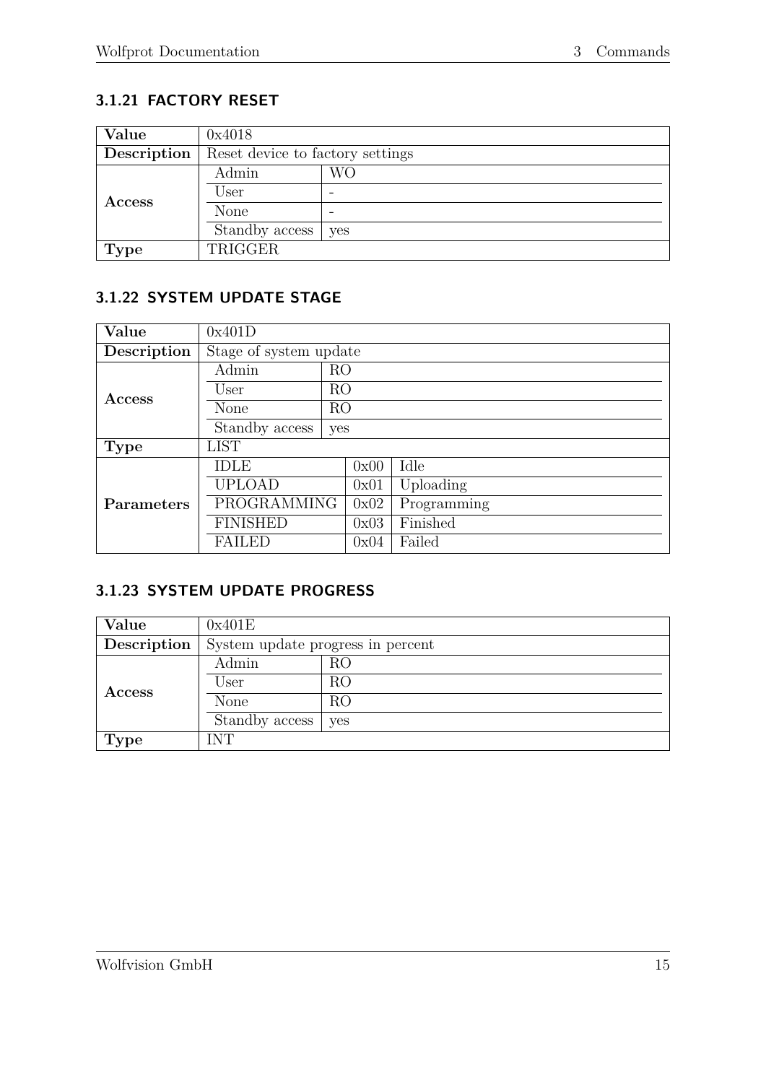# <span id="page-19-0"></span>**3.1.21 FACTORY RESET**

| Value       | 0x4018                           |     |  |  |
|-------------|----------------------------------|-----|--|--|
| Description | Reset device to factory settings |     |  |  |
| Access      | Admin                            | WО  |  |  |
|             | User                             |     |  |  |
|             | None                             |     |  |  |
|             | Standby access                   | yes |  |  |
| <b>Type</b> | TRIGGER                          |     |  |  |

# <span id="page-19-1"></span>**3.1.22 SYSTEM UPDATE STAGE**

| Value       | 0x401D                 |                |      |             |  |
|-------------|------------------------|----------------|------|-------------|--|
| Description | Stage of system update |                |      |             |  |
|             | Admin                  | R <sub>O</sub> |      |             |  |
| Access      | User                   | R <sub>O</sub> |      |             |  |
|             | None                   | R <sub>O</sub> |      |             |  |
|             | Standby access<br>yes  |                |      |             |  |
| <b>Type</b> | <b>LIST</b>            |                |      |             |  |
|             | <b>IDLE</b>            |                | 0x00 | Idle        |  |
|             | <b>UPLOAD</b>          |                | 0x01 | Uploading   |  |
| Parameters  | <b>PROGRAMMING</b>     |                | 0x02 | Programming |  |
|             | <b>FINISHED</b>        |                | 0x03 | Finished    |  |
|             | <b>FAILED</b>          |                | 0x04 | Failed      |  |

#### <span id="page-19-2"></span>**3.1.23 SYSTEM UPDATE PROGRESS**

| Value       | 0x401E                            |     |  |
|-------------|-----------------------------------|-----|--|
| Description | System update progress in percent |     |  |
| Access      | Admin                             | RO  |  |
|             | User                              | RO  |  |
|             | None                              | RO  |  |
|             | Standby access                    | yes |  |
| <b>Type</b> | INT                               |     |  |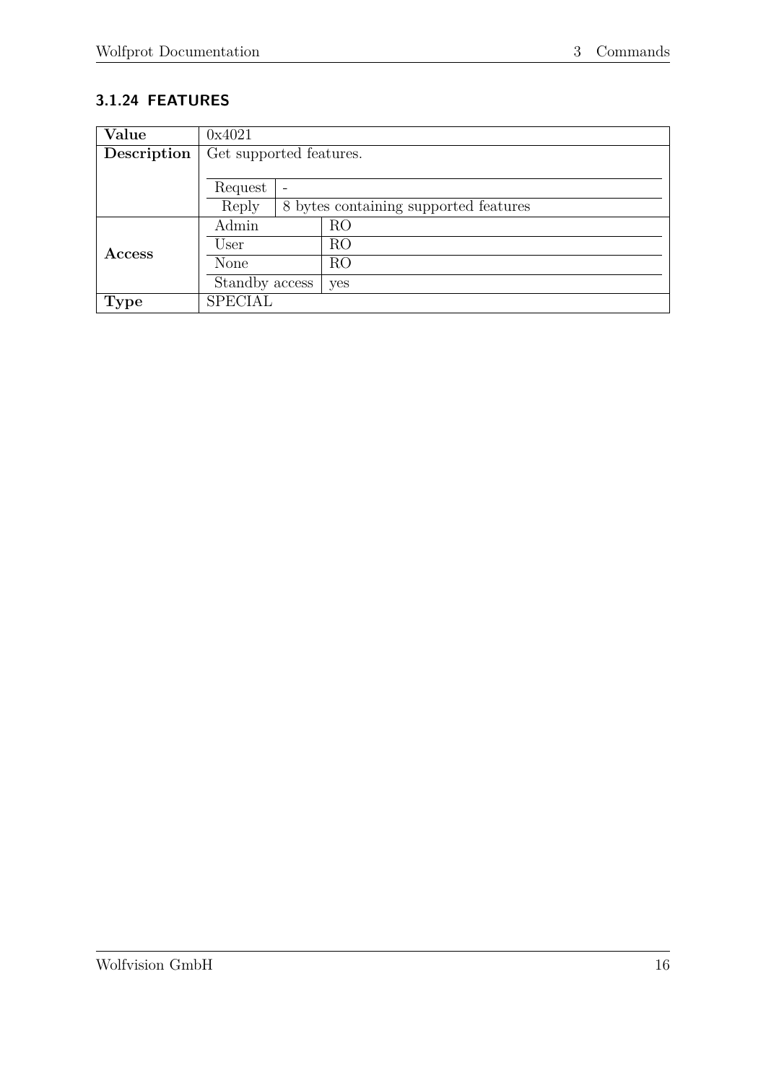# <span id="page-20-0"></span>**3.1.24 FEATURES**

| Value         | 0x4021                  |  |                                       |
|---------------|-------------------------|--|---------------------------------------|
| Description   | Get supported features. |  |                                       |
|               |                         |  |                                       |
|               | Request                 |  |                                       |
|               | Reply                   |  | 8 bytes containing supported features |
|               | Admin                   |  | R <sub>O</sub>                        |
| <b>Access</b> | User                    |  | RO                                    |
|               | None                    |  | RO                                    |
|               | Standby access          |  | yes                                   |
| <b>Type</b>   | <b>SPECIAL</b>          |  |                                       |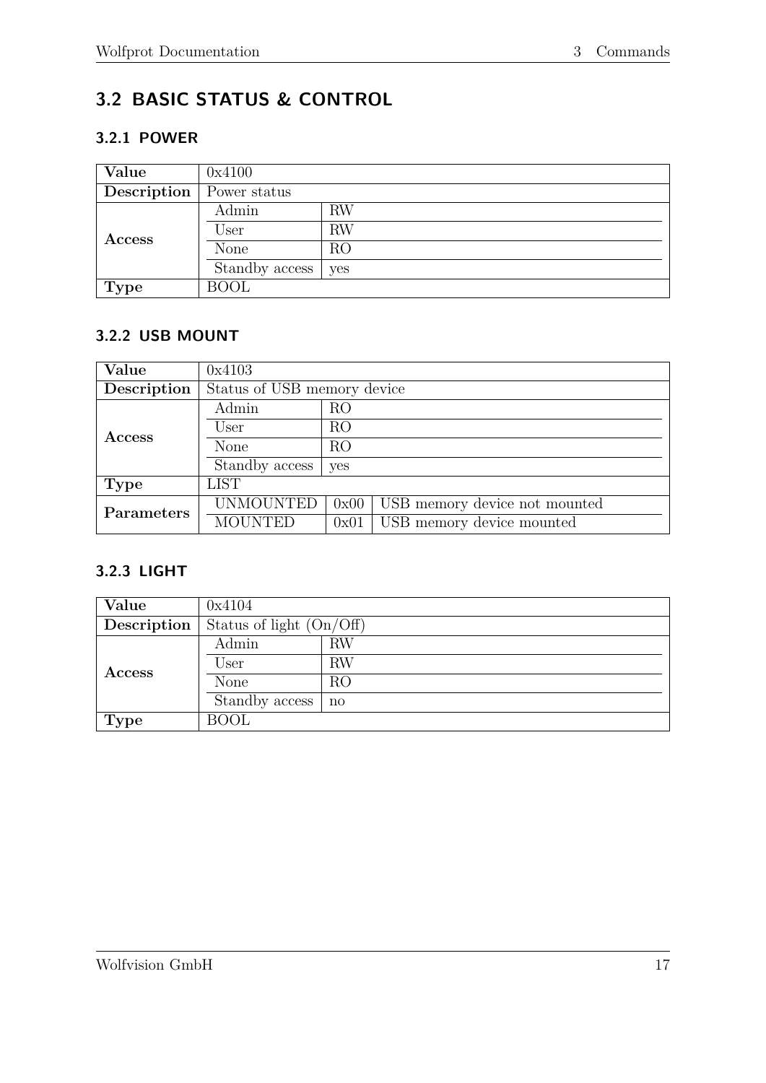# <span id="page-21-0"></span>**3.2 BASIC STATUS & CONTROL**

## <span id="page-21-1"></span>**3.2.1 POWER**

| Value       | 0x4100         |           |  |
|-------------|----------------|-----------|--|
| Description | Power status   |           |  |
|             | Admin          | <b>RW</b> |  |
| Access      | User           | <b>RW</b> |  |
|             | None           | RO        |  |
|             | Standby access | yes       |  |
| <b>Type</b> | <b>BOOL</b>    |           |  |

## <span id="page-21-2"></span>**3.2.2 USB MOUNT**

| Value         | 0x4103                      |                |                               |  |
|---------------|-----------------------------|----------------|-------------------------------|--|
| Description   | Status of USB memory device |                |                               |  |
|               | Admin                       | R <sub>O</sub> |                               |  |
| <b>Access</b> | User                        | RO             |                               |  |
|               | None                        | RO             |                               |  |
|               | Standby access              | yes            |                               |  |
| <b>Type</b>   | <b>LIST</b>                 |                |                               |  |
| Parameters    | <b>UNMOUNTED</b>            | 0x00           | USB memory device not mounted |  |
|               | <b>MOUNTED</b>              | 0x01           | USB memory device mounted     |  |

#### <span id="page-21-3"></span>**3.2.3 LIGHT**

| Value       | 0x4104                     |              |  |
|-------------|----------------------------|--------------|--|
| Description | Status of light $(On/Off)$ |              |  |
| Access      | Admin                      | <b>RW</b>    |  |
|             | User                       | <b>RW</b>    |  |
|             | None                       | RO           |  |
|             | Standby access             | $\mathbf{n}$ |  |
| <b>Type</b> | <b>BOOL</b>                |              |  |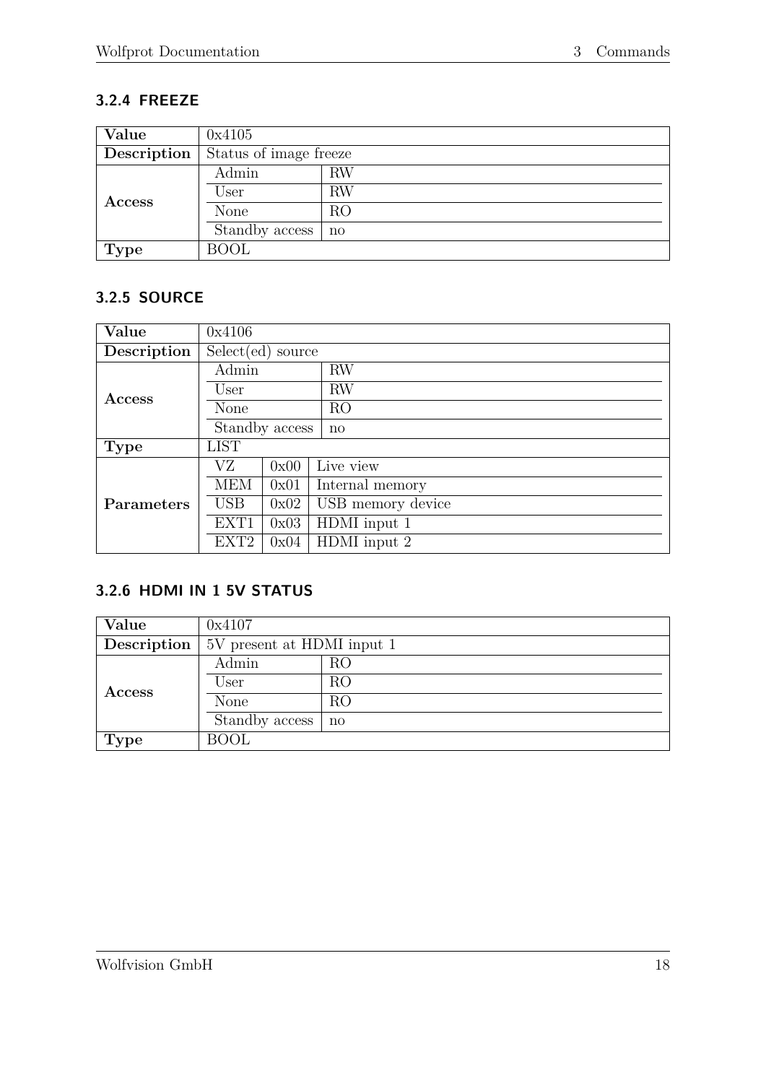### <span id="page-22-0"></span>**3.2.4 FREEZE**

| Value         | 0x4105                 |           |  |
|---------------|------------------------|-----------|--|
| Description   | Status of image freeze |           |  |
| <b>Access</b> | Admin                  | $\rm{RW}$ |  |
|               | User                   | $\rm RW$  |  |
|               | <b>None</b>            | RO        |  |
|               | Standby access         | no        |  |
| <b>Type</b>   | <b>BOOL</b>            |           |  |

#### <span id="page-22-1"></span>**3.2.5 SOURCE**

| Value       | 0x4106              |      |                   |
|-------------|---------------------|------|-------------------|
| Description | $Select(ed)$ source |      |                   |
|             | Admin               |      | <b>RW</b>         |
| Access      | User                |      | <b>RW</b>         |
|             | None                |      | R <sub>O</sub>    |
|             | Standby access      |      | $\mathbf{n}$      |
| <b>Type</b> | <b>LIST</b>         |      |                   |
|             | VZ                  | 0x00 | Live view         |
|             | <b>MEM</b>          | 0x01 | Internal memory   |
| Parameters  | <b>USB</b>          | 0x02 | USB memory device |
|             | EXT1                | 0x03 | HDMI input 1      |
|             | EXT <sub>2</sub>    | 0x04 | HDMI input 2      |

# <span id="page-22-2"></span>**3.2.6 HDMI IN 1 5V STATUS**

| Value         | 0x4107                     |              |  |
|---------------|----------------------------|--------------|--|
| Description   | 5V present at HDMI input 1 |              |  |
| <b>Access</b> | Admin                      | RO           |  |
|               | User                       | RO           |  |
|               | None                       | RO           |  |
|               | Standby access             | $\mathbf{n}$ |  |
| <b>Type</b>   | <b>BOOL</b>                |              |  |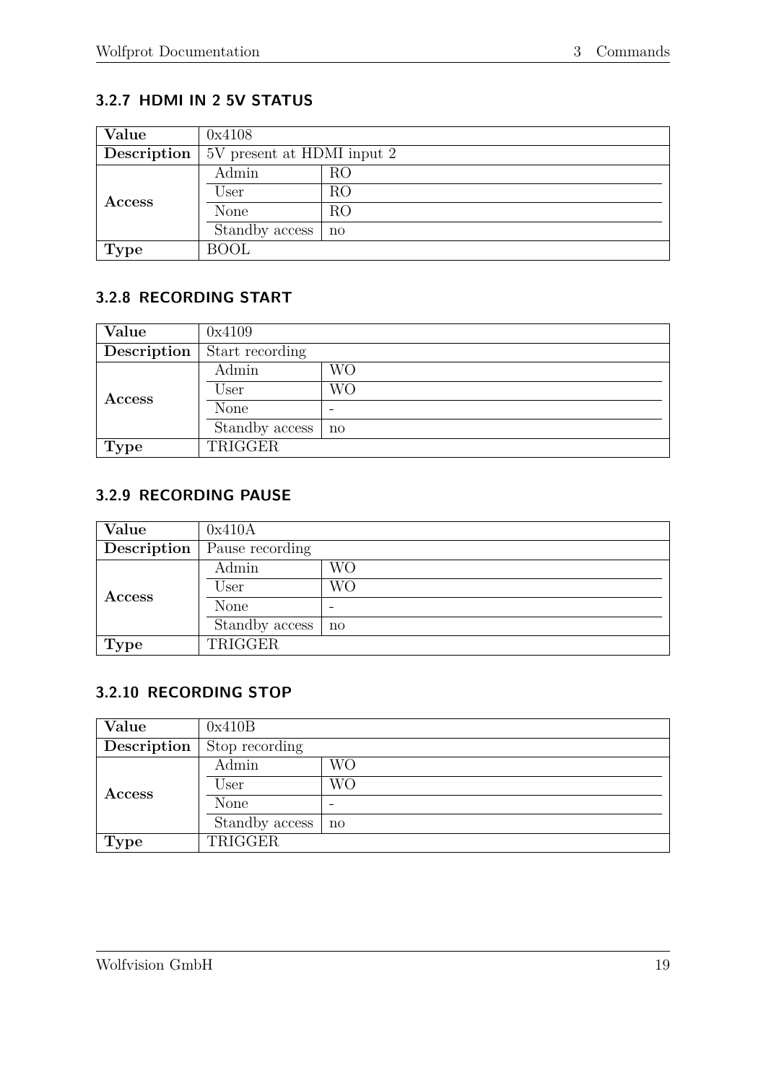# <span id="page-23-0"></span>**3.2.7 HDMI IN 2 5V STATUS**

| Value         | 0x4108                     |    |  |
|---------------|----------------------------|----|--|
| Description   | 5V present at HDMI input 2 |    |  |
| <b>Access</b> | Admin                      | RO |  |
|               | User                       | RO |  |
|               | None                       | RO |  |
|               | Standby access             | no |  |
| <b>Type</b>   | <b>BOOL</b>                |    |  |

# <span id="page-23-1"></span>**3.2.8 RECORDING START**

| Value       | 0x4109          |              |  |
|-------------|-----------------|--------------|--|
| Description | Start recording |              |  |
|             | Admin           | WО           |  |
| Access      | User            | WО           |  |
|             | None            |              |  |
|             | Standby access  | $\mathbf{n}$ |  |
| <b>Type</b> | TRIGGER         |              |  |

#### <span id="page-23-2"></span>**3.2.9 RECORDING PAUSE**

| Value         | 0x410A          |           |  |
|---------------|-----------------|-----------|--|
| Description   | Pause recording |           |  |
|               | Admin           | <b>WO</b> |  |
| <b>Access</b> | User            | <b>WO</b> |  |
|               | None            | -         |  |
|               | Standby access  | no        |  |
| <b>Type</b>   | TRIGGER         |           |  |

#### <span id="page-23-3"></span>**3.2.10 RECORDING STOP**

| Value         | 0x410B         |                          |  |
|---------------|----------------|--------------------------|--|
| Description   | Stop recording |                          |  |
|               | Admin          | WО                       |  |
| <b>Access</b> | User           | WО                       |  |
|               | None           | $\overline{\phantom{0}}$ |  |
|               | Standby access | no                       |  |
| <b>Type</b>   | TRIGGER        |                          |  |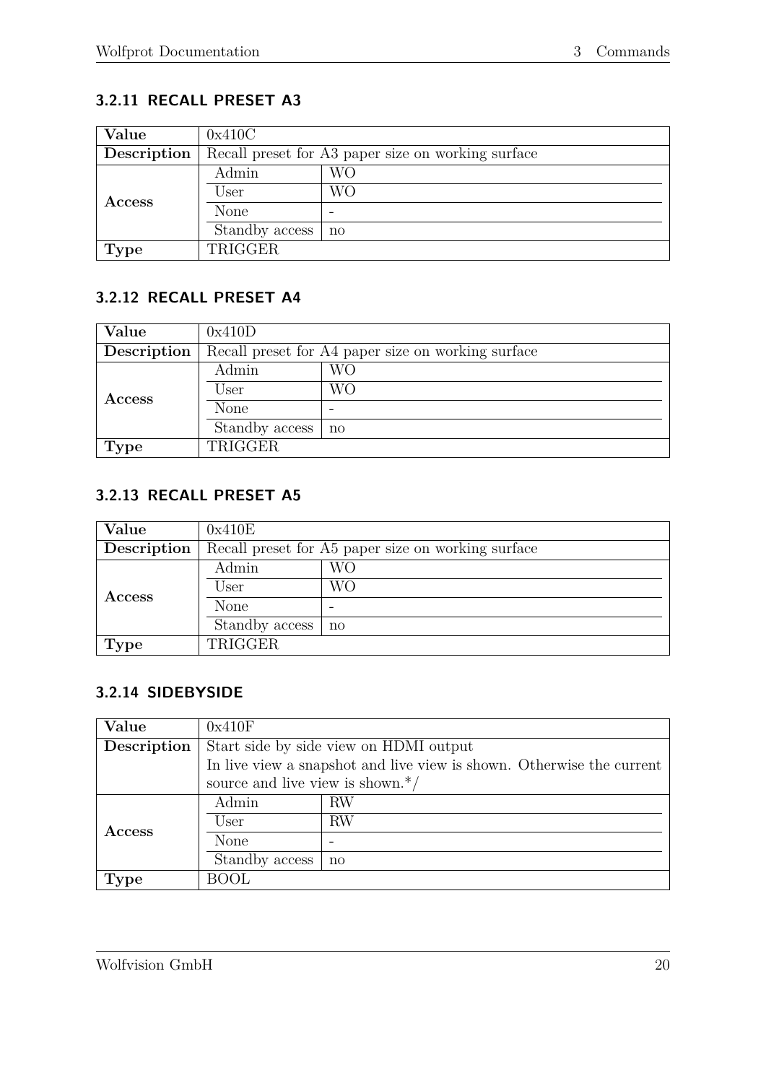# <span id="page-24-0"></span>**3.2.11 RECALL PRESET A3**

| Value         | 0x410C                                             |    |  |
|---------------|----------------------------------------------------|----|--|
| Description   | Recall preset for A3 paper size on working surface |    |  |
| <b>Access</b> | Admin                                              | WО |  |
|               | User                                               | WО |  |
|               | None                                               |    |  |
|               | Standby access                                     | no |  |
| <b>Type</b>   | TRIGGER                                            |    |  |

# <span id="page-24-1"></span>**3.2.12 RECALL PRESET A4**

| Value         | 0x410D                                             |              |  |
|---------------|----------------------------------------------------|--------------|--|
| Description   | Recall preset for A4 paper size on working surface |              |  |
|               | Admin                                              | WО           |  |
| <b>Access</b> | User                                               | WО           |  |
|               | None                                               |              |  |
|               | Standby access                                     | $\mathbf{n}$ |  |
| <b>Type</b>   | TRIGGER                                            |              |  |

# <span id="page-24-2"></span>**3.2.13 RECALL PRESET A5**

| Value         | 0x410E                                             |                     |  |
|---------------|----------------------------------------------------|---------------------|--|
| Description   | Recall preset for A5 paper size on working surface |                     |  |
|               | Admin                                              | WО                  |  |
| <b>Access</b> | User                                               | WО                  |  |
|               | None                                               |                     |  |
|               | Standby access                                     | $\operatorname{no}$ |  |
| <b>Type</b>   | TRIGGER                                            |                     |  |

#### <span id="page-24-3"></span>**3.2.14 SIDEBYSIDE**

| Value         | 0x410F                                                                |           |  |
|---------------|-----------------------------------------------------------------------|-----------|--|
| Description   | Start side by side view on HDMI output                                |           |  |
|               | In live view a snapshot and live view is shown. Otherwise the current |           |  |
|               | source and live view is shown. $*/$                                   |           |  |
| <b>Access</b> | Admin                                                                 | <b>RW</b> |  |
|               | User                                                                  | RW        |  |
|               | None                                                                  |           |  |
|               | Standby access                                                        | no        |  |
| Type          | <b>BOOL</b>                                                           |           |  |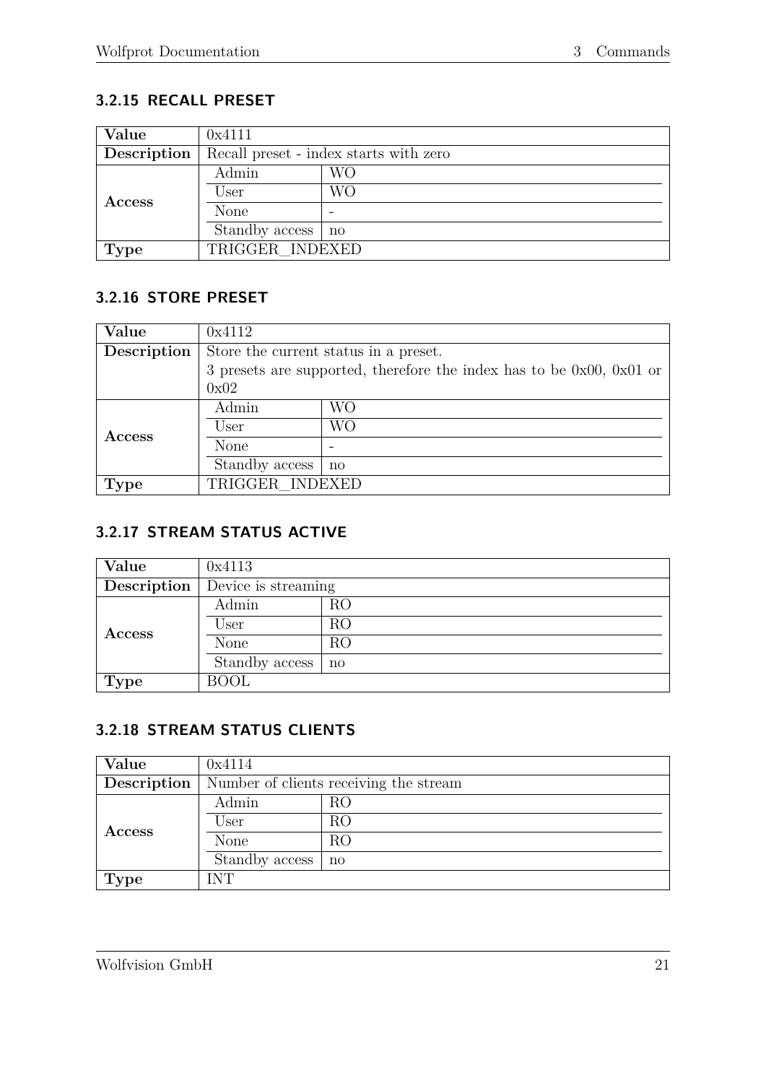# <span id="page-25-0"></span>**3.2.15 RECALL PRESET**

| Value         | 0x4111                                 |    |  |
|---------------|----------------------------------------|----|--|
| Description   | Recall preset - index starts with zero |    |  |
| <b>Access</b> | Admin                                  | WО |  |
|               | User                                   | WΟ |  |
|               | None                                   |    |  |
|               | Standby access                         | no |  |
| <b>Type</b>   | TRIGGER INDEXED                        |    |  |

#### <span id="page-25-1"></span>**3.2.16 STORE PRESET**

| Value       | 0x4112                                                                    |              |  |
|-------------|---------------------------------------------------------------------------|--------------|--|
| Description | Store the current status in a preset.                                     |              |  |
|             | 3 presets are supported, therefore the index has to be $0x00$ , $0x01$ or |              |  |
|             | 0x02                                                                      |              |  |
| Access      | Admin                                                                     | WО           |  |
|             | User                                                                      | WО           |  |
|             | None                                                                      |              |  |
|             | Standby access                                                            | $\mathbf{n}$ |  |
| Type        | TRIGGER INDEXED                                                           |              |  |

#### <span id="page-25-2"></span>**3.2.17 STREAM STATUS ACTIVE**

| Value       | 0x4113              |              |
|-------------|---------------------|--------------|
| Description | Device is streaming |              |
|             | Admin               | RO           |
| Access      | User                | RO           |
|             | <b>None</b>         | RO           |
|             | Standby access      | $\mathbf{n}$ |
| <b>Type</b> | <b>BOOL</b>         |              |

# <span id="page-25-3"></span>**3.2.18 STREAM STATUS CLIENTS**

| Value       | 0x4114                                 |              |
|-------------|----------------------------------------|--------------|
| Description | Number of clients receiving the stream |              |
|             | Admin                                  | RO           |
| Access      | User                                   | RO           |
|             | None                                   | RO           |
|             | Standby access                         | $\mathbf{n}$ |
| Type        | <b>INT</b>                             |              |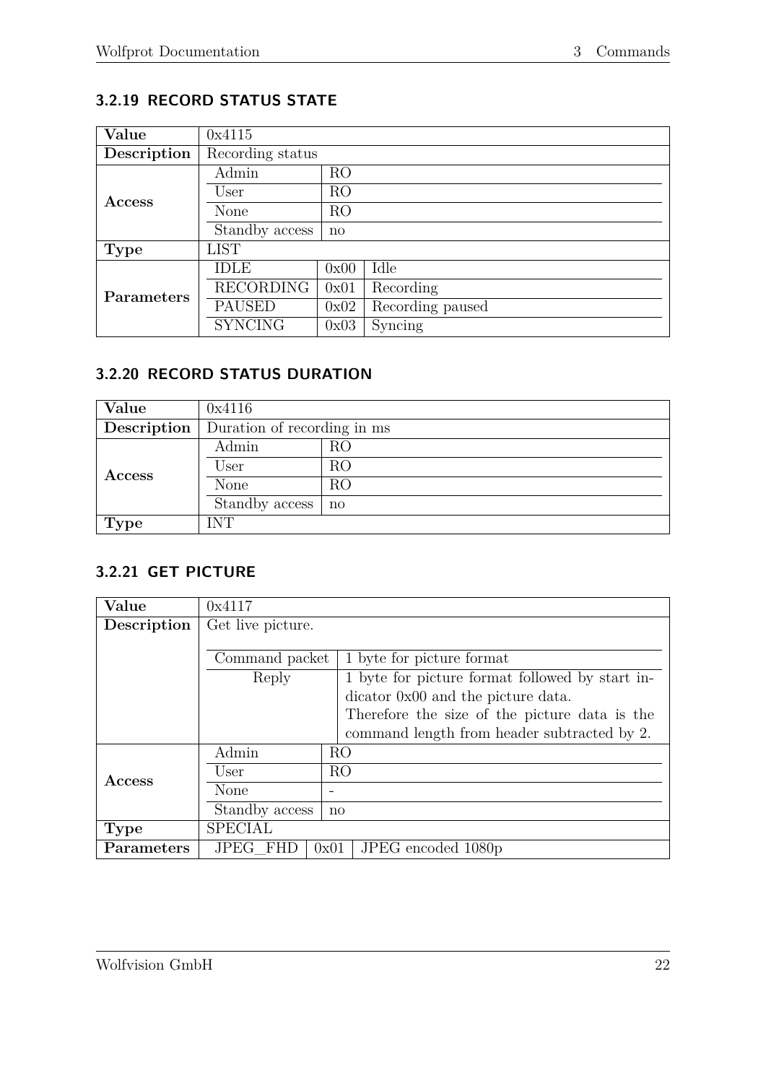# <span id="page-26-0"></span>**3.2.19 RECORD STATUS STATE**

| Value       | 0x4115           |                |                  |  |
|-------------|------------------|----------------|------------------|--|
| Description | Recording status |                |                  |  |
|             | Admin            | RO             |                  |  |
| Access      | User             | R <sub>O</sub> |                  |  |
|             | None             | R <sub>O</sub> |                  |  |
|             | Standby access   | $\mathbf{n}$   |                  |  |
| <b>Type</b> | <b>LIST</b>      |                |                  |  |
|             | IDLE             | 0x00           | Idle             |  |
| Parameters  | <b>RECORDING</b> | 0x01           | Recording        |  |
|             | <b>PAUSED</b>    | 0x02           | Recording paused |  |
|             | <b>SYNCING</b>   | 0x03           | Syncing          |  |

### <span id="page-26-1"></span>**3.2.20 RECORD STATUS DURATION**

| Value       | 0x4116                      |    |  |
|-------------|-----------------------------|----|--|
| Description | Duration of recording in ms |    |  |
|             | Admin                       | RO |  |
| Access      | User                        | RO |  |
|             | None                        | RO |  |
|             | Standby access              | no |  |
| Type        | INT                         |    |  |

#### <span id="page-26-2"></span>**3.2.21 GET PICTURE**

| Value         | 0x4117             |                |                                                 |
|---------------|--------------------|----------------|-------------------------------------------------|
| Description   | Get live picture.  |                |                                                 |
|               |                    |                |                                                 |
|               | Command packet     |                | 1 byte for picture format                       |
|               | Reply              |                | 1 byte for picture format followed by start in- |
|               |                    |                | dicator 0x00 and the picture data.              |
|               |                    |                | Therefore the size of the picture data is the   |
|               |                    |                | command length from header subtracted by 2.     |
|               | Admin              | RO             |                                                 |
| <b>Access</b> | User               | R <sub>O</sub> |                                                 |
|               | None               |                |                                                 |
|               | Standby access     | $\mathbf{n}$   |                                                 |
| <b>Type</b>   | <b>SPECIAL</b>     |                |                                                 |
| Parameters    | FHD<br><b>JPEG</b> | 0x01           | JPEG encoded 1080p                              |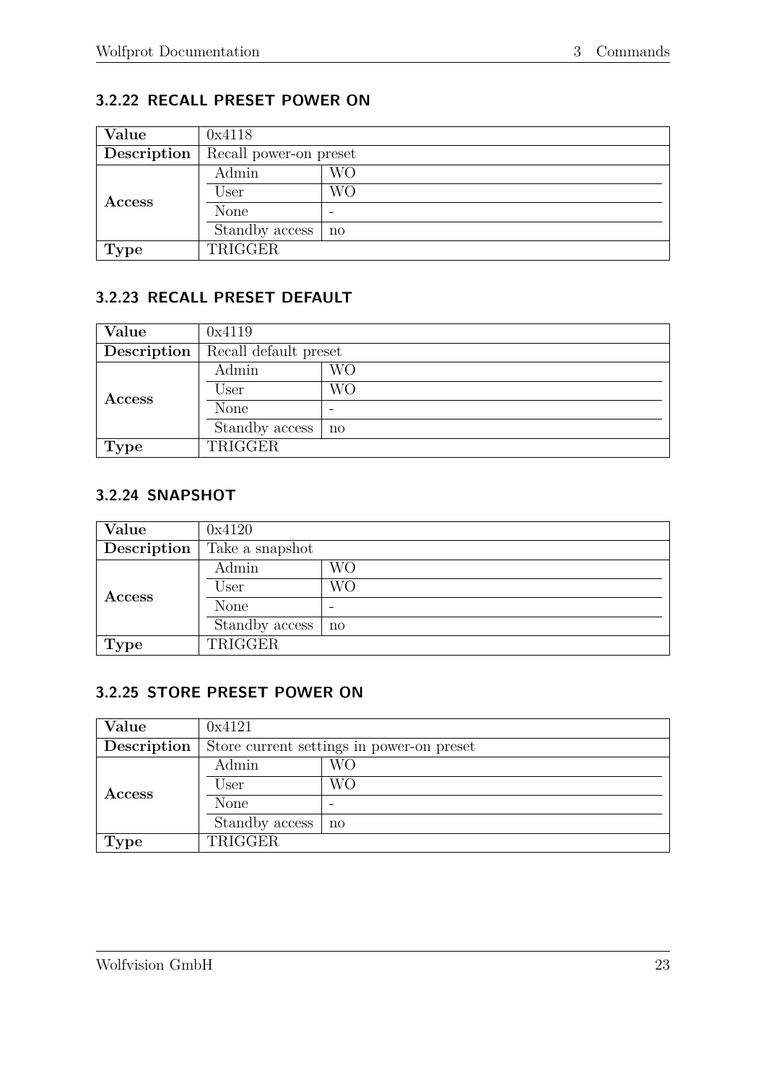# <span id="page-27-0"></span>**3.2.22 RECALL PRESET POWER ON**

| Value         | 0x4118                 |    |  |
|---------------|------------------------|----|--|
| Description   | Recall power-on preset |    |  |
|               | Admin                  | WО |  |
| <b>Access</b> | User                   | WО |  |
|               | None                   |    |  |
|               | Standby access         | no |  |
| <b>Type</b>   | TRIGGER                |    |  |

### <span id="page-27-1"></span>**3.2.23 RECALL PRESET DEFAULT**

| Value         | 0x4119                |    |  |
|---------------|-----------------------|----|--|
| Description   | Recall default preset |    |  |
|               | Admin                 | WО |  |
| <b>Access</b> | User                  | WО |  |
|               | None                  |    |  |
|               | Standby access        | no |  |
| <b>Type</b>   | TRIGGER               |    |  |

#### <span id="page-27-2"></span>**3.2.24 SNAPSHOT**

| Value         | 0x4120          |    |
|---------------|-----------------|----|
| Description   | Take a snapshot |    |
|               | Admin           | WО |
| <b>Access</b> | User            | WО |
|               | None            | -  |
|               | Standby access  | no |
| <b>Type</b>   | TRIGGER         |    |

#### <span id="page-27-3"></span>**3.2.25 STORE PRESET POWER ON**

| Value         | 0x4121                                    |    |  |
|---------------|-------------------------------------------|----|--|
| Description   | Store current settings in power-on preset |    |  |
|               | Admin                                     | WО |  |
| <b>Access</b> | User                                      | WО |  |
|               | None                                      |    |  |
|               | Standby access                            | no |  |
| <b>Type</b>   | TRIGGER                                   |    |  |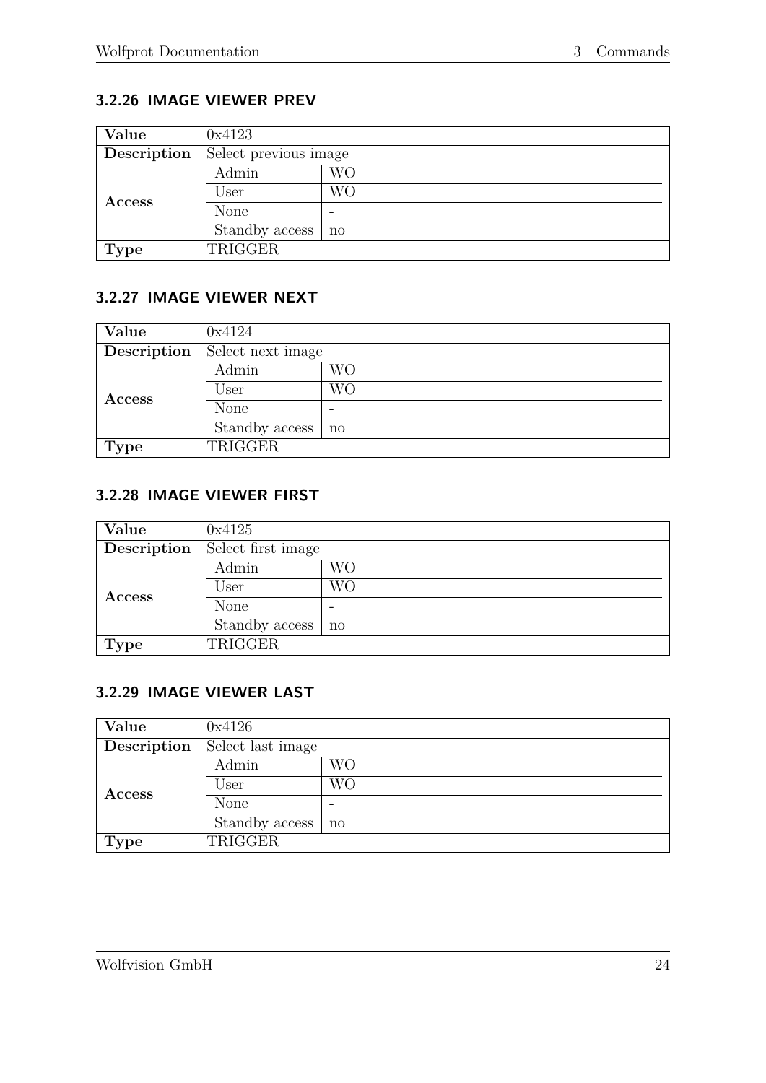# <span id="page-28-0"></span>**3.2.26 IMAGE VIEWER PREV**

| Value       | 0x4123                |           |  |
|-------------|-----------------------|-----------|--|
| Description | Select previous image |           |  |
|             | Admin                 | <b>WO</b> |  |
| Access      | User                  | WО        |  |
|             | None                  |           |  |
|             | Standby access        | no        |  |
| <b>Type</b> | TRIGGER               |           |  |

#### <span id="page-28-1"></span>**3.2.27 IMAGE VIEWER NEXT**

| Value       | 0x4124            |                     |  |
|-------------|-------------------|---------------------|--|
| Description | Select next image |                     |  |
|             | Admin             | WО                  |  |
| Access      | User              | WО                  |  |
|             | None              |                     |  |
|             | Standby access    | $\operatorname{no}$ |  |
| <b>Type</b> | TRIGGER           |                     |  |

#### <span id="page-28-2"></span>**3.2.28 IMAGE VIEWER FIRST**

| Value         | 0x4125             |                     |
|---------------|--------------------|---------------------|
| Description   | Select first image |                     |
|               | Admin              | WО                  |
| <b>Access</b> | User               | WО                  |
|               | None               |                     |
|               | Standby access     | $\operatorname{no}$ |
| <b>Type</b>   | TRIGGER            |                     |

#### <span id="page-28-3"></span>**3.2.29 IMAGE VIEWER LAST**

| Value         | 0x4126            |    |  |  |
|---------------|-------------------|----|--|--|
| Description   | Select last image |    |  |  |
|               | Admin             | WО |  |  |
| <b>Access</b> | User              | WО |  |  |
|               | None              |    |  |  |
|               | Standby access    | no |  |  |
| <b>Type</b>   | TRIGGER           |    |  |  |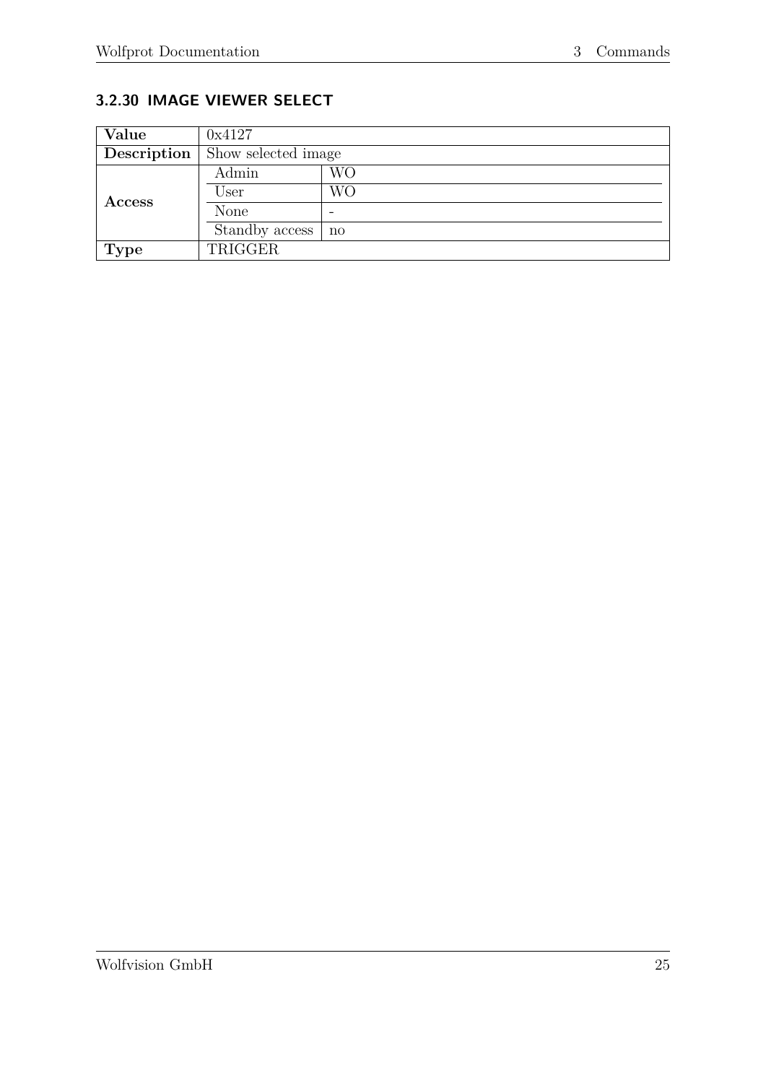# <span id="page-29-0"></span>**3.2.30 IMAGE VIEWER SELECT**

| Value         | 0x4127              |    |  |  |
|---------------|---------------------|----|--|--|
| Description   | Show selected image |    |  |  |
|               | Admin               | WО |  |  |
| <b>Access</b> | User                | WО |  |  |
|               | None                |    |  |  |
|               | Standby access      | no |  |  |
| <b>Type</b>   | TRIGGER             |    |  |  |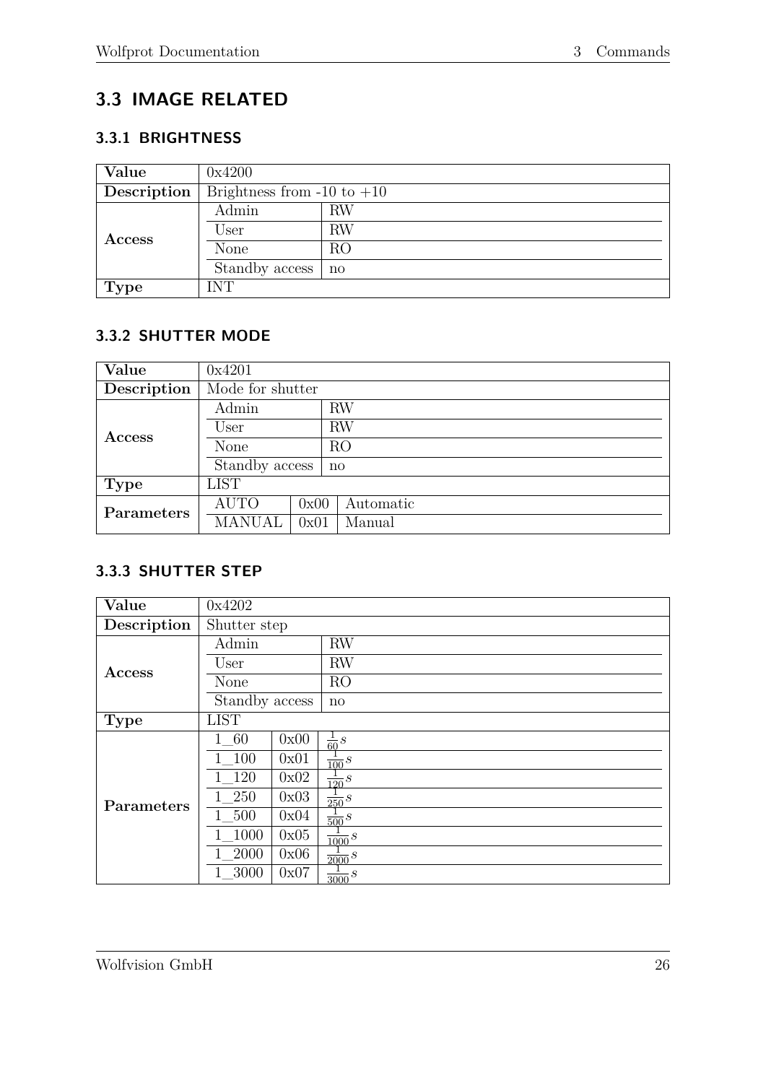# <span id="page-30-0"></span>**3.3 IMAGE RELATED**

#### <span id="page-30-1"></span>**3.3.1 BRIGHTNESS**

| Value         | 0x4200                         |              |  |  |
|---------------|--------------------------------|--------------|--|--|
| Description   | Brightness from $-10$ to $+10$ |              |  |  |
|               | Admin                          | RW           |  |  |
| <b>Access</b> | User                           | <b>RW</b>    |  |  |
|               | None                           | RO           |  |  |
|               | Standby access                 | $\mathbf{n}$ |  |  |
| <b>Type</b>   | <b>INT</b>                     |              |  |  |

# <span id="page-30-2"></span>**3.3.2 SHUTTER MODE**

| Value         | 0x4201           |      |              |  |
|---------------|------------------|------|--------------|--|
| Description   | Mode for shutter |      |              |  |
|               | Admin<br>User    |      | <b>RW</b>    |  |
| <b>Access</b> |                  |      | <b>RW</b>    |  |
|               | None             |      | RO           |  |
|               | Standby access   |      | $\mathbf{n}$ |  |
| Type          | <b>LIST</b>      |      |              |  |
| Parameters    | <b>AUTO</b>      | 0x00 | Automatic    |  |
|               | <b>MANUAL</b>    | 0x01 | Manual       |  |

#### <span id="page-30-3"></span>**3.3.3 SHUTTER STEP**

| Value         | 0x4202         |      |                   |  |
|---------------|----------------|------|-------------------|--|
| Description   | Shutter step   |      |                   |  |
|               | Admin          |      | <b>RW</b>         |  |
|               | User           |      | <b>RW</b>         |  |
| <b>Access</b> | <b>None</b>    |      | RO                |  |
|               | Standby access |      | no                |  |
| <b>Type</b>   | <b>LIST</b>    |      |                   |  |
|               | 1 60           | 0x00 | $\frac{1}{60}S$   |  |
|               | 1 100          | 0x01 | $\frac{1}{100}s$  |  |
|               | 120            | 0x02 | $\frac{1}{120}s$  |  |
| Parameters    | 1 250          | 0x03 | $\frac{1}{250}S$  |  |
|               | 1 500          | 0x04 | $\frac{1}{500}s$  |  |
|               | 1000           | 0x05 | $\frac{1}{1000}S$ |  |
|               | 2000           | 0x06 | $\frac{1}{2000}S$ |  |
|               | 3000           | 0x07 | $\frac{1}{3000}S$ |  |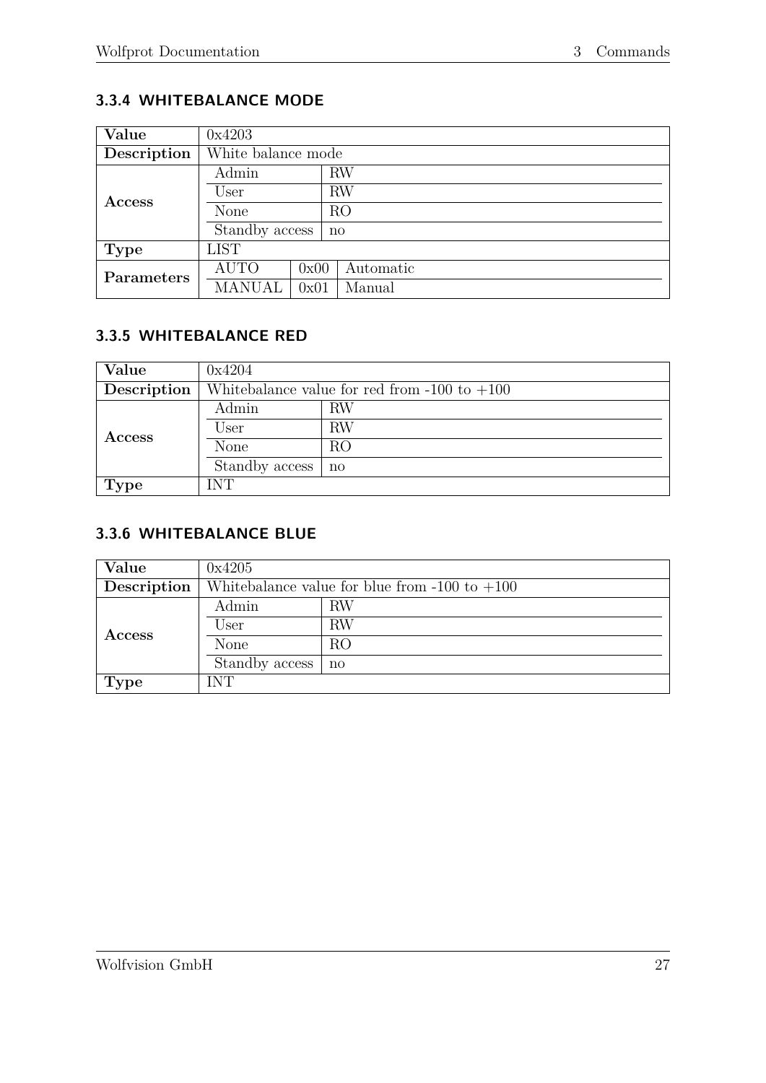# <span id="page-31-0"></span>**3.3.4 WHITEBALANCE MODE**

| Value       | 0x4203             |      |              |  |  |
|-------------|--------------------|------|--------------|--|--|
| Description | White balance mode |      |              |  |  |
|             | Admin<br>User      |      | <b>RW</b>    |  |  |
| Access      |                    |      | RW           |  |  |
|             | None               |      | RO           |  |  |
|             | Standby access     |      | $\mathbf{n}$ |  |  |
| Type        | <b>LIST</b>        |      |              |  |  |
| Parameters  | <b>AUTO</b>        | 0x00 | Automatic    |  |  |
|             | MANUAL             | 0x01 | Manual       |  |  |

# <span id="page-31-1"></span>**3.3.5 WHITEBALANCE RED**

| Value       | 0x4204                                         |                        |  |  |  |
|-------------|------------------------------------------------|------------------------|--|--|--|
| Description | Whitebalance value for red from -100 to $+100$ |                        |  |  |  |
|             | Admin                                          | RW                     |  |  |  |
| Access      | User                                           | RW                     |  |  |  |
|             | None                                           | RO                     |  |  |  |
|             | Standby access                                 | $\mathbf{n}\mathbf{o}$ |  |  |  |
| <b>Type</b> | INT                                            |                        |  |  |  |

#### <span id="page-31-2"></span>**3.3.6 WHITEBALANCE BLUE**

| Value         | 0x4205                                            |              |  |  |
|---------------|---------------------------------------------------|--------------|--|--|
| Description   | Whitebalance value for blue from $-100$ to $+100$ |              |  |  |
|               | Admin                                             | RW           |  |  |
| <b>Access</b> | User                                              | <b>RW</b>    |  |  |
|               | None                                              | RO           |  |  |
|               | Standby access                                    | $\mathbf{n}$ |  |  |
| <b>Type</b>   | INT                                               |              |  |  |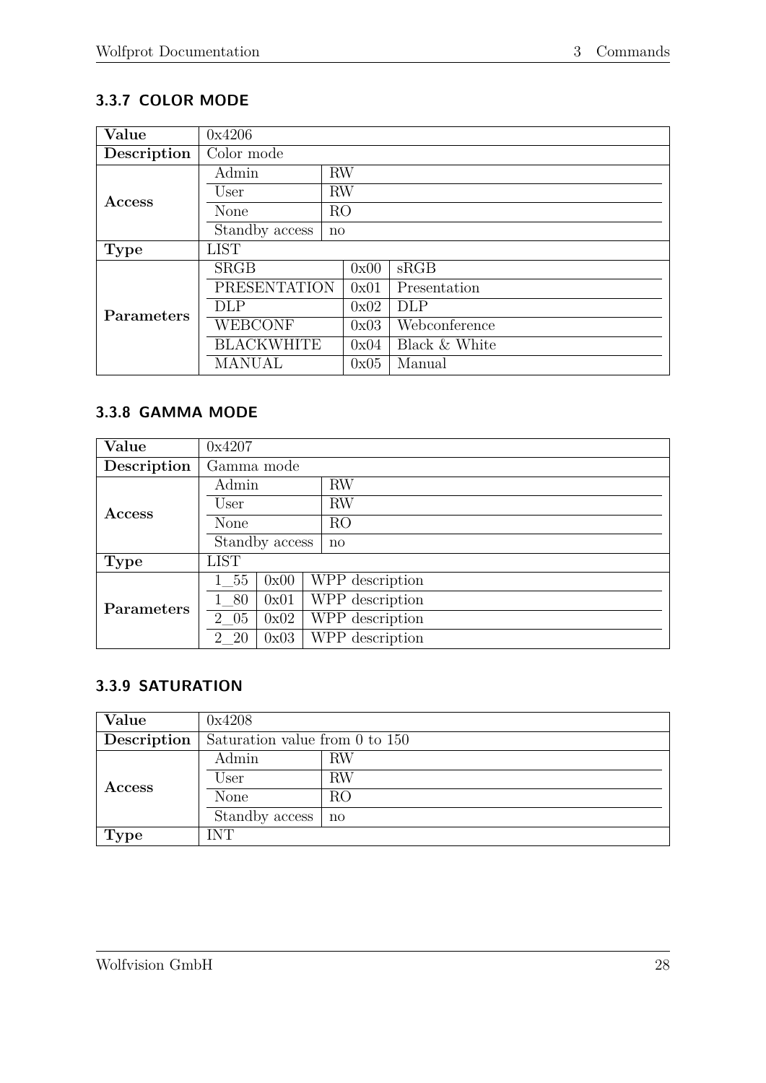# <span id="page-32-0"></span>**3.3.7 COLOR MODE**

| Value       | 0x4206              |                |      |               |
|-------------|---------------------|----------------|------|---------------|
| Description | Color mode          |                |      |               |
|             | Admin               | <b>RW</b>      |      |               |
| Access      | User                | <b>RW</b>      |      |               |
|             | None                | R <sub>O</sub> |      |               |
|             | Standby access      | no             |      |               |
| <b>Type</b> | <b>LIST</b>         |                |      |               |
|             | <b>SRGB</b>         |                | 0x00 | sRGB          |
|             | <b>PRESENTATION</b> |                | 0x01 | Presentation  |
| Parameters  | <b>DLP</b>          |                | 0x02 | <b>DLP</b>    |
|             | <b>WEBCONF</b>      |                | 0x03 | Webconference |
|             | <b>BLACKWHITE</b>   |                | 0x04 | Black & White |
|             | MANUAL              |                | 0x05 | Manual        |

#### <span id="page-32-1"></span>**3.3.8 GAMMA MODE**

| Value             | 0x4207         |      |                 |  |  |
|-------------------|----------------|------|-----------------|--|--|
| Description       | Gamma mode     |      |                 |  |  |
|                   | Admin          |      | <b>RW</b>       |  |  |
| Access            | User           |      | <b>RW</b>       |  |  |
|                   | None           |      | RO              |  |  |
|                   | Standby access |      | $\mathbf{n}$    |  |  |
| Type              | <b>LIST</b>    |      |                 |  |  |
|                   | 1 55           | 0x00 | WPP description |  |  |
| <b>Parameters</b> | 1 80           | 0x01 | WPP description |  |  |
|                   | 2 05           | 0x02 | WPP description |  |  |
|                   | 2 20           | 0x03 | WPP description |  |  |

## <span id="page-32-2"></span>**3.3.9 SATURATION**

| Value         | 0x4208                         |              |  |  |
|---------------|--------------------------------|--------------|--|--|
| Description   | Saturation value from 0 to 150 |              |  |  |
|               | Admin                          | RW           |  |  |
| <b>Access</b> | User                           | RW           |  |  |
|               | None                           | RO           |  |  |
|               | Standby access                 | $\mathbf{n}$ |  |  |
| <b>Type</b>   | <b>INT</b>                     |              |  |  |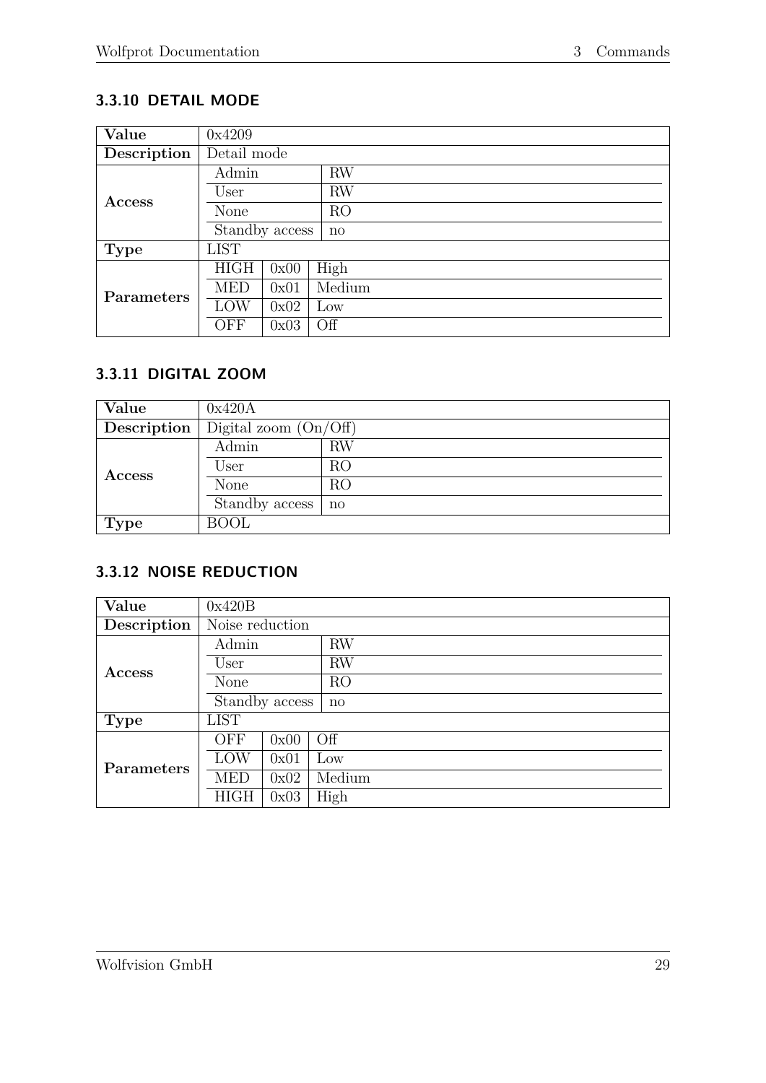# <span id="page-33-0"></span>**3.3.10 DETAIL MODE**

| Value         | 0x4209      |                |                 |  |
|---------------|-------------|----------------|-----------------|--|
| Description   | Detail mode |                |                 |  |
|               | Admin       |                | <b>RW</b>       |  |
| <b>Access</b> | User        |                | RW              |  |
|               | None        |                | RO <sub>1</sub> |  |
|               |             | Standby access | $\mathbf{n}$    |  |
| <b>Type</b>   | <b>LIST</b> |                |                 |  |
|               | <b>HIGH</b> | 0x00           | High            |  |
| Parameters    | <b>MED</b>  | 0x01           | Medium          |  |
|               | LOW         | 0x02           | $_{\text{Low}}$ |  |
|               | OFF         | 0x03           | Off             |  |

### <span id="page-33-1"></span>**3.3.11 DIGITAL ZOOM**

| Value       | 0x420A                  |              |  |
|-------------|-------------------------|--------------|--|
| Description | Digital zoom $(On/Off)$ |              |  |
| Access      | Admin                   | <b>RW</b>    |  |
|             | User                    | RO           |  |
|             | None                    | RO           |  |
|             | Standby access          | $\mathbf{n}$ |  |
| <b>Type</b> | <b>BOOL</b>             |              |  |

# <span id="page-33-2"></span>**3.3.12 NOISE REDUCTION**

| Value         | 0x420B          |      |                 |
|---------------|-----------------|------|-----------------|
| Description   | Noise reduction |      |                 |
|               | Admin           |      | RW              |
| <b>Access</b> | User            |      | <b>RW</b>       |
|               | None            |      | RO              |
|               | Standby access  |      | $\mathbf{n}$    |
| <b>Type</b>   | <b>LIST</b>     |      |                 |
|               | <b>OFF</b>      | 0x00 | Off             |
| Parameters    | LOW             | 0x01 | $_{\text{LOW}}$ |
|               | <b>MED</b>      | 0x02 | Medium          |
|               | <b>HIGH</b>     | 0x03 | High            |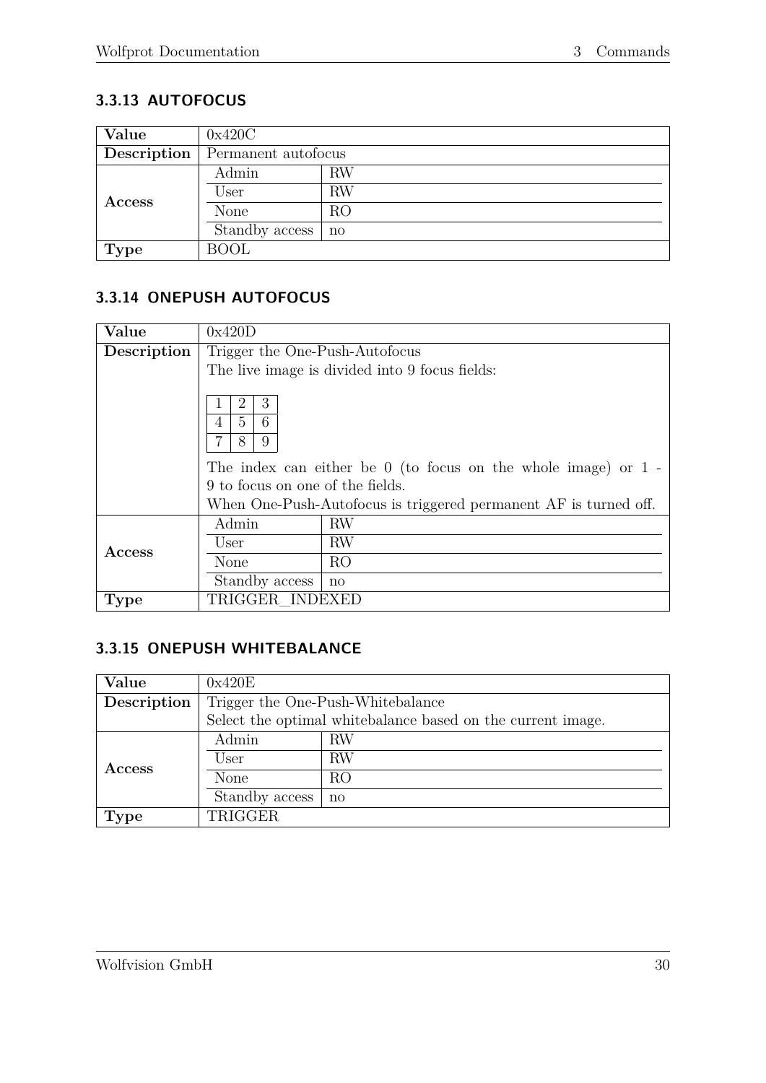# <span id="page-34-0"></span>**3.3.13 AUTOFOCUS**

| Value         | 0x420C              |    |  |
|---------------|---------------------|----|--|
| Description   | Permanent autofocus |    |  |
|               | Admin               | RW |  |
| <b>Access</b> | User                | RW |  |
|               | None                | RO |  |
|               | Standby access      | no |  |
| <b>Type</b>   | <b>BOOL</b>         |    |  |

### <span id="page-34-1"></span>**3.3.14 ONEPUSH AUTOFOCUS**

| Value       | 0x420D                                                                                                                                                                                                                     |                                                |  |
|-------------|----------------------------------------------------------------------------------------------------------------------------------------------------------------------------------------------------------------------------|------------------------------------------------|--|
| Description | Trigger the One-Push-Autofocus                                                                                                                                                                                             |                                                |  |
|             |                                                                                                                                                                                                                            | The live image is divided into 9 focus fields: |  |
|             | 3<br>$\overline{2}$<br>5<br>6<br>4<br>9<br>8<br>The index can either be $0$ (to focus on the whole image) or $1 -$<br>9 to focus on one of the fields.<br>When One-Push-Autofocus is triggered permanent AF is turned off. |                                                |  |
| Access      | Admin<br>User                                                                                                                                                                                                              | <b>RW</b><br><b>RW</b>                         |  |
|             | None                                                                                                                                                                                                                       | R <sub>O</sub>                                 |  |
|             | Standby access                                                                                                                                                                                                             | $\mathbf{n}$                                   |  |
| <b>Type</b> | TRIGGER INDEXED                                                                                                                                                                                                            |                                                |  |

#### <span id="page-34-2"></span>**3.3.15 ONEPUSH WHITEBALANCE**

| Value         | 0x420E                                                      |              |  |
|---------------|-------------------------------------------------------------|--------------|--|
| Description   | Trigger the One-Push-Whitebalance                           |              |  |
|               | Select the optimal whitebalance based on the current image. |              |  |
|               | Admin                                                       | RW           |  |
| <b>Access</b> | User                                                        | RW           |  |
|               | None                                                        | RO           |  |
|               | Standby access                                              | $\mathbf{n}$ |  |
| <b>Type</b>   | TRIGGER                                                     |              |  |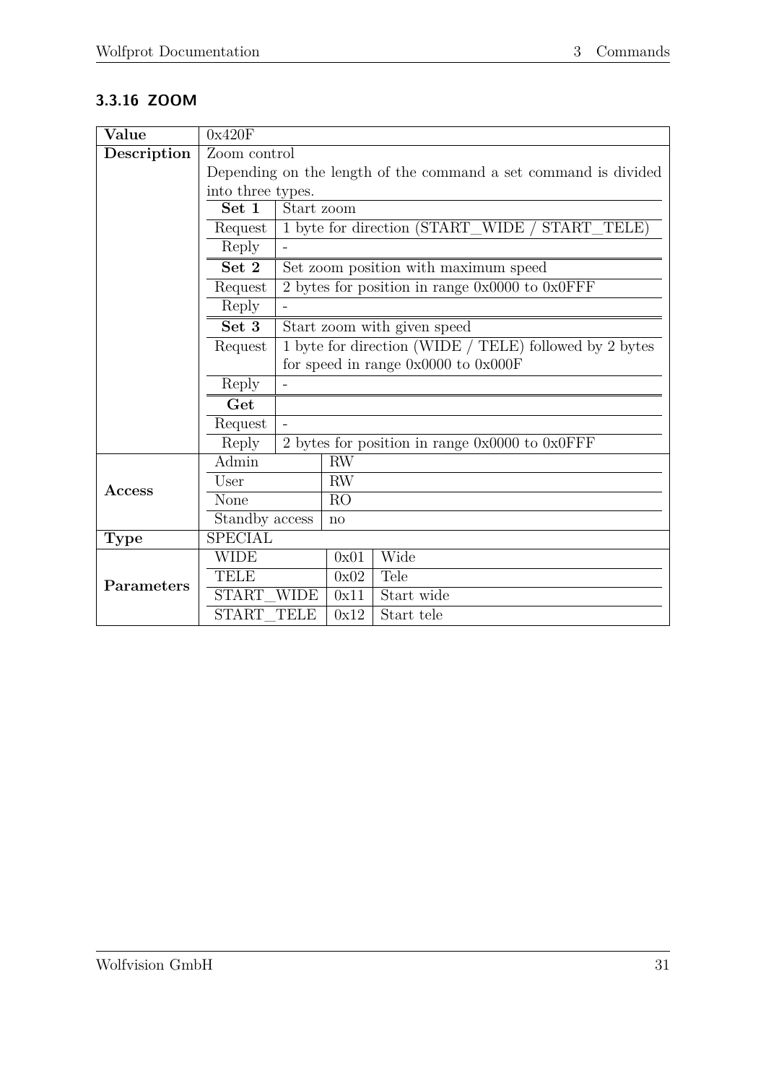# <span id="page-35-0"></span>**3.3.16 ZOOM**

| Value       | 0x420F                                                          |            |           |                                                        |
|-------------|-----------------------------------------------------------------|------------|-----------|--------------------------------------------------------|
| Description | Zoom control                                                    |            |           |                                                        |
|             | Depending on the length of the command a set command is divided |            |           |                                                        |
|             | into three types.                                               |            |           |                                                        |
|             | Set 1                                                           | Start zoom |           |                                                        |
|             | Request                                                         |            |           | 1 byte for direction (START_WIDE / START_TELE)         |
|             | Reply                                                           |            |           |                                                        |
|             | Set 2                                                           |            |           | Set zoom position with maximum speed                   |
|             | Request                                                         |            |           | 2 bytes for position in range $0x0000$ to $0x0$ FFF    |
|             | Reply                                                           |            |           |                                                        |
|             | Set 3                                                           |            |           | Start zoom with given speed                            |
|             | Request                                                         |            |           | 1 byte for direction (WIDE / TELE) followed by 2 bytes |
|             |                                                                 |            |           | for speed in range $0x0000$ to $0x000F$                |
|             | Reply                                                           |            |           |                                                        |
|             | Get                                                             |            |           |                                                        |
|             | Request                                                         |            |           |                                                        |
|             | Reply                                                           |            |           | 2 bytes for position in range $0x0000$ to $0x0$ FFF    |
|             | Admin                                                           |            | <b>RW</b> |                                                        |
| Access      | User                                                            |            | <b>RW</b> |                                                        |
|             | None                                                            |            | RO        |                                                        |
|             | Standby access                                                  |            | no        |                                                        |
| <b>Type</b> | <b>SPECIAL</b>                                                  |            |           |                                                        |
| Parameters  | <b>WIDE</b>                                                     |            | 0x01      | Wide                                                   |
|             | <b>TELE</b>                                                     |            | 0x02      | Tele                                                   |
|             | START WIDE                                                      |            | 0x11      | Start wide                                             |
|             | START TELE                                                      |            | 0x12      | Start tele                                             |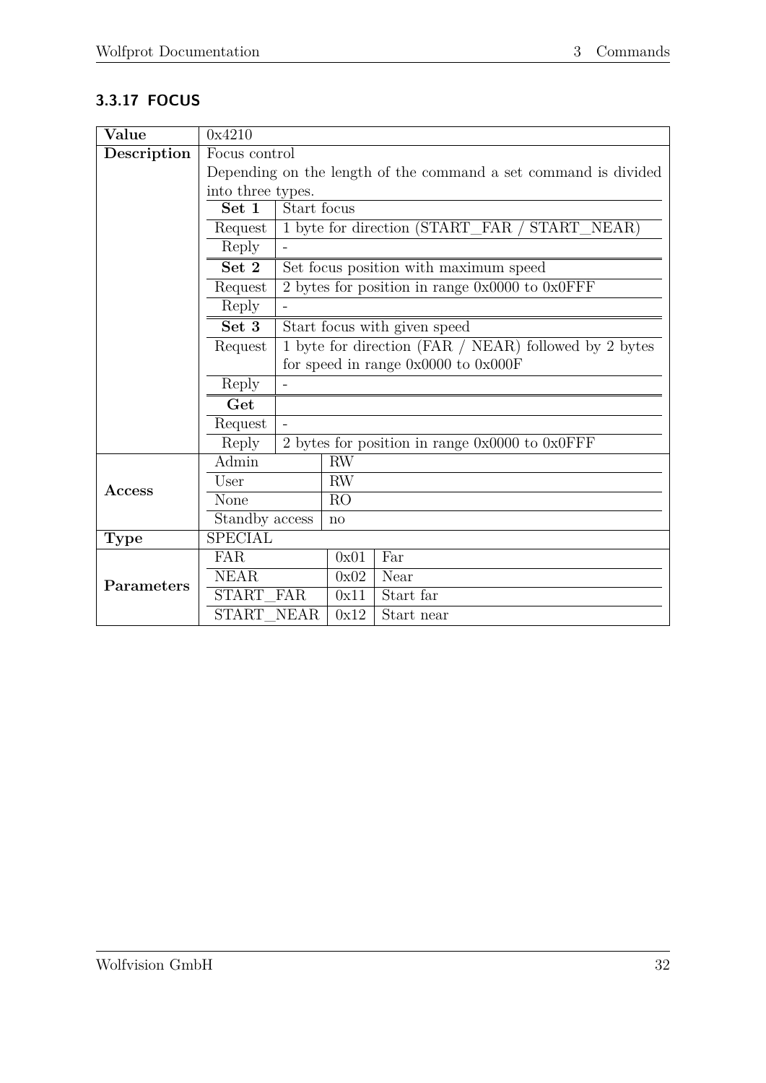# <span id="page-36-0"></span>**3.3.17 FOCUS**

| Value        | 0x4210                                                          |             |           |                                                       |
|--------------|-----------------------------------------------------------------|-------------|-----------|-------------------------------------------------------|
| Description  | Focus control                                                   |             |           |                                                       |
|              | Depending on the length of the command a set command is divided |             |           |                                                       |
|              | into three types.                                               |             |           |                                                       |
|              | Set 1                                                           | Start focus |           |                                                       |
|              | Request                                                         |             |           | 1 byte for direction (START_FAR / START_NEAR)         |
|              | Reply                                                           |             |           |                                                       |
|              | Set 2                                                           |             |           | Set focus position with maximum speed                 |
|              | Request                                                         |             |           | 2 bytes for position in range $0x0000$ to $0x0$ FFF   |
|              | Reply                                                           |             |           |                                                       |
|              | Set 3                                                           |             |           | Start focus with given speed                          |
|              | Request                                                         |             |           | 1 byte for direction (FAR / NEAR) followed by 2 bytes |
|              |                                                                 |             |           | for speed in range $0x0000$ to $0x000F$               |
|              | Reply                                                           |             |           |                                                       |
|              | Get                                                             |             |           |                                                       |
|              | Request                                                         |             |           |                                                       |
|              | Reply                                                           |             |           | 2 bytes for position in range $0x0000$ to $0x0$ FFF   |
|              | Admin                                                           |             | RW        |                                                       |
|              | User                                                            |             | <b>RW</b> |                                                       |
| $\rm Access$ | None                                                            |             | RO        |                                                       |
|              | Standby access                                                  |             | no        |                                                       |
| <b>Type</b>  | <b>SPECIAL</b>                                                  |             |           |                                                       |
|              | <b>FAR</b>                                                      |             | 0x01      | Far                                                   |
|              | <b>NEAR</b>                                                     |             | 0x02      | Near                                                  |
| Parameters   | START FAR                                                       |             | 0x11      | Start far                                             |
|              | START NEAR                                                      |             | 0x12      | Start near                                            |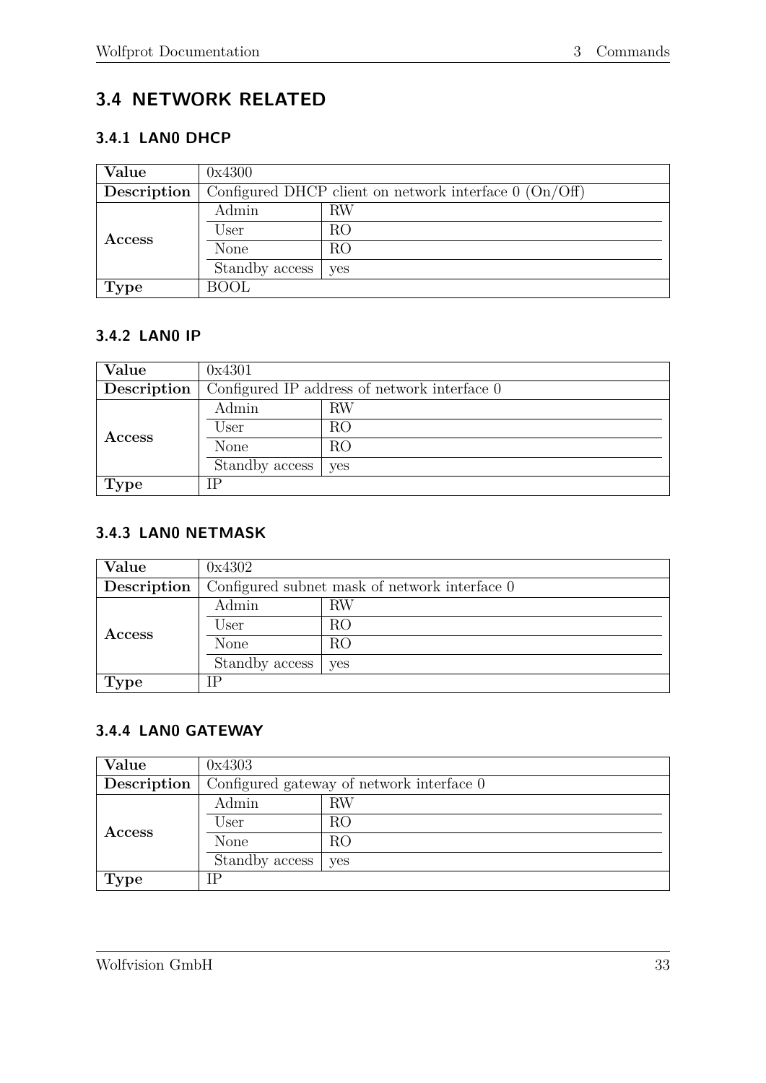# <span id="page-37-0"></span>**3.4 NETWORK RELATED**

#### <span id="page-37-1"></span>**3.4.1 LAN0 DHCP**

| Value         | 0x4300                                                   |            |  |
|---------------|----------------------------------------------------------|------------|--|
| Description   | Configured DHCP client on network interface $0$ (On/Off) |            |  |
|               | Admin                                                    | RW         |  |
| <b>Access</b> | User                                                     | RO         |  |
|               | None                                                     | RO         |  |
|               | Standby access                                           | <b>ves</b> |  |
| <b>Type</b>   | <b>BOOL</b>                                              |            |  |

#### <span id="page-37-2"></span>**3.4.2 LAN0 IP**

| Value         | 0x4301                                       |     |  |
|---------------|----------------------------------------------|-----|--|
| Description   | Configured IP address of network interface 0 |     |  |
| <b>Access</b> | Admin                                        | RW  |  |
|               | User                                         | RO  |  |
|               | None                                         | RO  |  |
|               | Standby access                               | yes |  |
| <b>Type</b>   | IΡ                                           |     |  |

#### <span id="page-37-3"></span>**3.4.3 LAN0 NETMASK**

| Value         | 0x4302                                        |     |  |
|---------------|-----------------------------------------------|-----|--|
| Description   | Configured subnet mask of network interface 0 |     |  |
|               | Admin                                         | RW  |  |
| <b>Access</b> | User                                          | RO  |  |
|               | None                                          | RO  |  |
|               | Standby access                                | yes |  |
| <b>Type</b>   | IΡ                                            |     |  |

#### <span id="page-37-4"></span>**3.4.4 LAN0 GATEWAY**

| Value         | 0x4303                                    |     |  |
|---------------|-------------------------------------------|-----|--|
| Description   | Configured gateway of network interface 0 |     |  |
| Admin         |                                           | RW  |  |
| <b>Access</b> | User                                      | RO  |  |
|               | None                                      | RO  |  |
|               | Standby access                            | yes |  |
| <b>Type</b>   | IΡ                                        |     |  |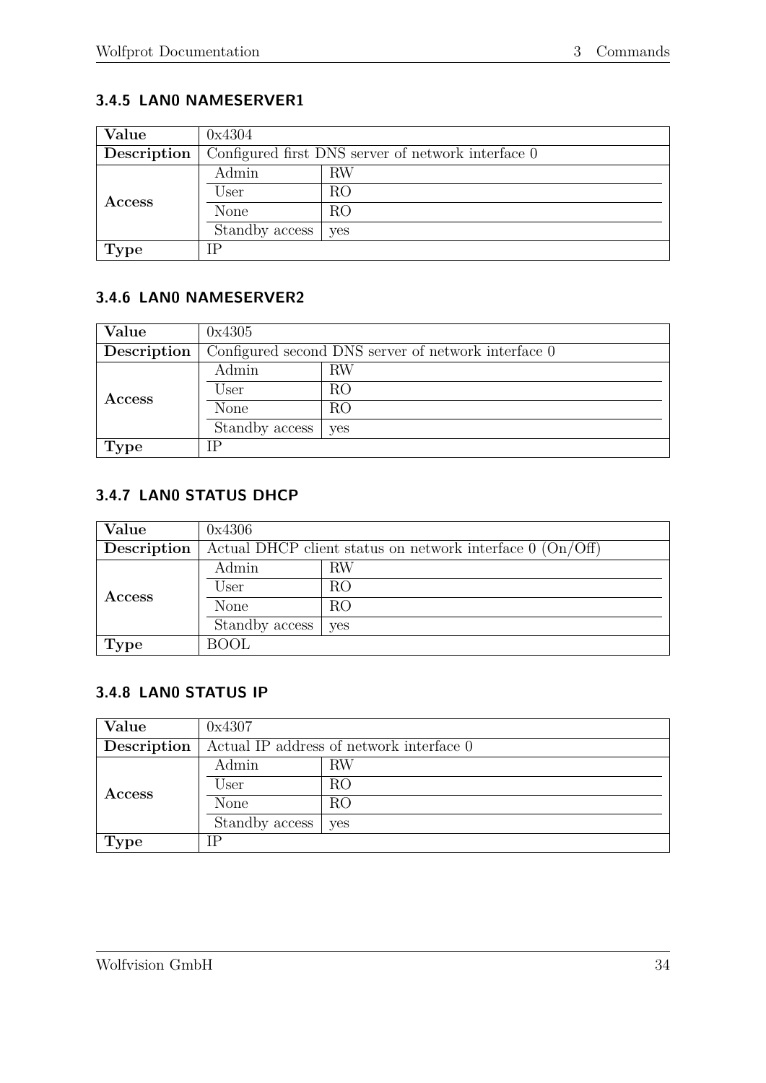### <span id="page-38-0"></span>**3.4.5 LAN0 NAMESERVER1**

| Value         | 0x4304                                             |     |  |
|---------------|----------------------------------------------------|-----|--|
| Description   | Configured first DNS server of network interface 0 |     |  |
| <b>Access</b> | Admin                                              | RW  |  |
|               | User                                               | RO  |  |
|               | None                                               | RO  |  |
|               | Standby access                                     | yes |  |
| <b>Type</b>   | IΡ                                                 |     |  |

### <span id="page-38-1"></span>**3.4.6 LAN0 NAMESERVER2**

| Value         | 0x4305                                              |     |  |  |
|---------------|-----------------------------------------------------|-----|--|--|
| Description   | Configured second DNS server of network interface 0 |     |  |  |
| <b>Access</b> | Admin                                               | RW  |  |  |
|               | User                                                | RO  |  |  |
|               | None                                                | RO  |  |  |
|               | Standby access                                      | yes |  |  |
| 'Type         | IΡ                                                  |     |  |  |

#### <span id="page-38-2"></span>**3.4.7 LAN0 STATUS DHCP**

| Value         | 0x4306                                                      |            |  |  |
|---------------|-------------------------------------------------------------|------------|--|--|
| Description   | Actual DHCP client status on network interface $0$ (On/Off) |            |  |  |
|               | Admin                                                       | RW         |  |  |
|               | User                                                        | RO         |  |  |
| <b>Access</b> | None                                                        | RO         |  |  |
|               | Standby access                                              | <b>ves</b> |  |  |
| <b>Type</b>   | <b>BOOL</b>                                                 |            |  |  |

#### <span id="page-38-3"></span>**3.4.8 LAN0 STATUS IP**

| Value         | 0x4307                                   |     |  |  |
|---------------|------------------------------------------|-----|--|--|
| Description   | Actual IP address of network interface 0 |     |  |  |
| <b>Access</b> | Admin                                    | RW  |  |  |
|               | User                                     | RO  |  |  |
|               | None                                     | RO  |  |  |
|               | Standby access                           | yes |  |  |
| <b>Type</b>   | ГD                                       |     |  |  |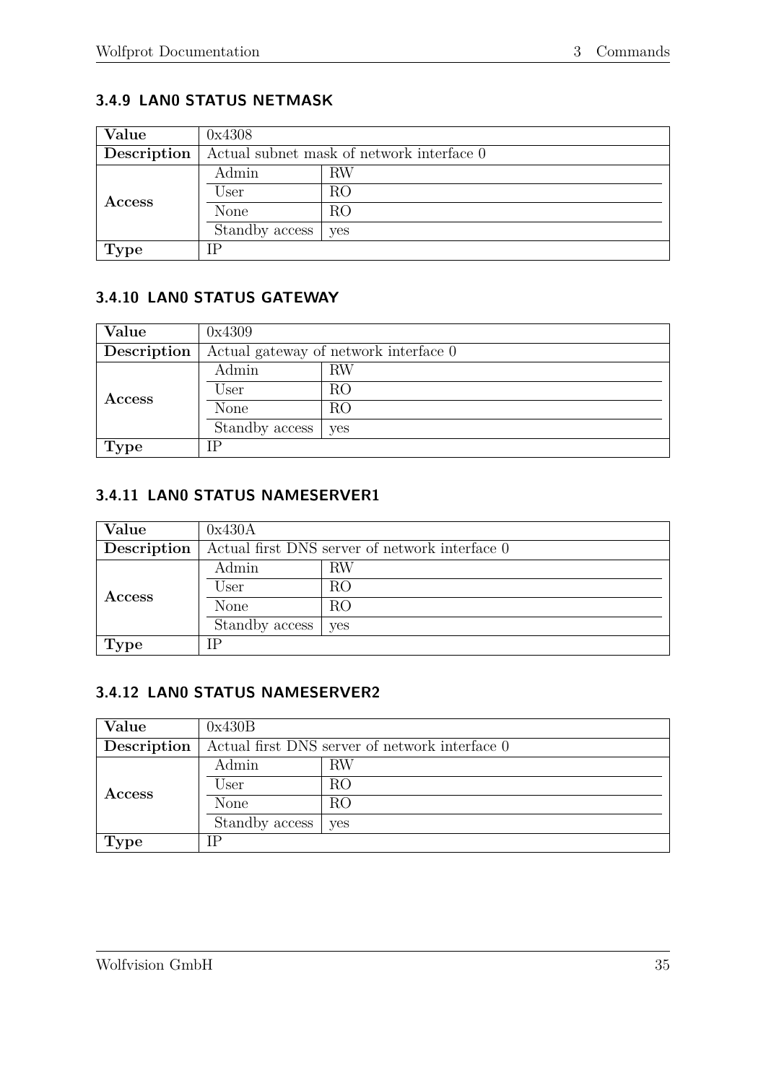#### <span id="page-39-0"></span>**3.4.9 LAN0 STATUS NETMASK**

| Value       | 0x4308                                    |     |  |  |
|-------------|-------------------------------------------|-----|--|--|
| Description | Actual subnet mask of network interface 0 |     |  |  |
| Access      | Admin                                     | RW  |  |  |
|             | User                                      | RO  |  |  |
|             | None                                      | RO  |  |  |
|             | Standby access                            | yes |  |  |
| <b>Type</b> |                                           |     |  |  |

# <span id="page-39-1"></span>**3.4.10 LAN0 STATUS GATEWAY**

| Value         | 0x4309                                |     |  |  |
|---------------|---------------------------------------|-----|--|--|
| Description   | Actual gateway of network interface 0 |     |  |  |
| <b>Access</b> | Admin                                 | RW  |  |  |
|               | User                                  | RO  |  |  |
|               | None                                  | RO  |  |  |
|               | Standby access                        | yes |  |  |
| <b>Type</b>   | IΡ                                    |     |  |  |

#### <span id="page-39-2"></span>**3.4.11 LAN0 STATUS NAMESERVER1**

| Value         | 0x430A                                         |           |  |  |
|---------------|------------------------------------------------|-----------|--|--|
| Description   | Actual first DNS server of network interface 0 |           |  |  |
| <b>Access</b> | Admin                                          | <b>RW</b> |  |  |
|               | User                                           | RO        |  |  |
|               | None                                           | RO        |  |  |
|               | Standby access                                 | yes       |  |  |
| <b>Type</b>   | IΡ                                             |           |  |  |

#### <span id="page-39-3"></span>**3.4.12 LAN0 STATUS NAMESERVER2**

| Value         | 0x430B                                         |     |  |  |
|---------------|------------------------------------------------|-----|--|--|
| Description   | Actual first DNS server of network interface 0 |     |  |  |
| <b>Access</b> | Admin                                          | RW  |  |  |
|               | User                                           | RO  |  |  |
|               | None                                           | RO  |  |  |
|               | Standby access                                 | yes |  |  |
| Type          | ГP                                             |     |  |  |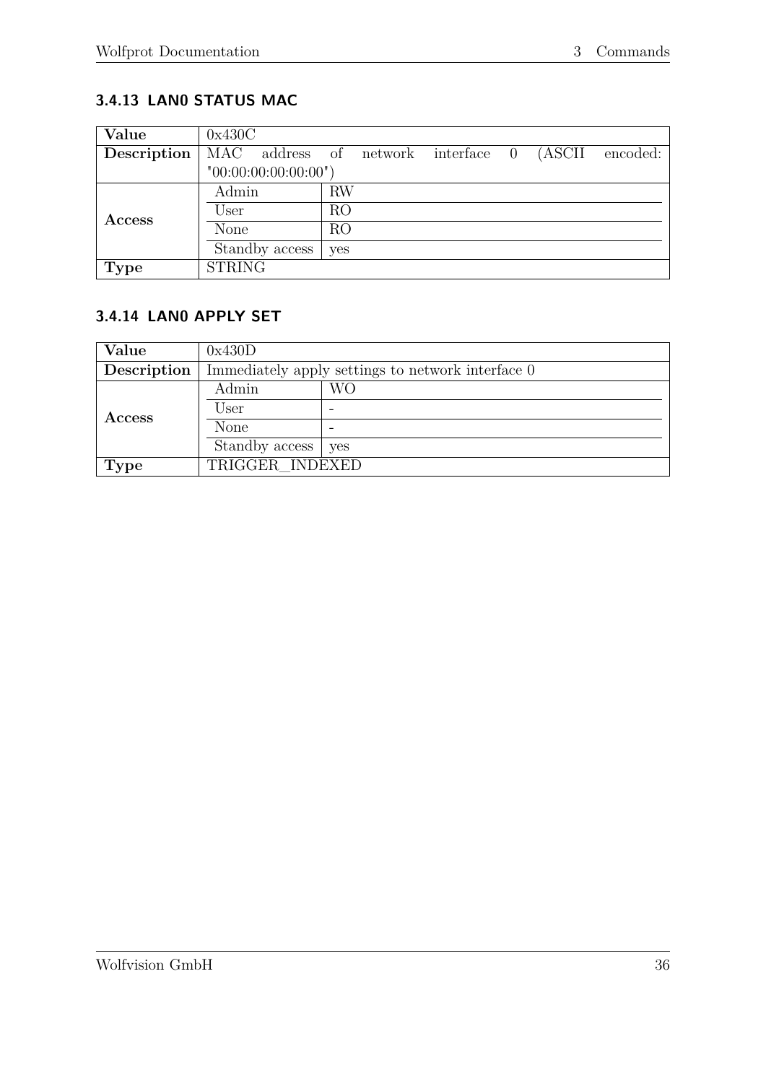# <span id="page-40-0"></span>**3.4.13 LAN0 STATUS MAC**

| Value       | 0x430C        |                     |     |  |                                    |  |        |          |
|-------------|---------------|---------------------|-----|--|------------------------------------|--|--------|----------|
| Description |               |                     |     |  | MAC address of network interface 0 |  | (ASCII | encoded: |
|             |               | "00:00:00:00:00:00" |     |  |                                    |  |        |          |
|             | Admin         |                     | RW  |  |                                    |  |        |          |
| Access      | User          |                     | RO  |  |                                    |  |        |          |
|             | None          |                     | RO  |  |                                    |  |        |          |
|             |               | Standby access      | yes |  |                                    |  |        |          |
| <b>Type</b> | <b>STRING</b> |                     |     |  |                                    |  |        |          |

#### <span id="page-40-1"></span>**3.4.14 LAN0 APPLY SET**

| Value         | 0x430D                                            |    |  |  |
|---------------|---------------------------------------------------|----|--|--|
| Description   | Immediately apply settings to network interface 0 |    |  |  |
| <b>Access</b> | Admin                                             | WО |  |  |
|               | User                                              |    |  |  |
|               | None                                              |    |  |  |
|               | Standby access   yes                              |    |  |  |
| <b>Type</b>   | TRIGGER INDEXED                                   |    |  |  |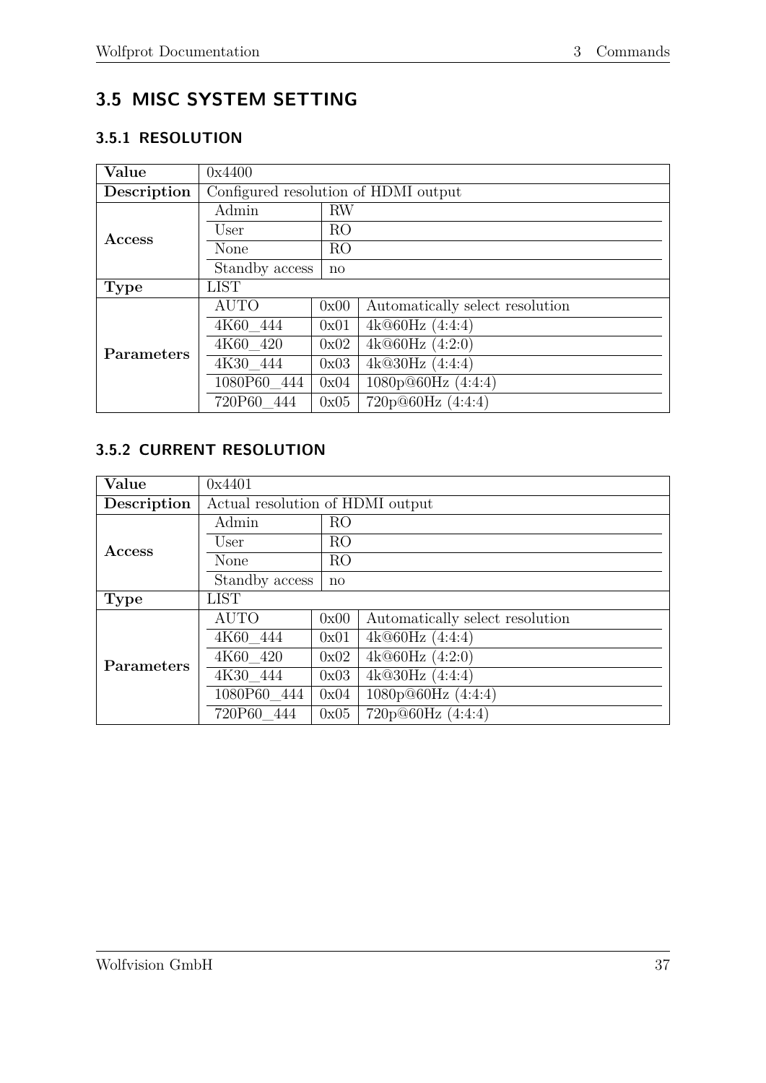# <span id="page-41-0"></span>**3.5 MISC SYSTEM SETTING**

# <span id="page-41-1"></span>**3.5.1 RESOLUTION**

| Value             | 0x4400                               |                |                                 |  |
|-------------------|--------------------------------------|----------------|---------------------------------|--|
| Description       | Configured resolution of HDMI output |                |                                 |  |
|                   | Admin                                | <b>RW</b>      |                                 |  |
| <b>Access</b>     | User                                 | R <sub>O</sub> |                                 |  |
|                   | None                                 | R <sub>O</sub> |                                 |  |
|                   | Standby access                       | $\mathbf{n}$   |                                 |  |
| <b>Type</b>       | <b>LIST</b>                          |                |                                 |  |
|                   | <b>AUTO</b>                          | 0x00           | Automatically select resolution |  |
|                   | 4K60 444                             | 0x01           | 4k@60Hz(4:4:4)                  |  |
| <b>Parameters</b> | 4K60 420                             | 0x02           | 4k@60Hz(4:2:0)                  |  |
|                   | 4K30 444                             | 0x03           | 4k@30Hz(4:4:4)                  |  |
|                   | 1080P60 444                          | 0x04           | 1080p@60Hz (4:4:4)              |  |
|                   | 720P60 444                           | 0x05           | 720p@60Hz (4:4:4)               |  |

# <span id="page-41-2"></span>**3.5.2 CURRENT RESOLUTION**

| Value             | 0x4401                           |                |                                 |  |
|-------------------|----------------------------------|----------------|---------------------------------|--|
| Description       | Actual resolution of HDMI output |                |                                 |  |
|                   | Admin                            | RO             |                                 |  |
| Access            | User                             | RO             |                                 |  |
|                   | None                             | R <sub>O</sub> |                                 |  |
|                   | Standby access                   | $\mathbf{n}$   |                                 |  |
| <b>Type</b>       | <b>LIST</b>                      |                |                                 |  |
|                   | <b>AUTO</b>                      | 0x00           | Automatically select resolution |  |
|                   | 4K60 444                         | 0x01           | 4k@60Hz(4:4:4)                  |  |
| <b>Parameters</b> | 4K60_420                         | 0x02           | 4k@60Hz(4:2:0)                  |  |
|                   | 4K30 444                         | 0x03           | 4k@30Hz(4:4:4)                  |  |
|                   | 1080P60 444                      | 0x04           | 1080p@60Hz (4:4:4)              |  |
|                   | 720P60 444                       | 0x05           | 720p@60Hz(4:4:4)                |  |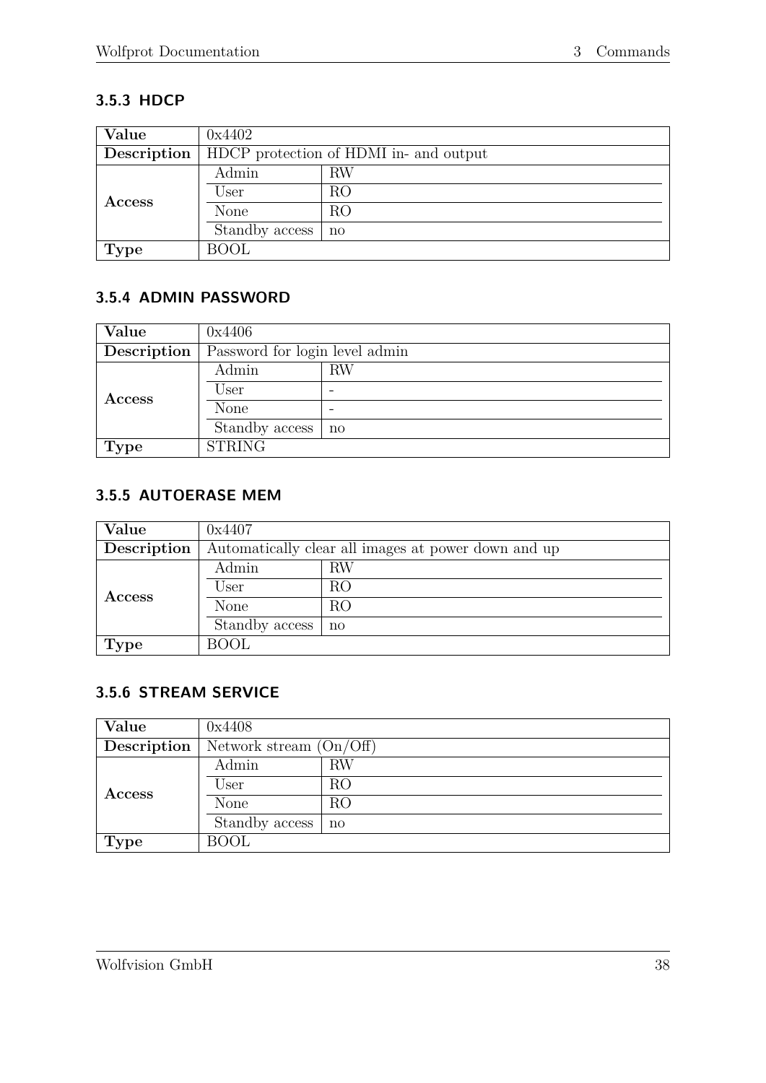## <span id="page-42-0"></span>**3.5.3 HDCP**

| Value       | 0x4402                                 |              |  |  |
|-------------|----------------------------------------|--------------|--|--|
| Description | HDCP protection of HDMI in- and output |              |  |  |
| Access      | Admin                                  | RW           |  |  |
|             | User                                   | RO           |  |  |
|             | None                                   | RO           |  |  |
|             | Standby access                         | $\mathbf{n}$ |  |  |
| <b>Type</b> | BOOL                                   |              |  |  |

### <span id="page-42-1"></span>**3.5.4 ADMIN PASSWORD**

| Value         | 0x4406                         |    |  |  |  |
|---------------|--------------------------------|----|--|--|--|
| Description   | Password for login level admin |    |  |  |  |
|               | Admin                          | RW |  |  |  |
| <b>Access</b> | User                           |    |  |  |  |
|               | None                           | -  |  |  |  |
|               | Standby access                 | no |  |  |  |
| <b>Type</b>   | <b>STRING</b>                  |    |  |  |  |

#### <span id="page-42-2"></span>**3.5.5 AUTOERASE MEM**

| Value         | 0x4407                                              |              |  |  |
|---------------|-----------------------------------------------------|--------------|--|--|
| Description   | Automatically clear all images at power down and up |              |  |  |
|               | Admin                                               | RW           |  |  |
| <b>Access</b> | User                                                | RO           |  |  |
|               | None                                                | RO           |  |  |
|               | Standby access                                      | $\mathbf{n}$ |  |  |
| <b>Type</b>   | <b>BOOL</b>                                         |              |  |  |

#### <span id="page-42-3"></span>**3.5.6 STREAM SERVICE**

| Value         | 0x4408                    |    |  |  |  |
|---------------|---------------------------|----|--|--|--|
| Description   | Network stream $(On/Off)$ |    |  |  |  |
|               | Admin                     | RW |  |  |  |
| <b>Access</b> | User                      | RO |  |  |  |
|               | None                      | RO |  |  |  |
|               | Standby access            | no |  |  |  |
| <b>Type</b>   | <b>BOOL</b>               |    |  |  |  |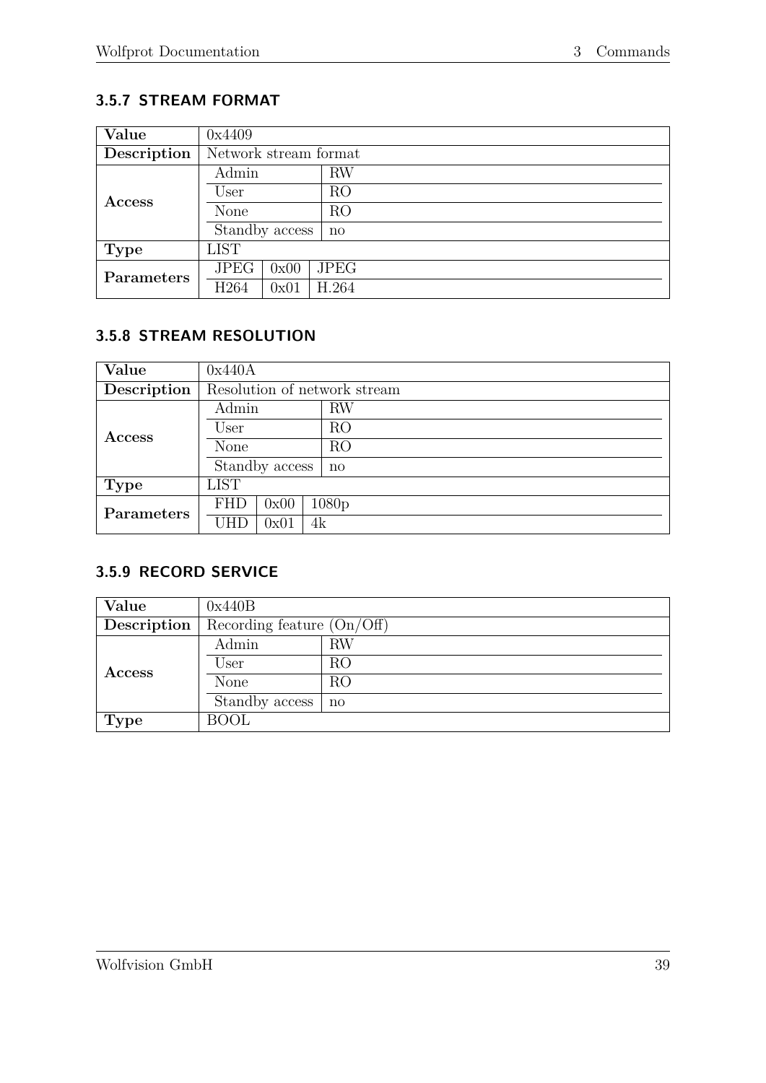## <span id="page-43-0"></span>**3.5.7 STREAM FORMAT**

| Value       | 0x4409                |                |              |  |  |  |
|-------------|-----------------------|----------------|--------------|--|--|--|
| Description | Network stream format |                |              |  |  |  |
|             | Admin                 |                | <b>RW</b>    |  |  |  |
| Access      | User                  |                | RO           |  |  |  |
|             | None                  |                | RO           |  |  |  |
|             |                       | Standby access | $\mathbf{n}$ |  |  |  |
| <b>Type</b> | <b>LIST</b>           |                |              |  |  |  |
| Parameters  | <b>JPEG</b>           | 0x00           | <b>JPEG</b>  |  |  |  |
|             | H <sub>264</sub>      | 0x01           | H.264        |  |  |  |

# <span id="page-43-1"></span>**3.5.8 STREAM RESOLUTION**

| Value       | 0x440A                       |      |                   |  |  |
|-------------|------------------------------|------|-------------------|--|--|
| Description | Resolution of network stream |      |                   |  |  |
|             | Admin                        |      | <b>RW</b>         |  |  |
| Access      | User                         |      | RO                |  |  |
|             | None                         |      | RO                |  |  |
|             | Standby access               |      | $\mathbf{n}$      |  |  |
| <b>Type</b> | <b>LIST</b>                  |      |                   |  |  |
| Parameters  | <b>FHD</b>                   | 0x00 | 1080 <sub>p</sub> |  |  |
|             | UHD                          | 0x01 | 4k                |  |  |

#### <span id="page-43-2"></span>**3.5.9 RECORD SERVICE**

| Value       | 0x440B                       |              |  |  |
|-------------|------------------------------|--------------|--|--|
| Description | Recording feature $(On/Off)$ |              |  |  |
|             | Admin                        | RW           |  |  |
| Access      | User                         | RO           |  |  |
|             | None                         | RO           |  |  |
|             | Standby access               | $\mathbf{n}$ |  |  |
| <b>Type</b> | <b>BOOL</b>                  |              |  |  |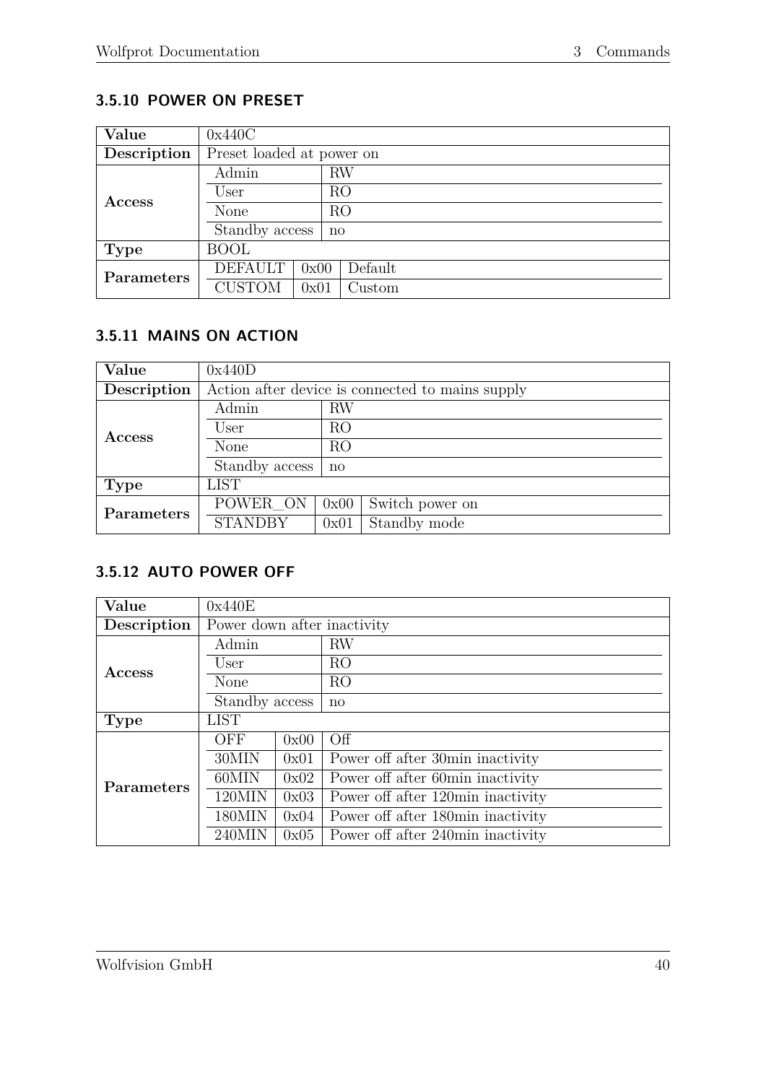# <span id="page-44-0"></span>**3.5.10 POWER ON PRESET**

| Value         | 0x440C                    |      |              |         |  |  |
|---------------|---------------------------|------|--------------|---------|--|--|
| Description   | Preset loaded at power on |      |              |         |  |  |
|               | Admin                     |      | RW           |         |  |  |
|               | User                      |      |              | RO      |  |  |
| <b>Access</b> | None                      |      | RO           |         |  |  |
|               | Standby access            |      | $\mathbf{n}$ |         |  |  |
| <b>Type</b>   | <b>BOOL</b>               |      |              |         |  |  |
| Parameters    | <b>DEFAULT</b>            | 0x00 |              | Default |  |  |
|               | <b>CUSTOM</b>             | 0x01 |              | Custom  |  |  |

# <span id="page-44-1"></span>**3.5.11 MAINS ON ACTION**

| Value       | 0x440D                                           |              |                 |  |  |  |
|-------------|--------------------------------------------------|--------------|-----------------|--|--|--|
| Description | Action after device is connected to mains supply |              |                 |  |  |  |
|             | RW<br>Admin                                      |              |                 |  |  |  |
| Access      | User                                             | RO           |                 |  |  |  |
|             | None                                             | RO           |                 |  |  |  |
|             | Standby access                                   | $\mathbf{n}$ |                 |  |  |  |
| Type        | <b>LIST</b>                                      |              |                 |  |  |  |
| Parameters  | POWER_ON                                         | 0x00         | Switch power on |  |  |  |
|             | <b>STANDBY</b>                                   | 0x01         | Standby mode    |  |  |  |

#### <span id="page-44-2"></span>**3.5.12 AUTO POWER OFF**

| Value       | 0x440E                      |      |                                   |  |  |  |
|-------------|-----------------------------|------|-----------------------------------|--|--|--|
| Description | Power down after inactivity |      |                                   |  |  |  |
|             | Admin                       |      | $\rm RW$                          |  |  |  |
| Access      | User                        |      | RO                                |  |  |  |
|             | None                        |      | RO                                |  |  |  |
|             | Standby access              |      | $\mathbf{n}$                      |  |  |  |
| <b>Type</b> | <b>LIST</b>                 |      |                                   |  |  |  |
|             | <b>OFF</b>                  | 0x00 | Off                               |  |  |  |
|             | 30MIN                       | 0x01 | Power off after 30min inactivity  |  |  |  |
| Parameters  | 60MIN                       | 0x02 | Power off after 60min inactivity  |  |  |  |
|             | 120MIN                      | 0x03 | Power off after 120min inactivity |  |  |  |
|             | 180MIN                      | 0x04 | Power off after 180min inactivity |  |  |  |
|             | $240$ MIN                   | 0x05 | Power off after 240min inactivity |  |  |  |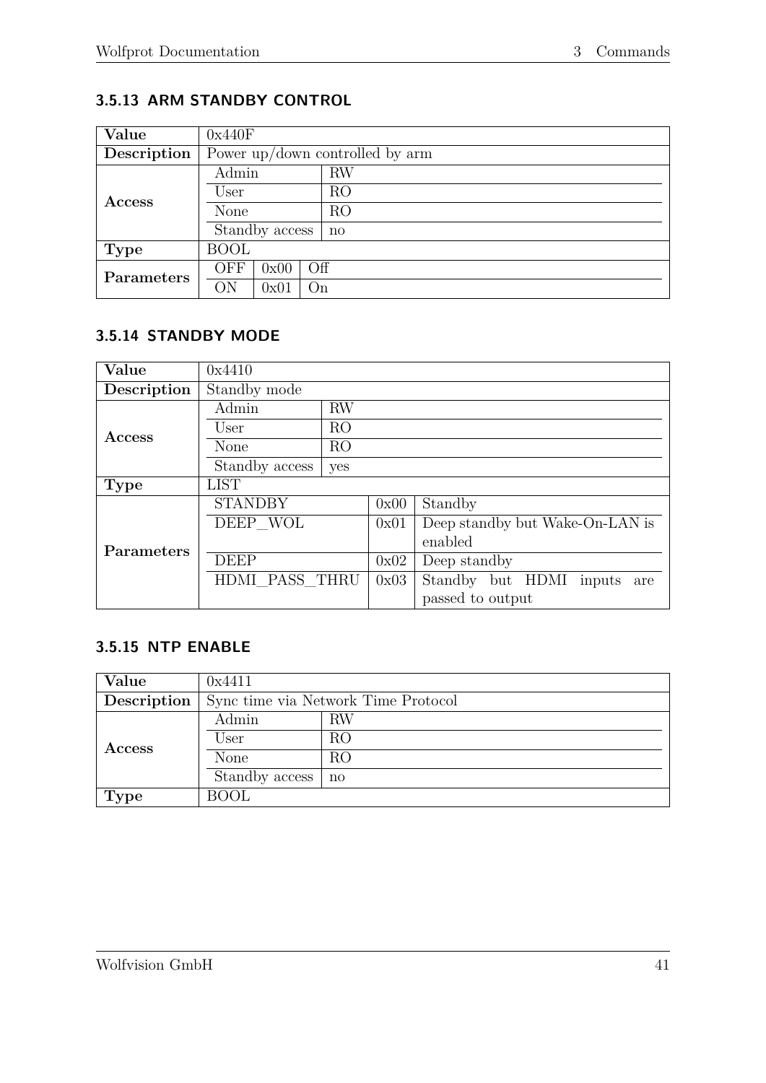# <span id="page-45-0"></span>**3.5.13 ARM STANDBY CONTROL**

| Value       | 0x440F                            |  |  |  |
|-------------|-----------------------------------|--|--|--|
| Description | Power up/down controlled by $arm$ |  |  |  |
|             | Admin<br>RW                       |  |  |  |
| Access      | R <sub>O</sub><br>User            |  |  |  |
|             | RO<br>None                        |  |  |  |
|             | Standby access<br>$\mathbf{n}$    |  |  |  |
| <b>Type</b> | <b>BOOL</b>                       |  |  |  |
| Parameters  | OFF<br>Off<br>0x00                |  |  |  |
|             | ON<br>0x01<br>On                  |  |  |  |

## <span id="page-45-1"></span>**3.5.14 STANDBY MODE**

| Value       | 0x4410         |                |      |                                 |  |  |  |
|-------------|----------------|----------------|------|---------------------------------|--|--|--|
| Description | Standby mode   |                |      |                                 |  |  |  |
|             | Admin          | RW             |      |                                 |  |  |  |
| Access      | User           | R <sub>O</sub> |      |                                 |  |  |  |
|             | <b>None</b>    | RO             |      |                                 |  |  |  |
|             | Standby access | yes            |      |                                 |  |  |  |
| <b>Type</b> | <b>LIST</b>    |                |      |                                 |  |  |  |
|             | <b>STANDBY</b> |                | 0x00 | Standby                         |  |  |  |
|             | DEEP WOL       |                | 0x01 | Deep standby but Wake-On-LAN is |  |  |  |
| Parameters  |                |                |      | enabled                         |  |  |  |
|             | <b>DEEP</b>    |                | 0x02 | Deep standby                    |  |  |  |
|             | HDMI PASS THRU |                | 0x03 | Standby but HDMI inputs<br>are  |  |  |  |
|             |                |                |      | passed to output                |  |  |  |

#### <span id="page-45-2"></span>**3.5.15 NTP ENABLE**

| Value         | 0x4411                              |    |  |  |
|---------------|-------------------------------------|----|--|--|
| Description   | Sync time via Network Time Protocol |    |  |  |
|               | Admin                               | RW |  |  |
| <b>Access</b> | User                                | RO |  |  |
|               | <b>None</b>                         | RO |  |  |
|               | Standby access                      | no |  |  |
| <b>Type</b>   | <b>BOOL</b>                         |    |  |  |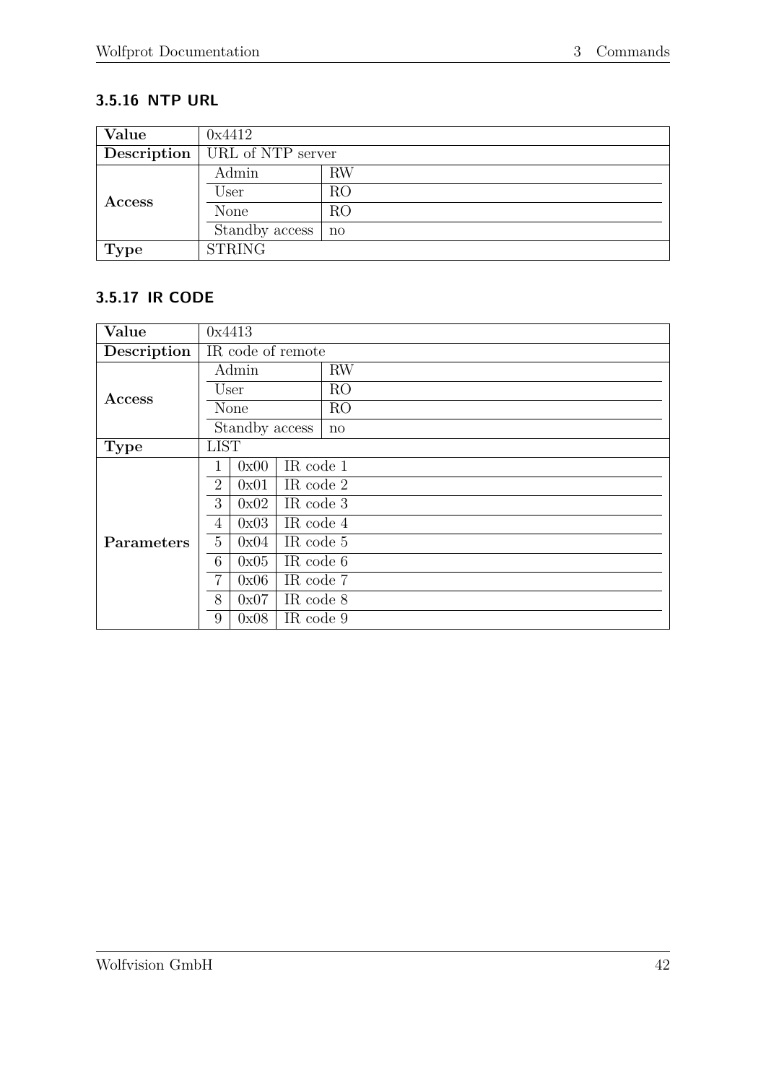# <span id="page-46-0"></span>**3.5.16 NTP URL**

| Value         | 0x4412            |           |
|---------------|-------------------|-----------|
| Description   | URL of NTP server |           |
| <b>Access</b> | Admin             | <b>RW</b> |
|               | User              | RO        |
|               | <b>None</b>       | RO        |
|               | Standby access    | no        |
| <b>Type</b>   | <b>STRING</b>     |           |

#### <span id="page-46-1"></span>**3.5.17 IR CODE**

| Value             | 0x4413                              |  |  |
|-------------------|-------------------------------------|--|--|
| Description       | IR code of remote                   |  |  |
|                   | <b>RW</b><br>Admin                  |  |  |
|                   | R <sub>O</sub><br>User              |  |  |
| <b>Access</b>     | R <sub>O</sub><br>None              |  |  |
|                   | Standby access<br>$\mathbf{n}$      |  |  |
| <b>Type</b>       | <b>LIST</b>                         |  |  |
|                   | IR code 1<br>0x00                   |  |  |
|                   | $\overline{2}$<br>IR code 2<br>0x01 |  |  |
|                   | 3<br>IR code 3<br>0x02              |  |  |
|                   | IR code 4<br>4<br>0x03              |  |  |
| <b>Parameters</b> | 5<br>IR code 5<br>0x04              |  |  |
|                   | IR code 6<br>6<br>0x05              |  |  |
|                   | 7<br>0x06<br>IR code 7              |  |  |
|                   | 8<br>0x07<br>IR code 8              |  |  |
|                   | IR code 9<br>9<br>0x08              |  |  |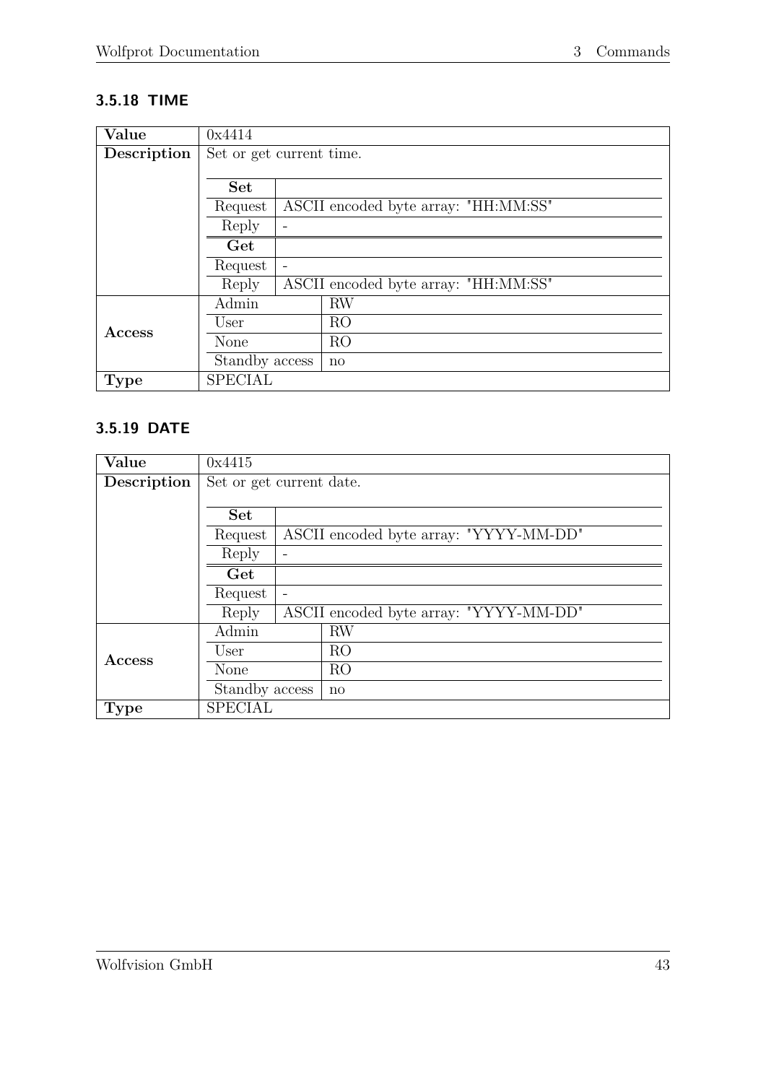# <span id="page-47-0"></span>**3.5.18 TIME**

| Value         | 0x4414                   |  |                                      |  |
|---------------|--------------------------|--|--------------------------------------|--|
| Description   | Set or get current time. |  |                                      |  |
|               |                          |  |                                      |  |
|               | <b>Set</b>               |  |                                      |  |
|               | Request                  |  | ASCII encoded byte array: "HH:MM:SS" |  |
|               | Reply                    |  |                                      |  |
|               | Get                      |  |                                      |  |
|               | Request                  |  |                                      |  |
|               | Reply                    |  | ASCII encoded byte array: "HH:MM:SS" |  |
|               | Admin                    |  | RW                                   |  |
| <b>Access</b> | User                     |  | R <sub>O</sub>                       |  |
|               | None                     |  | R <sub>O</sub>                       |  |
|               | Standby access           |  | $\mathbf{n}$                         |  |
| <b>Type</b>   | <b>SPECIAL</b>           |  |                                      |  |

#### <span id="page-47-1"></span>**3.5.19 DATE**

| Value       | 0x4415                   |  |                                        |  |
|-------------|--------------------------|--|----------------------------------------|--|
| Description | Set or get current date. |  |                                        |  |
|             |                          |  |                                        |  |
|             | <b>Set</b>               |  |                                        |  |
|             | Request                  |  | ASCII encoded byte array: "YYYY-MM-DD" |  |
|             | Reply                    |  |                                        |  |
|             | Get                      |  |                                        |  |
|             | Request                  |  |                                        |  |
|             | Reply                    |  | ASCII encoded byte array: "YYYY-MM-DD" |  |
|             | Admin                    |  | <b>RW</b>                              |  |
| Access      | User                     |  | RO                                     |  |
|             | None                     |  | R <sub>O</sub>                         |  |
|             | Standby access           |  | $\mathbf{n}$                           |  |
| <b>Type</b> | <b>SPECIAL</b>           |  |                                        |  |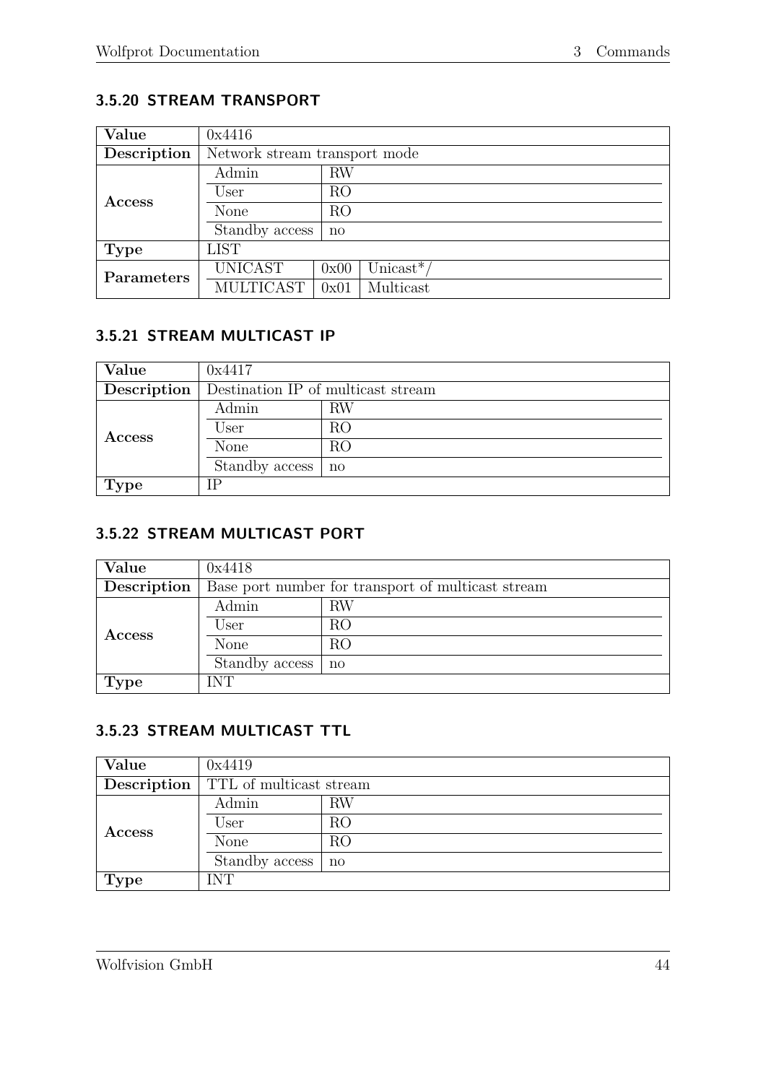#### <span id="page-48-0"></span>**3.5.20 STREAM TRANSPORT**

| Value         | 0x4416                        |                |                        |
|---------------|-------------------------------|----------------|------------------------|
| Description   | Network stream transport mode |                |                        |
|               | Admin                         | <b>RW</b>      |                        |
| <b>Access</b> | User                          | RO             |                        |
|               | None                          | R <sub>O</sub> |                        |
|               | Standby access                | $\mathbf{n}$   |                        |
| <b>Type</b>   | <b>LIST</b>                   |                |                        |
| Parameters    | <b>UNICAST</b>                | 0x00           | Unicast <sup>*</sup> / |
|               | <b>MULTICAST</b>              | 0x01           | Multicast              |

# <span id="page-48-1"></span>**3.5.21 STREAM MULTICAST IP**

| Value       | 0x4417                             |                     |
|-------------|------------------------------------|---------------------|
| Description | Destination IP of multicast stream |                     |
| Access      | Admin                              | RW                  |
|             | User                               | RO                  |
|             | None                               | RO                  |
|             | Standby access                     | $\operatorname{no}$ |
| <b>Type</b> | IΡ                                 |                     |

#### <span id="page-48-2"></span>**3.5.22 STREAM MULTICAST PORT**

| Value         | 0x4418                                             |              |
|---------------|----------------------------------------------------|--------------|
| Description   | Base port number for transport of multicast stream |              |
| <b>Access</b> | Admin                                              | RW           |
|               | User                                               | RO           |
|               | None                                               | RO           |
|               | Standby access                                     | $\mathbf{n}$ |
| <b>Type</b>   | <b>INT</b>                                         |              |

# <span id="page-48-3"></span>**3.5.23 STREAM MULTICAST TTL**

| Value         | 0x4419                  |    |
|---------------|-------------------------|----|
| Description   | TTL of multicast stream |    |
|               | Admin                   | RW |
| <b>Access</b> | User                    | RO |
|               | None                    | RO |
|               | Standby access          | no |
| <b>Type</b>   | <b>INT</b>              |    |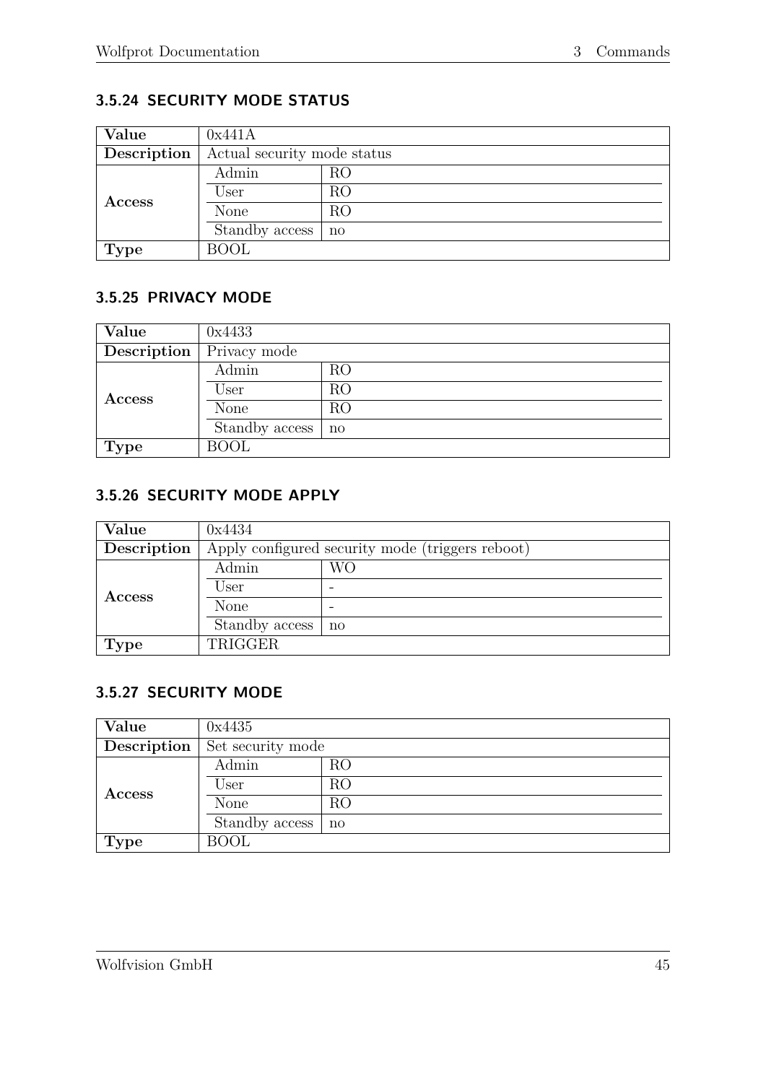# <span id="page-49-0"></span>**3.5.24 SECURITY MODE STATUS**

| Value         | 0x441A                      |              |
|---------------|-----------------------------|--------------|
| Description   | Actual security mode status |              |
| <b>Access</b> | Admin                       | RO           |
|               | User                        | RO           |
|               | None                        | RO           |
|               | Standby access              | $\mathbf{n}$ |
| <b>Type</b>   | <b>BOOL</b>                 |              |

#### <span id="page-49-1"></span>**3.5.25 PRIVACY MODE**

| Value           | 0x4433         |                |
|-----------------|----------------|----------------|
| Description $ $ | Privacy mode   |                |
| Access          | Admin          | RO             |
|                 | User           | RO             |
|                 | None           | R <sub>O</sub> |
|                 | Standby access | $\mathbf{n}$   |
| <b>Type</b>     | <b>BOOL</b>    |                |

# <span id="page-49-2"></span>**3.5.26 SECURITY MODE APPLY**

| Value         | 0x4434                                           |    |
|---------------|--------------------------------------------------|----|
| Description   | Apply configured security mode (triggers reboot) |    |
| <b>Access</b> | Admin                                            | WО |
|               | User                                             |    |
|               | None                                             |    |
|               | Standby access                                   | no |
| <b>Type</b>   | TRIGGER                                          |    |

#### <span id="page-49-3"></span>**3.5.27 SECURITY MODE**

| Value         | 0x4435            |                     |
|---------------|-------------------|---------------------|
| Description   | Set security mode |                     |
|               | Admin             | RO                  |
| <b>Access</b> | User              | RO                  |
|               | None              | RO                  |
|               | Standby access    | $\operatorname{no}$ |
| <b>Type</b>   | <b>BOOL</b>       |                     |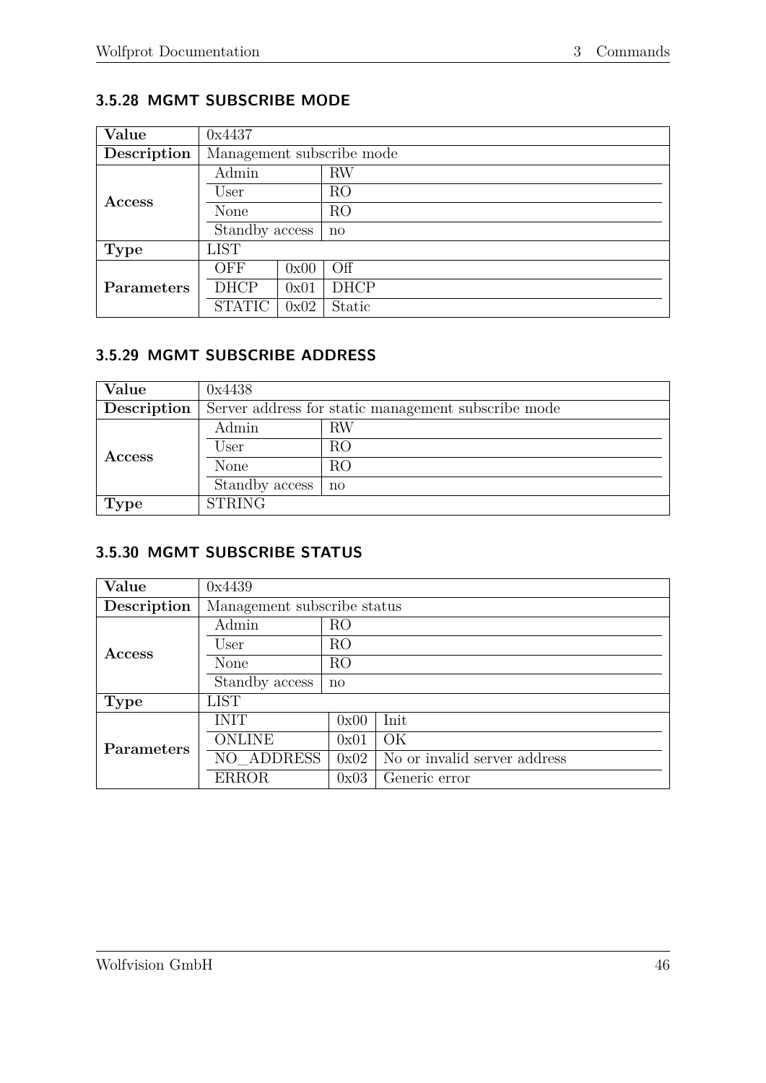# <span id="page-50-0"></span>**3.5.28 MGMT SUBSCRIBE MODE**

| Value         | 0x4437                    |      |                |
|---------------|---------------------------|------|----------------|
| Description   | Management subscribe mode |      |                |
|               | Admin                     |      | RW             |
| <b>Access</b> | User                      |      | R <sub>O</sub> |
|               | None                      |      | R <sub>O</sub> |
|               | Standby access            |      | $\mathbf{n}$   |
| Type          | <b>LIST</b>               |      |                |
|               | OFF                       | 0x00 | Off            |
| Parameters    | <b>DHCP</b>               | 0x01 | <b>DHCP</b>    |
|               | <b>STATIC</b>             | 0x02 | Static         |

### <span id="page-50-1"></span>**3.5.29 MGMT SUBSCRIBE ADDRESS**

| Value         | 0x4438                                              |    |  |
|---------------|-----------------------------------------------------|----|--|
| Description   | Server address for static management subscribe mode |    |  |
| <b>Access</b> | Admin                                               | RW |  |
|               | User                                                | RO |  |
|               | None                                                | RO |  |
|               | Standby access                                      | no |  |
| Type          | <b>STRING</b>                                       |    |  |

#### <span id="page-50-2"></span>**3.5.30 MGMT SUBSCRIBE STATUS**

| Value       | 0x4439                      |              |                              |  |  |
|-------------|-----------------------------|--------------|------------------------------|--|--|
| Description | Management subscribe status |              |                              |  |  |
|             | Admin                       | RO           |                              |  |  |
| Access      | User                        | RO           |                              |  |  |
|             | None                        | RO           |                              |  |  |
|             | Standby access              | $\mathbf{n}$ |                              |  |  |
| <b>Type</b> | <b>LIST</b>                 |              |                              |  |  |
|             | <b>INIT</b>                 | 0x00         | Init                         |  |  |
| Parameters  | <b>ONLINE</b>               | 0x01         | OK                           |  |  |
|             | NO ADDRESS                  | 0x02         | No or invalid server address |  |  |
|             | <b>ERROR</b>                | 0x03         | Generic error                |  |  |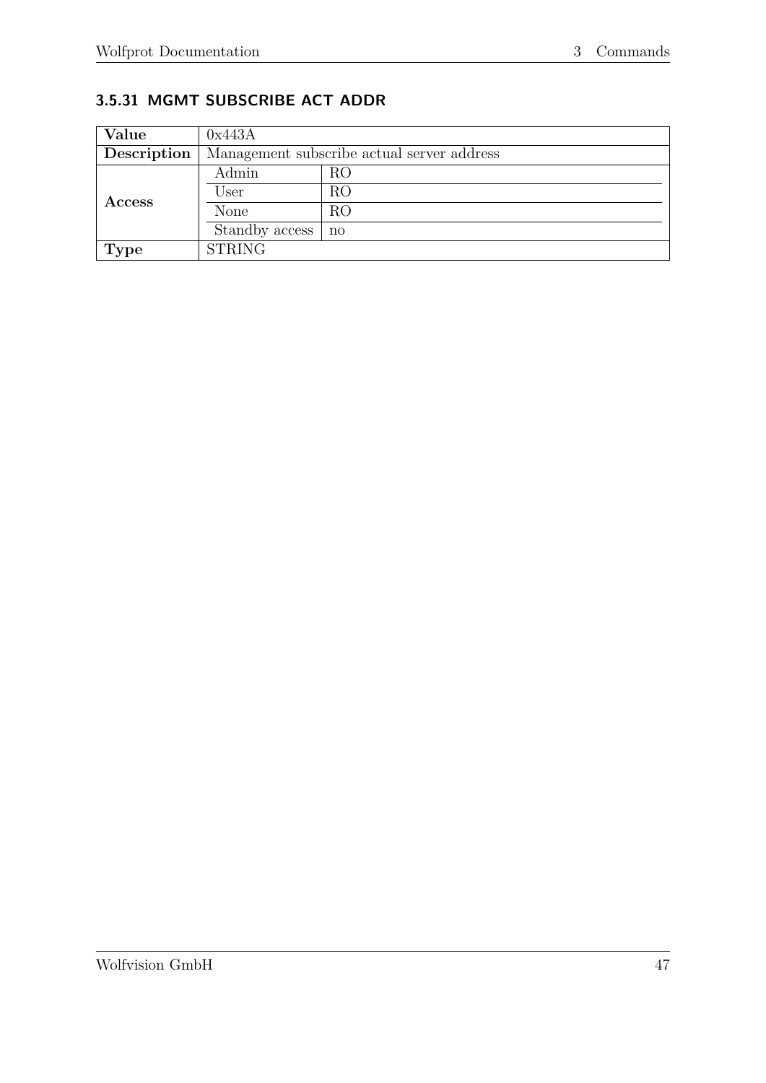# <span id="page-51-0"></span>**3.5.31 MGMT SUBSCRIBE ACT ADDR**

| Value       | 0x443A                                     |              |  |
|-------------|--------------------------------------------|--------------|--|
| Description | Management subscribe actual server address |              |  |
|             | Admin                                      | RO           |  |
| Access      | User                                       | RO           |  |
|             | None                                       | RO           |  |
|             | Standby access                             | $\mathbf{n}$ |  |
| <b>Type</b> | <b>STRING</b>                              |              |  |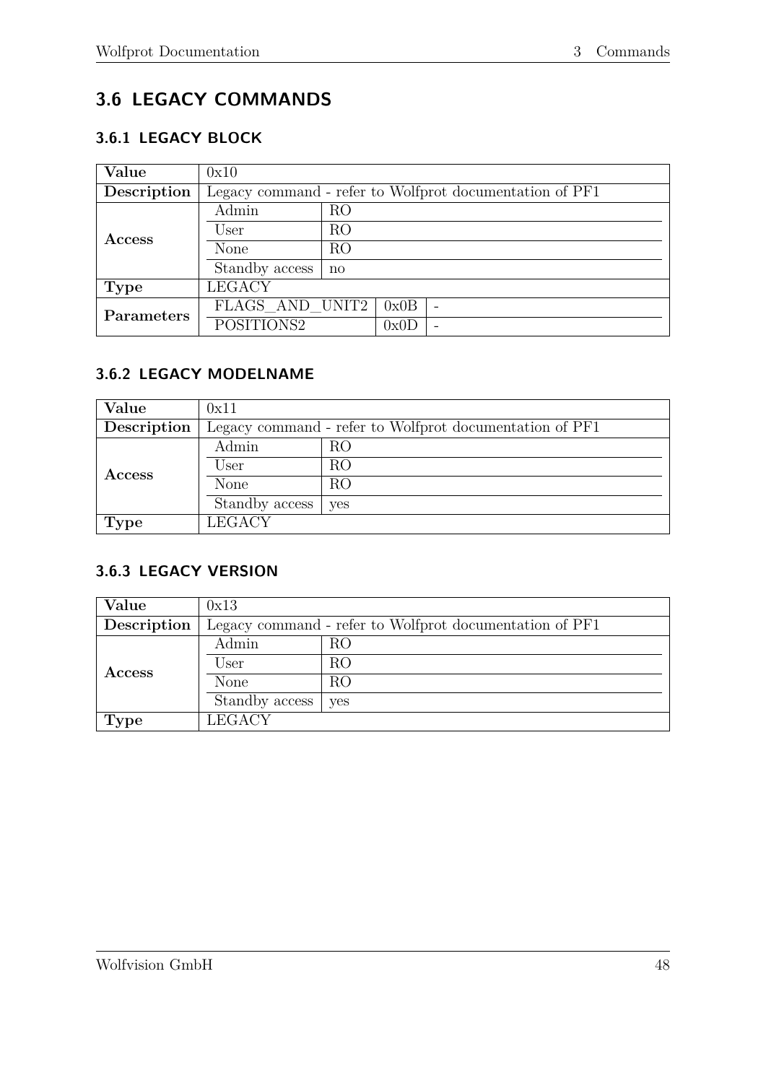# <span id="page-52-0"></span>**3.6 LEGACY COMMANDS**

# <span id="page-52-1"></span>**3.6.1 LEGACY BLOCK**

| Value         | 0x10                                                    |                |      |                          |
|---------------|---------------------------------------------------------|----------------|------|--------------------------|
| Description   | Legacy command - refer to Wolfprot documentation of PF1 |                |      |                          |
|               | Admin                                                   | R <sub>O</sub> |      |                          |
|               | User                                                    | RO             |      |                          |
| <b>Access</b> | None                                                    | R <sub>O</sub> |      |                          |
|               | Standby access                                          | $\mathbf{n}$   |      |                          |
| <b>Type</b>   | <b>LEGACY</b>                                           |                |      |                          |
| Parameters    | FLAGS AND UNIT2                                         |                | 0x0B | $\overline{\phantom{m}}$ |
|               | POSITIONS2                                              |                | 0x0D | $\qquad \qquad$          |

### <span id="page-52-2"></span>**3.6.2 LEGACY MODELNAME**

| Value         | 0x11                                                    |            |  |
|---------------|---------------------------------------------------------|------------|--|
| Description   | Legacy command - refer to Wolfprot documentation of PF1 |            |  |
| <b>Access</b> | Admin                                                   | RO         |  |
|               | User                                                    | RO         |  |
|               | None                                                    | RO         |  |
|               | Standby access                                          | <b>ves</b> |  |
| Type          | <b>LEGACY</b>                                           |            |  |

#### <span id="page-52-3"></span>**3.6.3 LEGACY VERSION**

| Value       | 0x13                                                    |     |  |
|-------------|---------------------------------------------------------|-----|--|
| Description | Legacy command - refer to Wolfprot documentation of PF1 |     |  |
|             | Admin                                                   | RO  |  |
| Access      | User                                                    | RO  |  |
|             | None                                                    | RO  |  |
|             | Standby access                                          | yes |  |
| <b>Type</b> | <b>LEGACY</b>                                           |     |  |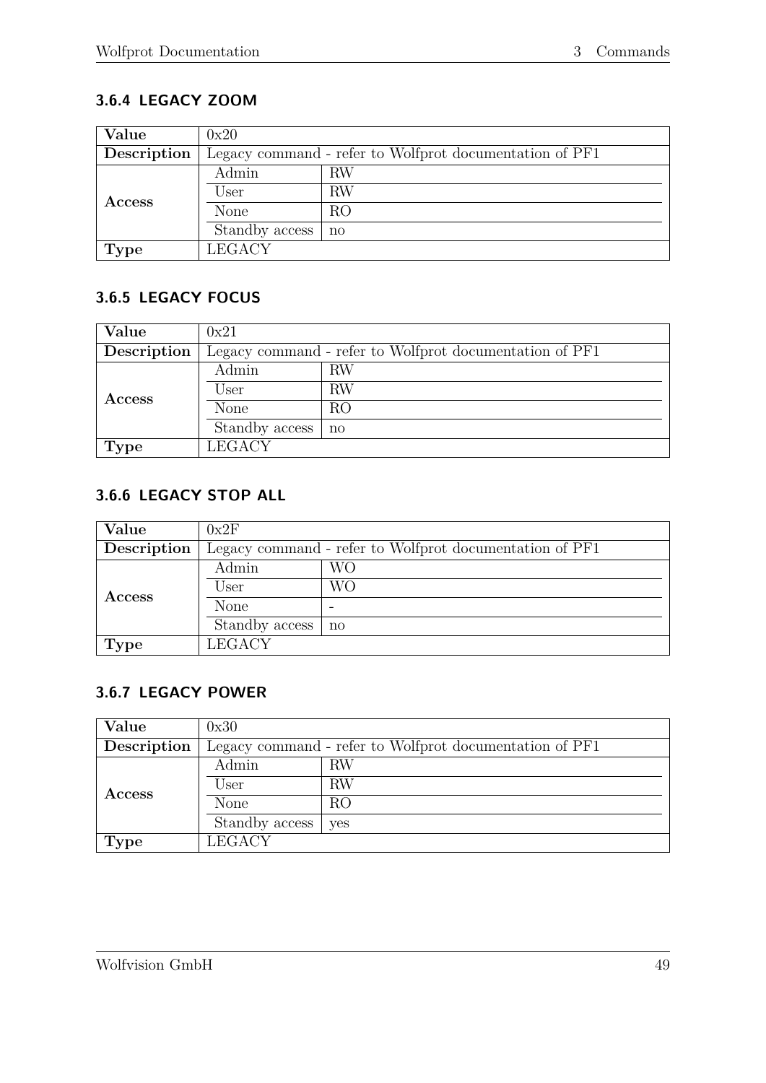# <span id="page-53-0"></span>**3.6.4 LEGACY ZOOM**

| Value         | 0x20                                                    |              |  |
|---------------|---------------------------------------------------------|--------------|--|
| Description   | Legacy command - refer to Wolfprot documentation of PF1 |              |  |
|               | Admin                                                   | RW           |  |
| <b>Access</b> | User                                                    | RW           |  |
|               | None                                                    | RO           |  |
|               | Standby access                                          | $\mathbf{n}$ |  |
| <b>Type</b>   | <b>LEGACY</b>                                           |              |  |

### <span id="page-53-1"></span>**3.6.5 LEGACY FOCUS**

| Value         | 0x21                                                    |              |  |
|---------------|---------------------------------------------------------|--------------|--|
| Description   | Legacy command - refer to Wolfprot documentation of PF1 |              |  |
| <b>Access</b> | Admin                                                   | RW           |  |
|               | User                                                    | <b>RW</b>    |  |
|               | None                                                    | RO           |  |
|               | Standby access                                          | $\mathbf{n}$ |  |
| <b>Type</b>   | <b>LEGACY</b>                                           |              |  |

# <span id="page-53-2"></span>**3.6.6 LEGACY STOP ALL**

| <b>Value</b>  | 0x2F                                                    |              |  |
|---------------|---------------------------------------------------------|--------------|--|
| Description   | Legacy command - refer to Wolfprot documentation of PF1 |              |  |
| <b>Access</b> | Admin                                                   | WО           |  |
|               | User                                                    | WО           |  |
|               | None                                                    |              |  |
|               | Standby access                                          | $\mathbf{n}$ |  |
| <b>Type</b>   | <b>LEGACY</b>                                           |              |  |

# <span id="page-53-3"></span>**3.6.7 LEGACY POWER**

| Value         | 0x30                                                    |     |  |
|---------------|---------------------------------------------------------|-----|--|
| Description   | Legacy command - refer to Wolfprot documentation of PF1 |     |  |
| <b>Access</b> | Admin                                                   | RW  |  |
|               | User                                                    | RW  |  |
|               | None                                                    | RO  |  |
|               | Standby access                                          | yes |  |
| <b>Type</b>   | <b>LEGACY</b>                                           |     |  |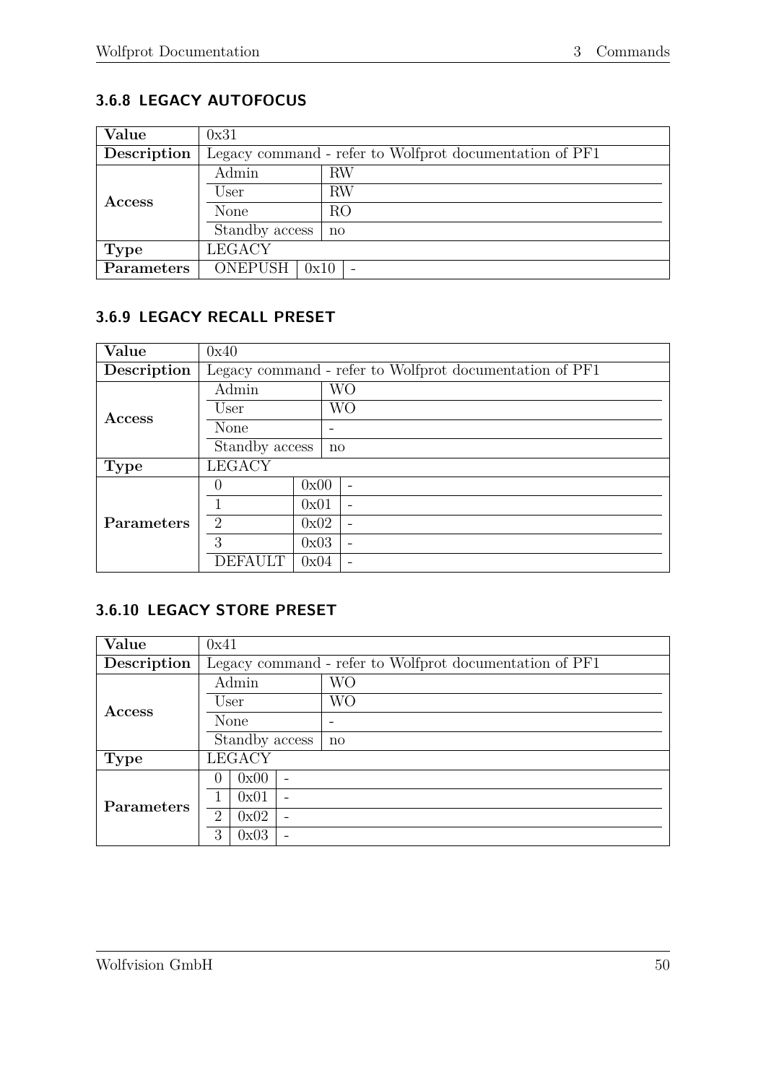# <span id="page-54-0"></span>**3.6.8 LEGACY AUTOFOCUS**

| Value         | 0x31                                                    |              |  |
|---------------|---------------------------------------------------------|--------------|--|
| Description   | Legacy command - refer to Wolfprot documentation of PF1 |              |  |
|               | Admin                                                   | RW           |  |
| <b>Access</b> | User                                                    | <b>RW</b>    |  |
|               | None                                                    | RO           |  |
|               | Standby access                                          | $\mathbf{n}$ |  |
| <b>Type</b>   | <b>LEGACY</b>                                           |              |  |
| Parameters    | ONEPUSH $\vert$ 0x10                                    |              |  |

#### <span id="page-54-1"></span>**3.6.9 LEGACY RECALL PRESET**

| Value       | 0x40                                                    |      |              |  |
|-------------|---------------------------------------------------------|------|--------------|--|
| Description | Legacy command - refer to Wolfprot documentation of PF1 |      |              |  |
|             | Admin                                                   |      | <b>WO</b>    |  |
| Access      | User                                                    |      | <b>WO</b>    |  |
|             | None                                                    |      |              |  |
|             | Standby access                                          |      | $\mathbf{n}$ |  |
| Type        | <b>LEGACY</b>                                           |      |              |  |
|             | $\mathbf{0}$                                            | 0x00 |              |  |
|             |                                                         | 0x01 |              |  |
| Parameters  | $\mathcal{D}_{\mathcal{L}}$                             | 0x02 |              |  |
|             | 3                                                       | 0x03 |              |  |
|             | DEFAU                                                   | 0x04 |              |  |

#### <span id="page-54-2"></span>**3.6.10 LEGACY STORE PRESET**

| Value       | 0x41                                                    |  |  |  |
|-------------|---------------------------------------------------------|--|--|--|
| Description | Legacy command - refer to Wolfprot documentation of PF1 |  |  |  |
|             | <b>WO</b><br>Admin                                      |  |  |  |
| Access      | WО<br>User                                              |  |  |  |
|             | None                                                    |  |  |  |
|             | Standby access<br>$\mathbf{n}$                          |  |  |  |
| Type        | <b>LEGACY</b>                                           |  |  |  |
|             | 0x00<br>0                                               |  |  |  |
| Parameters  | 0x01                                                    |  |  |  |
|             | $\mathcal{D}_{\mathcal{L}}$<br>0x02                     |  |  |  |
|             | 3<br>0x03                                               |  |  |  |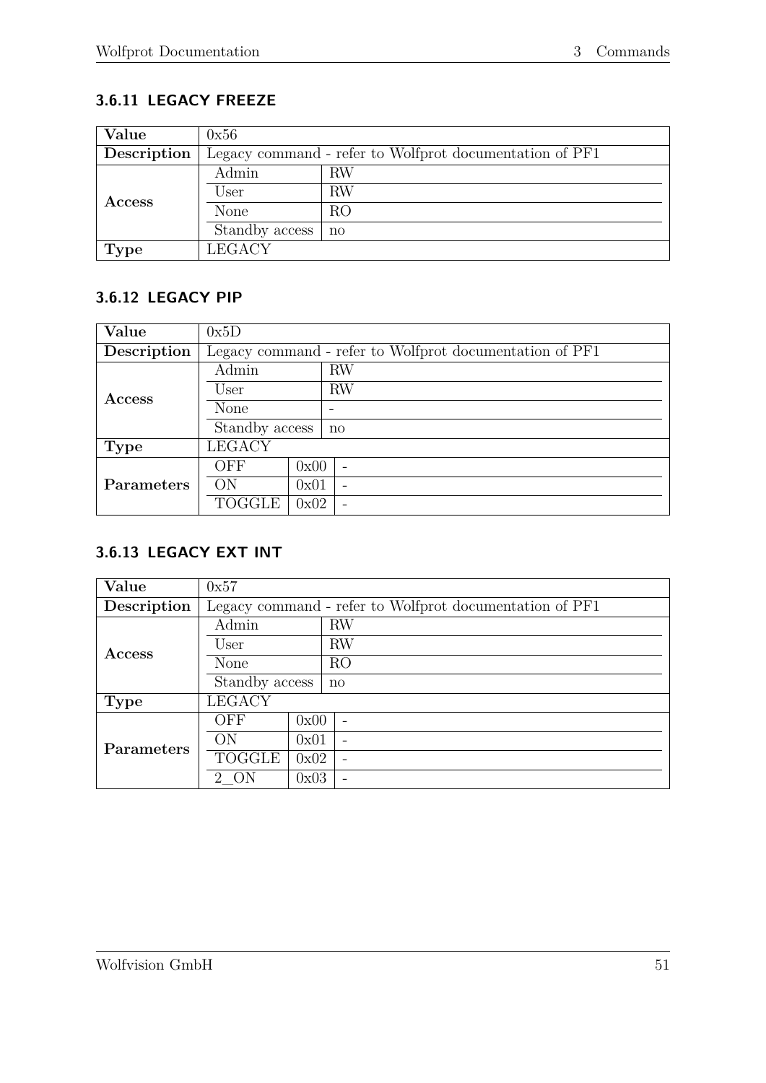# <span id="page-55-0"></span>**3.6.11 LEGACY FREEZE**

| Value         | 0x56                                                    |              |  |  |
|---------------|---------------------------------------------------------|--------------|--|--|
| Description   | Legacy command - refer to Wolfprot documentation of PF1 |              |  |  |
| <b>Access</b> | Admin                                                   | RW           |  |  |
|               | User                                                    | RW           |  |  |
|               | None                                                    | RO           |  |  |
|               | Standby access                                          | $\mathbf{n}$ |  |  |
| <b>Type</b>   | <b>LEGACY</b>                                           |              |  |  |

### <span id="page-55-1"></span>**3.6.12 LEGACY PIP**

| Value       | 0x5D                                                    |      |                          |  |
|-------------|---------------------------------------------------------|------|--------------------------|--|
| Description | Legacy command - refer to Wolfprot documentation of PF1 |      |                          |  |
|             | Admin                                                   |      | RW                       |  |
| Access      | User                                                    |      | <b>RW</b>                |  |
|             | None                                                    |      |                          |  |
|             | Standby access                                          |      | $\mathbf{n}$             |  |
| <b>Type</b> | <b>LEGACY</b>                                           |      |                          |  |
|             | OFF                                                     | 0x00 | $\overline{\phantom{0}}$ |  |
| Parameters  | OΝ                                                      | 0x01 | $\overline{\phantom{0}}$ |  |
|             | TOGGLE                                                  | 0x02 | $\overline{\phantom{0}}$ |  |

### <span id="page-55-2"></span>**3.6.13 LEGACY EXT INT**

| Value       | 0x57           |      |                                                         |  |  |
|-------------|----------------|------|---------------------------------------------------------|--|--|
| Description |                |      | Legacy command - refer to Wolfprot documentation of PF1 |  |  |
|             | Admin          |      | <b>RW</b>                                               |  |  |
|             | User           |      | <b>RW</b>                                               |  |  |
| Access      | None           |      | RO                                                      |  |  |
|             | Standby access |      | $\mathbf{n}$                                            |  |  |
| <b>Type</b> | <b>LEGACY</b>  |      |                                                         |  |  |
|             | OFF            | 0x00 |                                                         |  |  |
| Parameters  | ON             | 0x01 | $\overline{\phantom{0}}$                                |  |  |
|             | TOGGLE         | 0x02 | $\overline{\phantom{0}}$                                |  |  |
|             | $2 -$          | 0x03 | $\overline{\phantom{0}}$                                |  |  |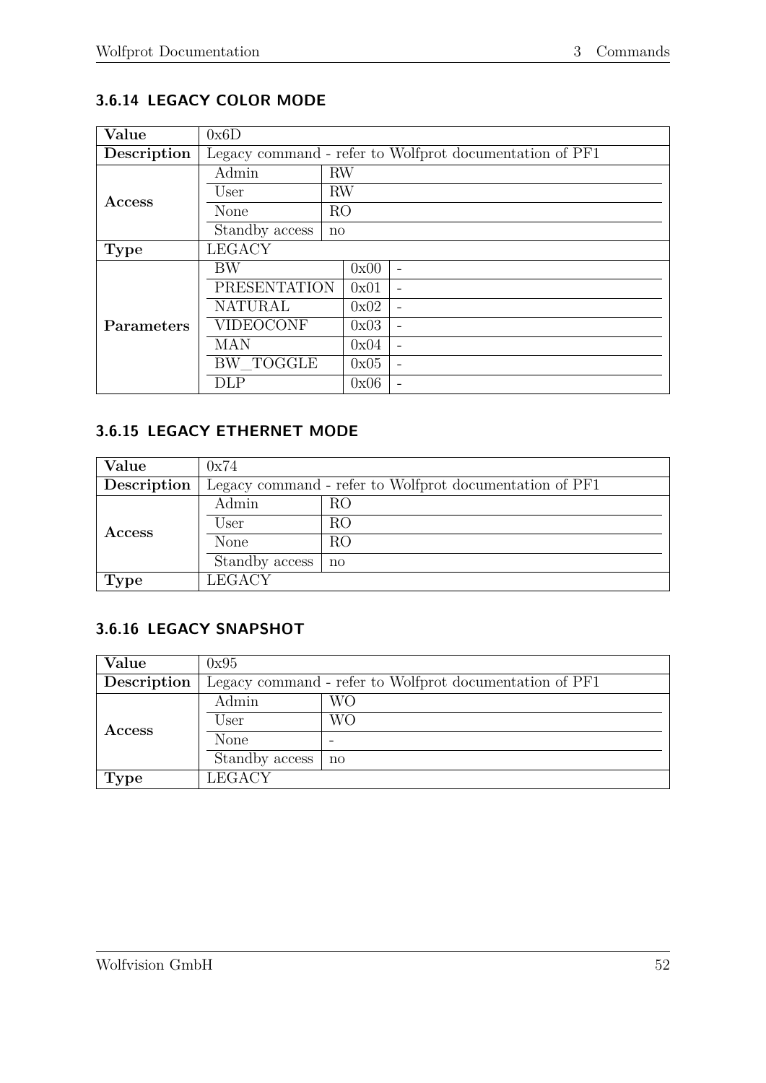# <span id="page-56-0"></span>**3.6.14 LEGACY COLOR MODE**

| Value         | 0x6D                |           |                |                                                         |  |  |  |  |
|---------------|---------------------|-----------|----------------|---------------------------------------------------------|--|--|--|--|
| Description   |                     |           |                | Legacy command - refer to Wolfprot documentation of PF1 |  |  |  |  |
|               | Admin               | <b>RW</b> |                |                                                         |  |  |  |  |
| <b>Access</b> | User                | <b>RW</b> |                |                                                         |  |  |  |  |
|               | None                |           | R <sub>O</sub> |                                                         |  |  |  |  |
|               | Standby access      |           |                |                                                         |  |  |  |  |
| <b>Type</b>   | <b>LEGACY</b>       |           |                |                                                         |  |  |  |  |
|               | BW                  |           | 0x00           | $\overline{\phantom{0}}$                                |  |  |  |  |
|               | <b>PRESENTATION</b> |           | 0x01           |                                                         |  |  |  |  |
|               | <b>NATURAL</b>      |           | 0x02           |                                                         |  |  |  |  |
| Parameters    | <b>VIDEOCONF</b>    |           | 0x03           |                                                         |  |  |  |  |
|               | MAN                 |           | 0x04           |                                                         |  |  |  |  |
|               | <b>BW_TOGGLE</b>    |           | 0x05           |                                                         |  |  |  |  |
|               | DLP                 |           | 0x06           |                                                         |  |  |  |  |

### <span id="page-56-1"></span>**3.6.15 LEGACY ETHERNET MODE**

| Value         | 0x74                                                    |    |  |
|---------------|---------------------------------------------------------|----|--|
| Description   | Legacy command - refer to Wolfprot documentation of PF1 |    |  |
| <b>Access</b> | Admin                                                   | RO |  |
|               | User                                                    | RO |  |
|               | None                                                    | RO |  |
|               | Standby access                                          | no |  |
| <b>Type</b>   | <b>LEGACY</b>                                           |    |  |

### <span id="page-56-2"></span>**3.6.16 LEGACY SNAPSHOT**

| Value         | 0x95                                                    |    |  |
|---------------|---------------------------------------------------------|----|--|
| Description   | Legacy command - refer to Wolfprot documentation of PF1 |    |  |
| <b>Access</b> | Admin                                                   | WО |  |
|               | User                                                    | WО |  |
|               | None                                                    |    |  |
|               | Standby access                                          | no |  |
| <b>Type</b>   | <b>LEGACY</b>                                           |    |  |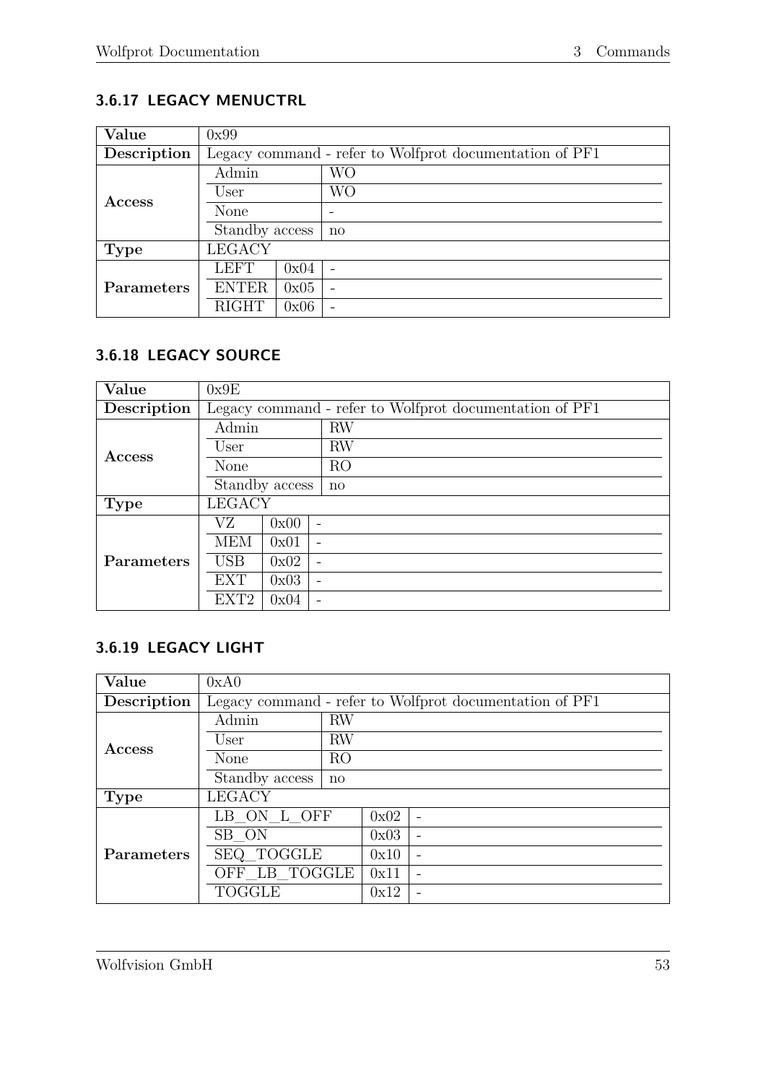# <span id="page-57-0"></span>**3.6.17 LEGACY MENUCTRL**

| Value       | 0x99           |                                                         |              |  |  |
|-------------|----------------|---------------------------------------------------------|--------------|--|--|
| Description |                | Legacy command - refer to Wolfprot documentation of PF1 |              |  |  |
|             | Admin          |                                                         | WО           |  |  |
| Access      | User           |                                                         | WО           |  |  |
|             | None           |                                                         |              |  |  |
|             | Standby access |                                                         | $\mathbf{n}$ |  |  |
| <b>Type</b> | <b>LEGACY</b>  |                                                         |              |  |  |
|             | <b>LEFT</b>    | 0x04                                                    |              |  |  |
| Parameters  | <b>ENTER</b>   | 0x05                                                    |              |  |  |
|             | <b>RIGHT</b>   | 0x06                                                    |              |  |  |

### <span id="page-57-1"></span>**3.6.18 LEGACY SOURCE**

| Value             | 0x9E             |      |                                                         |  |  |
|-------------------|------------------|------|---------------------------------------------------------|--|--|
| Description       |                  |      | Legacy command - refer to Wolfprot documentation of PF1 |  |  |
|                   | Admin            |      | <b>RW</b>                                               |  |  |
| Access            | User             |      | <b>RW</b>                                               |  |  |
|                   | None             |      | R <sub>O</sub>                                          |  |  |
|                   | Standby access   |      | $\mathbf{n}$                                            |  |  |
| <b>Type</b>       | <b>LEGACY</b>    |      |                                                         |  |  |
|                   | VZ.              | 0x00 |                                                         |  |  |
|                   | <b>MEM</b>       | 0x01 |                                                         |  |  |
| <b>Parameters</b> | <b>USB</b>       | 0x02 |                                                         |  |  |
|                   | <b>EXT</b>       | 0x03 | $\qquad \qquad$                                         |  |  |
|                   | EXT <sub>2</sub> | 0x04 |                                                         |  |  |

# <span id="page-57-2"></span>**3.6.19 LEGACY LIGHT**

| Value         | 0xA0                                                    |                |      |  |  |  |
|---------------|---------------------------------------------------------|----------------|------|--|--|--|
| Description   | Legacy command - refer to Wolfprot documentation of PF1 |                |      |  |  |  |
|               | Admin                                                   | <b>RW</b>      |      |  |  |  |
| <b>Access</b> | User                                                    | <b>RW</b>      |      |  |  |  |
|               | <b>None</b>                                             | R <sub>O</sub> |      |  |  |  |
|               | Standby access                                          | $\mathbf{n}$   |      |  |  |  |
| <b>Type</b>   | <b>LEGACY</b>                                           |                |      |  |  |  |
|               | LB ON L OFF                                             |                | 0x02 |  |  |  |
|               | SB ON                                                   |                | 0x03 |  |  |  |
| Parameters    | SEQ TOGGLE                                              |                | 0x10 |  |  |  |
|               | OFF LB TOGGLE                                           |                | 0x11 |  |  |  |
|               | <b>TOGGLE</b>                                           |                | 0x12 |  |  |  |